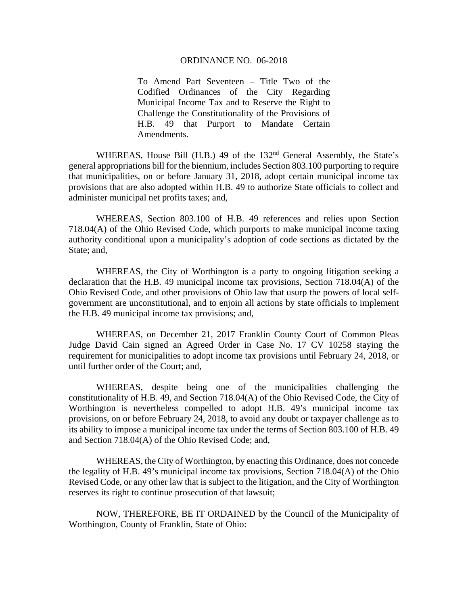#### ORDINANCE NO. 06-2018

To Amend Part Seventeen – Title Two of the Codified Ordinances of the City Regarding Municipal Income Tax and to Reserve the Right to Challenge the Constitutionality of the Provisions of H.B. 49 that Purport to Mandate Certain Amendments.

WHEREAS, House Bill (H.B.) 49 of the 132<sup>nd</sup> General Assembly, the State's general appropriations bill for the biennium, includes Section 803.100 purporting to require that municipalities, on or before January 31, 2018, adopt certain municipal income tax provisions that are also adopted within H.B. 49 to authorize State officials to collect and administer municipal net profits taxes; and,

WHEREAS, Section 803.100 of H.B. 49 references and relies upon Section 718.04(A) of the Ohio Revised Code, which purports to make municipal income taxing authority conditional upon a municipality's adoption of code sections as dictated by the State; and,

WHEREAS, the City of Worthington is a party to ongoing litigation seeking a declaration that the H.B. 49 municipal income tax provisions, Section 718.04(A) of the Ohio Revised Code, and other provisions of Ohio law that usurp the powers of local selfgovernment are unconstitutional, and to enjoin all actions by state officials to implement the H.B. 49 municipal income tax provisions; and,

WHEREAS, on December 21, 2017 Franklin County Court of Common Pleas Judge David Cain signed an Agreed Order in Case No. 17 CV 10258 staying the requirement for municipalities to adopt income tax provisions until February 24, 2018, or until further order of the Court; and,

WHEREAS, despite being one of the municipalities challenging the constitutionality of H.B. 49, and Section 718.04(A) of the Ohio Revised Code, the City of Worthington is nevertheless compelled to adopt H.B. 49's municipal income tax provisions, on or before February 24, 2018, to avoid any doubt or taxpayer challenge as to its ability to impose a municipal income tax under the terms of Section 803.100 of H.B. 49 and Section 718.04(A) of the Ohio Revised Code; and,

WHEREAS, the City of Worthington, by enacting this Ordinance, does not concede the legality of H.B. 49's municipal income tax provisions, Section 718.04(A) of the Ohio Revised Code, or any other law that is subject to the litigation, and the City of Worthington reserves its right to continue prosecution of that lawsuit;

NOW, THEREFORE, BE IT ORDAINED by the Council of the Municipality of Worthington, County of Franklin, State of Ohio: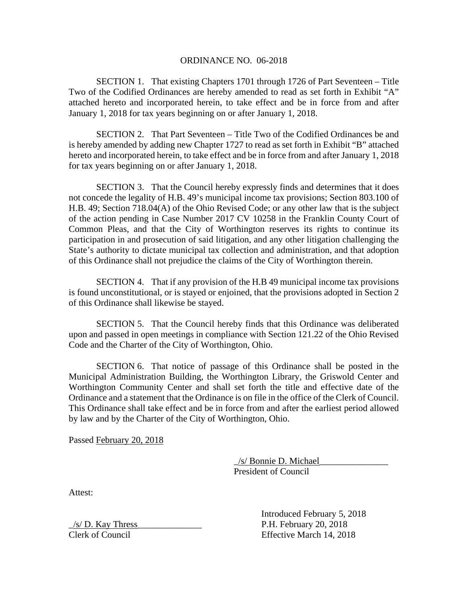#### ORDINANCE NO. 06-2018

SECTION 1. That existing Chapters 1701 through 1726 of Part Seventeen – Title Two of the Codified Ordinances are hereby amended to read as set forth in Exhibit "A" attached hereto and incorporated herein, to take effect and be in force from and after January 1, 2018 for tax years beginning on or after January 1, 2018.

SECTION 2. That Part Seventeen – Title Two of the Codified Ordinances be and is hereby amended by adding new Chapter 1727 to read as set forth in Exhibit "B" attached hereto and incorporated herein, to take effect and be in force from and after January 1, 2018 for tax years beginning on or after January 1, 2018.

SECTION 3. That the Council hereby expressly finds and determines that it does not concede the legality of H.B. 49's municipal income tax provisions; Section 803.100 of H.B. 49; Section 718.04(A) of the Ohio Revised Code; or any other law that is the subject of the action pending in Case Number 2017 CV 10258 in the Franklin County Court of Common Pleas, and that the City of Worthington reserves its rights to continue its participation in and prosecution of said litigation, and any other litigation challenging the State's authority to dictate municipal tax collection and administration, and that adoption of this Ordinance shall not prejudice the claims of the City of Worthington therein.

SECTION 4. That if any provision of the H.B 49 municipal income tax provisions is found unconstitutional, or is stayed or enjoined, that the provisions adopted in Section 2 of this Ordinance shall likewise be stayed.

SECTION 5. That the Council hereby finds that this Ordinance was deliberated upon and passed in open meetings in compliance with Section 121.22 of the Ohio Revised Code and the Charter of the City of Worthington, Ohio.

 SECTION 6. That notice of passage of this Ordinance shall be posted in the Municipal Administration Building, the Worthington Library, the Griswold Center and Worthington Community Center and shall set forth the title and effective date of the Ordinance and a statement that the Ordinance is on file in the office of the Clerk of Council. This Ordinance shall take effect and be in force from and after the earliest period allowed by law and by the Charter of the City of Worthington, Ohio.

Passed February 20, 2018

 \_/s/ Bonnie D. Michael\_\_\_\_\_\_\_\_\_\_\_\_\_\_\_ President of Council

Attest:

 $\frac{1}{s}$  D. Kay Thress P.H. February 20, 2018

 Introduced February 5, 2018 Clerk of Council Effective March 14, 2018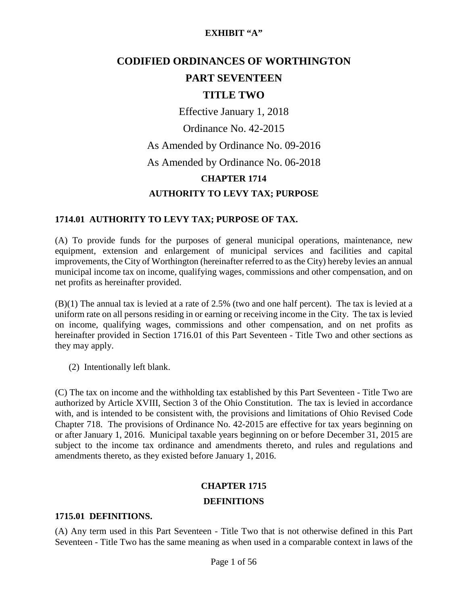# **CODIFIED ORDINANCES OF WORTHINGTON PART SEVENTEEN**

## **TITLE TWO**

Effective January 1, 2018

Ordinance No. 42-2015 As Amended by Ordinance No. 09-2016 As Amended by Ordinance No. 06-2018 **CHAPTER 1714 AUTHORITY TO LEVY TAX; PURPOSE**

#### **1714.01 AUTHORITY TO LEVY TAX; PURPOSE OF TAX.**

(A) To provide funds for the purposes of general municipal operations, maintenance, new equipment, extension and enlargement of municipal services and facilities and capital improvements, the City of Worthington (hereinafter referred to as the City) hereby levies an annual municipal income tax on income, qualifying wages, commissions and other compensation, and on net profits as hereinafter provided.

(B)(1) The annual tax is levied at a rate of 2.5% (two and one half percent). The tax is levied at a uniform rate on all persons residing in or earning or receiving income in the City. The tax is levied on income, qualifying wages, commissions and other compensation, and on net profits as hereinafter provided in Section 1716.01 of this Part Seventeen - Title Two and other sections as they may apply.

(2) Intentionally left blank.

(C) The tax on income and the withholding tax established by this Part Seventeen - Title Two are authorized by Article XVIII, Section 3 of the Ohio Constitution. The tax is levied in accordance with, and is intended to be consistent with, the provisions and limitations of Ohio Revised Code Chapter 718. The provisions of Ordinance No. 42-2015 are effective for tax years beginning on or after January 1, 2016. Municipal taxable years beginning on or before December 31, 2015 are subject to the income tax ordinance and amendments thereto, and rules and regulations and amendments thereto, as they existed before January 1, 2016.

# **CHAPTER 1715**

#### **DEFINITIONS**

#### **1715.01 DEFINITIONS.**

(A) Any term used in this Part Seventeen - Title Two that is not otherwise defined in this Part Seventeen - Title Two has the same meaning as when used in a comparable context in laws of the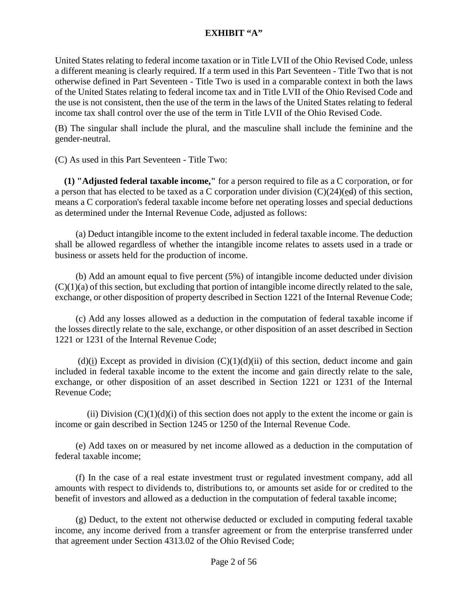United States relating to federal income taxation or in Title LVII of the Ohio Revised Code, unless a different meaning is clearly required. If a term used in this Part Seventeen - Title Two that is not otherwise defined in Part Seventeen - Title Two is used in a comparable context in both the laws of the United States relating to federal income tax and in Title LVII of the Ohio Revised Code and the use is not consistent, then the use of the term in the laws of the United States relating to federal income tax shall control over the use of the term in Title LVII of the Ohio Revised Code.

(B) The singular shall include the plural, and the masculine shall include the feminine and the gender-neutral.

(C) As used in this Part Seventeen - Title Two:

 **(1) "Adjusted federal taxable income,"** for a person required to file as a C corporation, or for a person that has elected to be taxed as a C corporation under division (C)(24)(ed) of this section, means a C corporation's federal taxable income before net operating losses and special deductions as determined under the Internal Revenue Code, adjusted as follows:

 (a) Deduct intangible income to the extent included in federal taxable income. The deduction shall be allowed regardless of whether the intangible income relates to assets used in a trade or business or assets held for the production of income.

 (b) Add an amount equal to five percent (5%) of intangible income deducted under division  $(C)(1)(a)$  of this section, but excluding that portion of intangible income directly related to the sale, exchange, or other disposition of property described in Section 1221 of the Internal Revenue Code;

 (c) Add any losses allowed as a deduction in the computation of federal taxable income if the losses directly relate to the sale, exchange, or other disposition of an asset described in Section 1221 or 1231 of the Internal Revenue Code;

(d)(i) Except as provided in division  $(C)(1)(d)(ii)$  of this section, deduct income and gain included in federal taxable income to the extent the income and gain directly relate to the sale, exchange, or other disposition of an asset described in Section 1221 or 1231 of the Internal Revenue Code;

(ii) Division  $(C)(1)(d)(i)$  of this section does not apply to the extent the income or gain is income or gain described in Section 1245 or 1250 of the Internal Revenue Code.

 (e) Add taxes on or measured by net income allowed as a deduction in the computation of federal taxable income;

 (f) In the case of a real estate investment trust or regulated investment company, add all amounts with respect to dividends to, distributions to, or amounts set aside for or credited to the benefit of investors and allowed as a deduction in the computation of federal taxable income;

 (g) Deduct, to the extent not otherwise deducted or excluded in computing federal taxable income, any income derived from a transfer agreement or from the enterprise transferred under that agreement under Section [4313.02](http://codes.ohio.gov/orc/4313.02) of the Ohio Revised Code;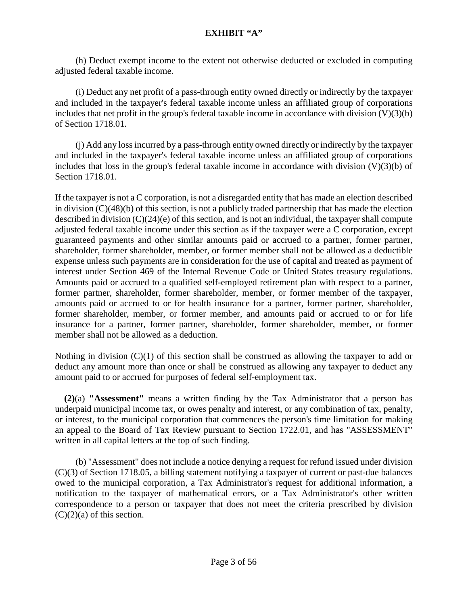(h) Deduct exempt income to the extent not otherwise deducted or excluded in computing adjusted federal taxable income.

 (i) Deduct any net profit of a pass-through entity owned directly or indirectly by the taxpayer and included in the taxpayer's federal taxable income unless an affiliated group of corporations includes that net profit in the group's federal taxable income in accordance with division  $(V)(3)(b)$ of Section 1718.01.

 (j) Add any loss incurred by a pass-through entity owned directly or indirectly by the taxpayer and included in the taxpayer's federal taxable income unless an affiliated group of corporations includes that loss in the group's federal taxable income in accordance with division  $(V)(3)(b)$  of Section 1718.01.

If the taxpayer is not a C corporation, is not a disregarded entity that has made an election described in division (C)(48)(b) of this section, is not a publicly traded partnership that has made the election described in division (C)(24)(e) of this section, and is not an individual, the taxpayer shall compute adjusted federal taxable income under this section as if the taxpayer were a C corporation, except guaranteed payments and other similar amounts paid or accrued to a partner, former partner, shareholder, former shareholder, member, or former member shall not be allowed as a deductible expense unless such payments are in consideration for the use of capital and treated as payment of interest under Section 469 of the Internal Revenue Code or United States treasury regulations. Amounts paid or accrued to a qualified self-employed retirement plan with respect to a partner, former partner, shareholder, former shareholder, member, or former member of the taxpayer, amounts paid or accrued to or for health insurance for a partner, former partner, shareholder, former shareholder, member, or former member, and amounts paid or accrued to or for life insurance for a partner, former partner, shareholder, former shareholder, member, or former member shall not be allowed as a deduction.

Nothing in division  $(C)(1)$  of this section shall be construed as allowing the taxpayer to add or deduct any amount more than once or shall be construed as allowing any taxpayer to deduct any amount paid to or accrued for purposes of federal self-employment tax.

 **(2)**(a) **"Assessment"** means a written finding by the Tax Administrator that a person has underpaid municipal income tax, or owes penalty and interest, or any combination of tax, penalty, or interest, to the municipal corporation that commences the person's time limitation for making an appeal to the Board of Tax Review pursuant to Section 1722.01, and has "ASSESSMENT" written in all capital letters at the top of such finding.

 (b) "Assessment" does not include a notice denying a request for refund issued under division (C)(3) of Section 1718.05, a billing statement notifying a taxpayer of current or past-due balances owed to the municipal corporation, a Tax Administrator's request for additional information, a notification to the taxpayer of mathematical errors, or a Tax Administrator's other written correspondence to a person or taxpayer that does not meet the criteria prescribed by division  $(C)(2)(a)$  of this section.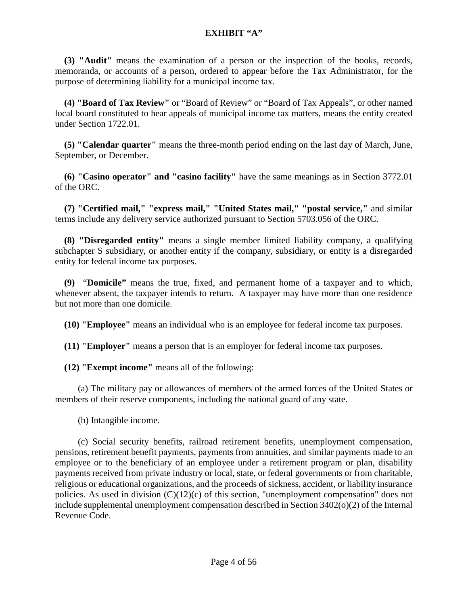**(3) "Audit"** means the examination of a person or the inspection of the books, records, memoranda, or accounts of a person, ordered to appear before the Tax Administrator, for the purpose of determining liability for a municipal income tax.

 **(4) "Board of Tax Review"** or "Board of Review" or "Board of Tax Appeals", or other named local board constituted to hear appeals of municipal income tax matters, means the entity created under Section 1722.01.

 **(5) "Calendar quarter"** means the three-month period ending on the last day of March, June, September, or December.

 **(6) "Casino operator" and "casino facility"** have the same meanings as in Section [3772.01](http://codes.ohio.gov/orc/3772.01) of the ORC.

 **(7) "Certified mail," "express mail," "United States mail," "postal service,"** and similar terms include any delivery service authorized pursuant to Section [5703.056](http://codes.ohio.gov/orc/5703.056) of the ORC.

 **(8) "Disregarded entity"** means a single member limited liability company, a qualifying subchapter S subsidiary, or another entity if the company, subsidiary, or entity is a disregarded entity for federal income tax purposes.

 **(9)** "**Domicile"** means the true, fixed, and permanent home of a taxpayer and to which, whenever absent, the taxpayer intends to return. A taxpayer may have more than one residence but not more than one domicile.

 **(10) "Employee"** means an individual who is an employee for federal income tax purposes.

 **(11) "Employer"** means a person that is an employer for federal income tax purposes.

 **(12) "Exempt income"** means all of the following:

 (a) The military pay or allowances of members of the armed forces of the United States or members of their reserve components, including the national guard of any state.

(b) Intangible income.

 (c) Social security benefits, railroad retirement benefits, unemployment compensation, pensions, retirement benefit payments, payments from annuities, and similar payments made to an employee or to the beneficiary of an employee under a retirement program or plan, disability payments received from private industry or local, state, or federal governments or from charitable, religious or educational organizations, and the proceeds of sickness, accident, or liability insurance policies. As used in division (C)(12)(c) of this section, "unemployment compensation" does not include supplemental unemployment compensation described in Section 3402(o)(2) of the Internal Revenue Code.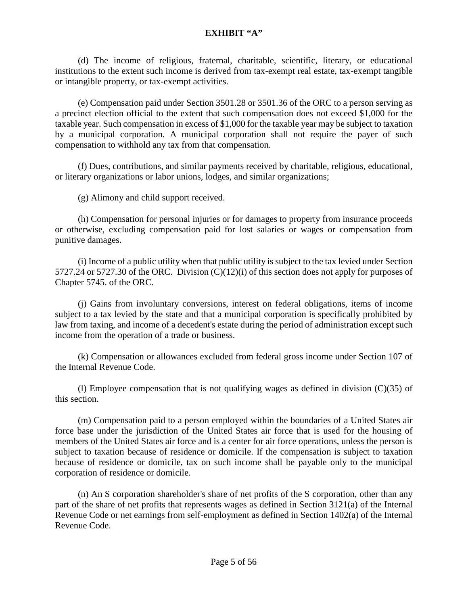(d) The income of religious, fraternal, charitable, scientific, literary, or educational institutions to the extent such income is derived from tax-exempt real estate, tax-exempt tangible or intangible property, or tax-exempt activities.

 (e) Compensation paid under Section [3501.28](http://codes.ohio.gov/orc/3501.28) or [3501.36](http://codes.ohio.gov/orc/3501.36) of the ORC to a person serving as a precinct election official to the extent that such compensation does not exceed \$1,000 for the taxable year. Such compensation in excess of \$1,000 for the taxable year may be subject to taxation by a municipal corporation. A municipal corporation shall not require the payer of such compensation to withhold any tax from that compensation.

 (f) Dues, contributions, and similar payments received by charitable, religious, educational, or literary organizations or labor unions, lodges, and similar organizations;

(g) Alimony and child support received.

 (h) Compensation for personal injuries or for damages to property from insurance proceeds or otherwise, excluding compensation paid for lost salaries or wages or compensation from punitive damages.

 (i) Income of a public utility when that public utility is subject to the tax levied under Section [5727.24](http://codes.ohio.gov/orc/5727.24) or [5727.30](http://codes.ohio.gov/orc/5727.30) of the ORC. Division (C)(12)(i) of this section does not apply for purposes of Chapter 5745. of the ORC.

 (j) Gains from involuntary conversions, interest on federal obligations, items of income subject to a tax levied by the state and that a municipal corporation is specifically prohibited by law from taxing, and income of a decedent's estate during the period of administration except such income from the operation of a trade or business.

 (k) Compensation or allowances excluded from federal gross income under Section 107 of the Internal Revenue Code.

(1) Employee compensation that is not qualifying wages as defined in division  $(C)(35)$  of this section.

 (m) Compensation paid to a person employed within the boundaries of a United States air force base under the jurisdiction of the United States air force that is used for the housing of members of the United States air force and is a center for air force operations, unless the person is subject to taxation because of residence or domicile. If the compensation is subject to taxation because of residence or domicile, tax on such income shall be payable only to the municipal corporation of residence or domicile.

 (n) An S corporation shareholder's share of net profits of the S corporation, other than any part of the share of net profits that represents wages as defined in Section 3121(a) of the Internal Revenue Code or net earnings from self-employment as defined in Section 1402(a) of the Internal Revenue Code.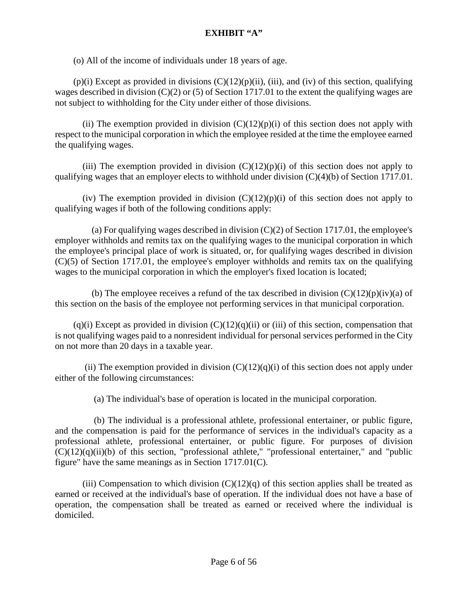(o) All of the income of individuals under 18 years of age.

 $(p)(i)$  Except as provided in divisions  $(C)(12)(p)(ii)$ , (iii), and (iv) of this section, qualifying wages described in division (C)(2) or (5) of Section 1717.01 to the extent the qualifying wages are not subject to withholding for the City under either of those divisions.

(ii) The exemption provided in division  $(C)(12)(p)(i)$  of this section does not apply with respect to the municipal corporation in which the employee resided at the time the employee earned the qualifying wages.

(iii) The exemption provided in division  $(C)(12)(p)(i)$  of this section does not apply to qualifying wages that an employer elects to withhold under division (C)(4)(b) of Section 1717.01.

(iv) The exemption provided in division  $(C)(12)(p)(i)$  of this section does not apply to qualifying wages if both of the following conditions apply:

(a) For qualifying wages described in division  $(C)(2)$  of Section 1717.01, the employee's employer withholds and remits tax on the qualifying wages to the municipal corporation in which the employee's principal place of work is situated, or, for qualifying wages described in division (C)(5) of Section 1717.01, the employee's employer withholds and remits tax on the qualifying wages to the municipal corporation in which the employer's fixed location is located;

(b) The employee receives a refund of the tax described in division  $(C)(12)(p)(iv)(a)$  of this section on the basis of the employee not performing services in that municipal corporation.

 $(q)(i)$  Except as provided in division  $(C)(12)(q)(ii)$  or (iii) of this section, compensation that is not qualifying wages paid to a nonresident individual for personal services performed in the City on not more than 20 days in a taxable year.

(ii) The exemption provided in division  $(C)(12)(q)(i)$  of this section does not apply under either of the following circumstances:

(a) The individual's base of operation is located in the municipal corporation.

 (b) The individual is a professional athlete, professional entertainer, or public figure, and the compensation is paid for the performance of services in the individual's capacity as a professional athlete, professional entertainer, or public figure. For purposes of division  $(C)(12)(q)(ii)(b)$  of this section, "professional athlete," "professional entertainer," and "public figure" have the same meanings as in Section 1717.01(C).

(iii) Compensation to which division  $(C)(12)(q)$  of this section applies shall be treated as earned or received at the individual's base of operation. If the individual does not have a base of operation, the compensation shall be treated as earned or received where the individual is domiciled.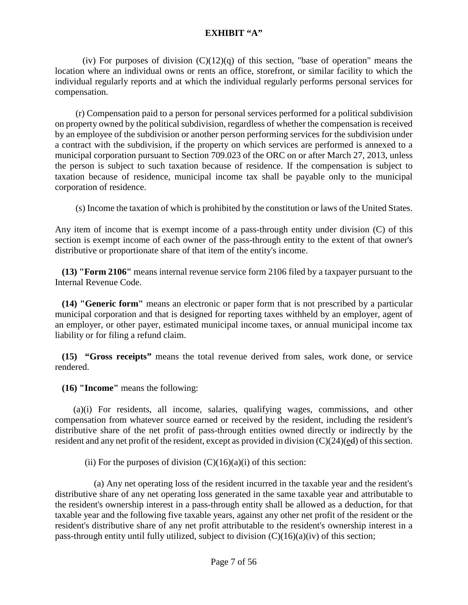(iv) For purposes of division  $(C)(12)(q)$  of this section, "base of operation" means the location where an individual owns or rents an office, storefront, or similar facility to which the individual regularly reports and at which the individual regularly performs personal services for compensation.

 (r) Compensation paid to a person for personal services performed for a political subdivision on property owned by the political subdivision, regardless of whether the compensation is received by an employee of the subdivision or another person performing services for the subdivision under a contract with the subdivision, if the property on which services are performed is annexed to a municipal corporation pursuant to Section [709.023](http://codes.ohio.gov/orc/709.023) of the ORC on or after March 27, 2013, unless the person is subject to such taxation because of residence. If the compensation is subject to taxation because of residence, municipal income tax shall be payable only to the municipal corporation of residence.

(s) Income the taxation of which is prohibited by the constitution or laws of the United States.

Any item of income that is exempt income of a pass-through entity under division (C) of this section is exempt income of each owner of the pass-through entity to the extent of that owner's distributive or proportionate share of that item of the entity's income.

 **(13) "Form 2106"** means internal revenue service form 2106 filed by a taxpayer pursuant to the Internal Revenue Code.

 **(14) "Generic form"** means an electronic or paper form that is not prescribed by a particular municipal corporation and that is designed for reporting taxes withheld by an employer, agent of an employer, or other payer, estimated municipal income taxes, or annual municipal income tax liability or for filing a refund claim.

 **(15) "Gross receipts"** means the total revenue derived from sales, work done, or service rendered.

 **(16) "Income"** means the following:

 (a)(i) For residents, all income, salaries, qualifying wages, commissions, and other compensation from whatever source earned or received by the resident, including the resident's distributive share of the net profit of pass-through entities owned directly or indirectly by the resident and any net profit of the resident, except as provided in division  $(C)(24)(ed)$  of this section.

(ii) For the purposes of division  $(C)(16)(a)(i)$  of this section:

 (a) Any net operating loss of the resident incurred in the taxable year and the resident's distributive share of any net operating loss generated in the same taxable year and attributable to the resident's ownership interest in a pass-through entity shall be allowed as a deduction, for that taxable year and the following five taxable years, against any other net profit of the resident or the resident's distributive share of any net profit attributable to the resident's ownership interest in a pass-through entity until fully utilized, subject to division  $(C)(16)(a)(iv)$  of this section;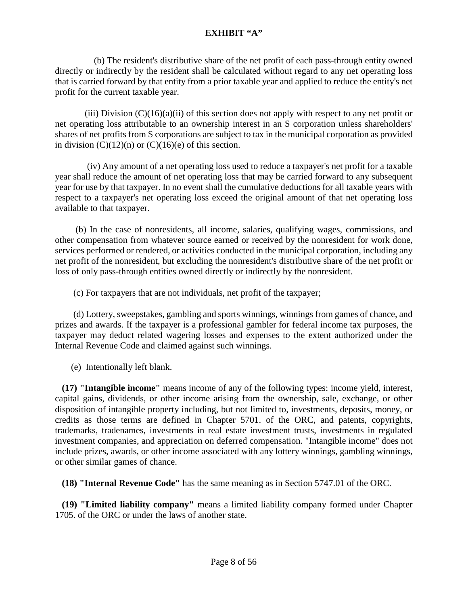(b) The resident's distributive share of the net profit of each pass-through entity owned directly or indirectly by the resident shall be calculated without regard to any net operating loss that is carried forward by that entity from a prior taxable year and applied to reduce the entity's net profit for the current taxable year.

(iii) Division  $(C)(16)(a)(ii)$  of this section does not apply with respect to any net profit or net operating loss attributable to an ownership interest in an S corporation unless shareholders' shares of net profits from S corporations are subject to tax in the municipal corporation as provided in division  $(C)(12)(n)$  or  $(C)(16)(e)$  of this section.

 (iv) Any amount of a net operating loss used to reduce a taxpayer's net profit for a taxable year shall reduce the amount of net operating loss that may be carried forward to any subsequent year for use by that taxpayer. In no event shall the cumulative deductions for all taxable years with respect to a taxpayer's net operating loss exceed the original amount of that net operating loss available to that taxpayer.

 (b) In the case of nonresidents, all income, salaries, qualifying wages, commissions, and other compensation from whatever source earned or received by the nonresident for work done, services performed or rendered, or activities conducted in the municipal corporation, including any net profit of the nonresident, but excluding the nonresident's distributive share of the net profit or loss of only pass-through entities owned directly or indirectly by the nonresident.

(c) For taxpayers that are not individuals, net profit of the taxpayer;

 (d) Lottery, sweepstakes, gambling and sports winnings, winnings from games of chance, and prizes and awards. If the taxpayer is a professional gambler for federal income tax purposes, the taxpayer may deduct related wagering losses and expenses to the extent authorized under the Internal Revenue Code and claimed against such winnings.

(e) Intentionally left blank.

 **(17) "Intangible income"** means income of any of the following types: income yield, interest, capital gains, dividends, or other income arising from the ownership, sale, exchange, or other disposition of intangible property including, but not limited to, investments, deposits, money, or credits as those terms are defined in Chapter 5701. of the ORC, and patents, copyrights, trademarks, tradenames, investments in real estate investment trusts, investments in regulated investment companies, and appreciation on deferred compensation. "Intangible income" does not include prizes, awards, or other income associated with any lottery winnings, gambling winnings, or other similar games of chance.

 **(18) "Internal Revenue Code"** has the same meaning as in Section [5747.01](http://codes.ohio.gov/orc/5747.01) of the ORC.

 **(19) "Limited liability company"** means a limited liability company formed under Chapter 1705. of the ORC or under the laws of another state.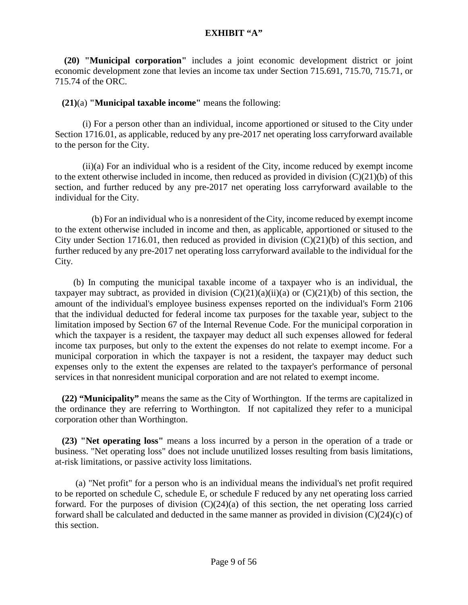**(20) "Municipal corporation"** includes a joint economic development district or joint economic development zone that levies an income tax under Section [715.691,](http://codes.ohio.gov/orc/715.691) [715.70,](http://codes.ohio.gov/orc/715.70) [715.71,](http://codes.ohio.gov/orc/715.71) or [715.74](http://codes.ohio.gov/orc/715.74) of the ORC.

## **(21)**(a) **"Municipal taxable income"** means the following:

(i) For a person other than an individual, income apportioned or sitused to the City under Section 1716.01, as applicable, reduced by any pre-2017 net operating loss carryforward available to the person for the City.

(ii)(a) For an individual who is a resident of the City, income reduced by exempt income to the extent otherwise included in income, then reduced as provided in division (C)(21)(b) of this section, and further reduced by any pre-2017 net operating loss carryforward available to the individual for the City.

 (b) For an individual who is a nonresident of the City, income reduced by exempt income to the extent otherwise included in income and then, as applicable, apportioned or sitused to the City under Section 1716.01, then reduced as provided in division (C)(21)(b) of this section, and further reduced by any pre-2017 net operating loss carryforward available to the individual for the City.

 (b) In computing the municipal taxable income of a taxpayer who is an individual, the taxpayer may subtract, as provided in division  $(C)(21)(a)(ii)(a)$  or  $(C)(21)(b)$  of this section, the amount of the individual's employee business expenses reported on the individual's Form 2106 that the individual deducted for federal income tax purposes for the taxable year, subject to the limitation imposed by Section 67 of the Internal Revenue Code. For the municipal corporation in which the taxpayer is a resident, the taxpayer may deduct all such expenses allowed for federal income tax purposes, but only to the extent the expenses do not relate to exempt income. For a municipal corporation in which the taxpayer is not a resident, the taxpayer may deduct such expenses only to the extent the expenses are related to the taxpayer's performance of personal services in that nonresident municipal corporation and are not related to exempt income.

 **(22) "Municipality"** means the same as the City of Worthington. If the terms are capitalized in the ordinance they are referring to Worthington. If not capitalized they refer to a municipal corporation other than Worthington.

 **(23) "Net operating loss"** means a loss incurred by a person in the operation of a trade or business. "Net operating loss" does not include unutilized losses resulting from basis limitations, at-risk limitations, or passive activity loss limitations.

 (a) "Net profit" for a person who is an individual means the individual's net profit required to be reported on schedule C, schedule E, or schedule F reduced by any net operating loss carried forward. For the purposes of division  $(C)(24)(a)$  of this section, the net operating loss carried forward shall be calculated and deducted in the same manner as provided in division (C)(24)(c) of this section.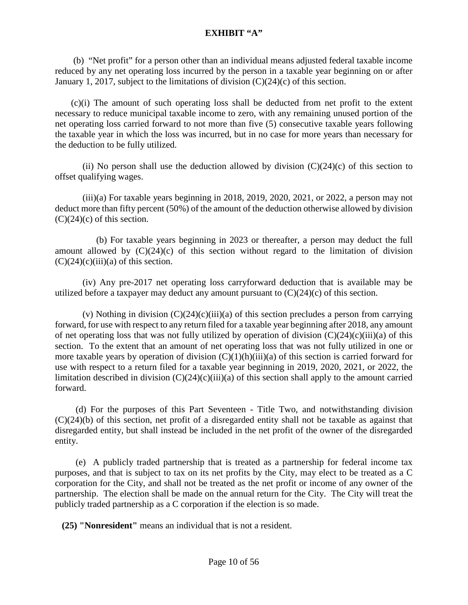(b) "Net profit" for a person other than an individual means adjusted federal taxable income reduced by any net operating loss incurred by the person in a taxable year beginning on or after January 1, 2017, subject to the limitations of division (C)(24)(c) of this section.

 (c)(i) The amount of such operating loss shall be deducted from net profit to the extent necessary to reduce municipal taxable income to zero, with any remaining unused portion of the net operating loss carried forward to not more than five (5) consecutive taxable years following the taxable year in which the loss was incurred, but in no case for more years than necessary for the deduction to be fully utilized.

(ii) No person shall use the deduction allowed by division  $(C)(24)(c)$  of this section to offset qualifying wages.

 $(iii)(a)$  For taxable years beginning in 2018, 2019, 2020, 2021, or 2022, a person may not deduct more than fifty percent (50%) of the amount of the deduction otherwise allowed by division  $(C)(24)(c)$  of this section.

 (b) For taxable years beginning in 2023 or thereafter, a person may deduct the full amount allowed by  $(C)(24)(c)$  of this section without regard to the limitation of division  $(C)(24)(c)(iii)(a)$  of this section.

(iv) Any pre-2017 net operating loss carryforward deduction that is available may be utilized before a taxpayer may deduct any amount pursuant to  $(C)(24)(c)$  of this section.

(v) Nothing in division  $(C)(24)(c)(iii)(a)$  of this section precludes a person from carrying forward, for use with respect to any return filed for a taxable year beginning after 2018, any amount of net operating loss that was not fully utilized by operation of division  $(C)(24)(c)(iii)(a)$  of this section. To the extent that an amount of net operating loss that was not fully utilized in one or more taxable years by operation of division  $(C)(1)(h)(iii)(a)$  of this section is carried forward for use with respect to a return filed for a taxable year beginning in 2019, 2020, 2021, or 2022, the limitation described in division  $(C)(24)(c)(iii)(a)$  of this section shall apply to the amount carried forward.

 (d) For the purposes of this Part Seventeen - Title Two, and notwithstanding division (C)(24)(b) of this section, net profit of a disregarded entity shall not be taxable as against that disregarded entity, but shall instead be included in the net profit of the owner of the disregarded entity.

 (e) A publicly traded partnership that is treated as a partnership for federal income tax purposes, and that is subject to tax on its net profits by the City, may elect to be treated as a C corporation for the City, and shall not be treated as the net profit or income of any owner of the partnership. The election shall be made on the annual return for the City. The City will treat the publicly traded partnership as a C corporation if the election is so made.

 **(25) "Nonresident"** means an individual that is not a resident.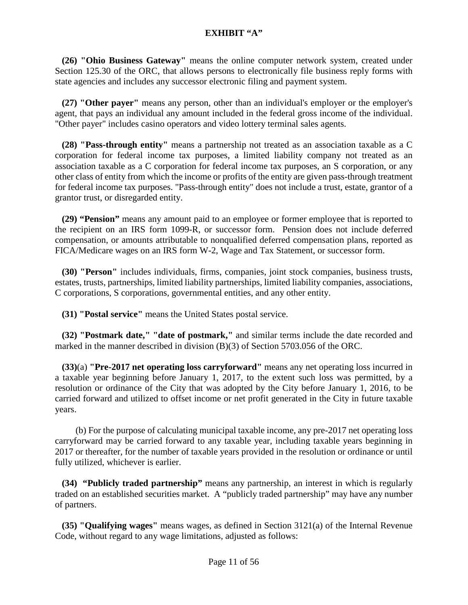**(26) "Ohio Business Gateway"** means the online computer network system, created under Section [125.30](http://codes.ohio.gov/orc/125.30) of the ORC, that allows persons to electronically file business reply forms with state agencies and includes any successor electronic filing and payment system.

 **(27) "Other payer"** means any person, other than an individual's employer or the employer's agent, that pays an individual any amount included in the federal gross income of the individual. "Other payer" includes casino operators and video lottery terminal sales agents.

 **(28) "Pass-through entity"** means a partnership not treated as an association taxable as a C corporation for federal income tax purposes, a limited liability company not treated as an association taxable as a C corporation for federal income tax purposes, an S corporation, or any other class of entity from which the income or profits of the entity are given pass-through treatment for federal income tax purposes. "Pass-through entity" does not include a trust, estate, grantor of a grantor trust, or disregarded entity.

 **(29) "Pension"** means any amount paid to an employee or former employee that is reported to the recipient on an IRS form 1099-R, or successor form. Pension does not include deferred compensation, or amounts attributable to nonqualified deferred compensation plans, reported as FICA/Medicare wages on an IRS form W-2, Wage and Tax Statement, or successor form.

 **(30) "Person"** includes individuals, firms, companies, joint stock companies, business trusts, estates, trusts, partnerships, limited liability partnerships, limited liability companies, associations, C corporations, S corporations, governmental entities, and any other entity.

 **(31) "Postal service"** means the United States postal service.

 **(32) "Postmark date," "date of postmark,"** and similar terms include the date recorded and marked in the manner described in division (B)(3) of Section [5703.056](http://codes.ohio.gov/orc/5703.056) of the ORC.

 **(33)**(a) **"Pre-2017 net operating loss carryforward"** means any net operating loss incurred in a taxable year beginning before January 1, 2017, to the extent such loss was permitted, by a resolution or ordinance of the City that was adopted by the City before January 1, 2016, to be carried forward and utilized to offset income or net profit generated in the City in future taxable years.

 (b) For the purpose of calculating municipal taxable income, any pre-2017 net operating loss carryforward may be carried forward to any taxable year, including taxable years beginning in 2017 or thereafter, for the number of taxable years provided in the resolution or ordinance or until fully utilized, whichever is earlier.

 **(34) "Publicly traded partnership"** means any partnership, an interest in which is regularly traded on an established securities market. A "publicly traded partnership" may have any number of partners.

 **(35) "Qualifying wages"** means wages, as defined in Section 3121(a) of the Internal Revenue Code, without regard to any wage limitations, adjusted as follows: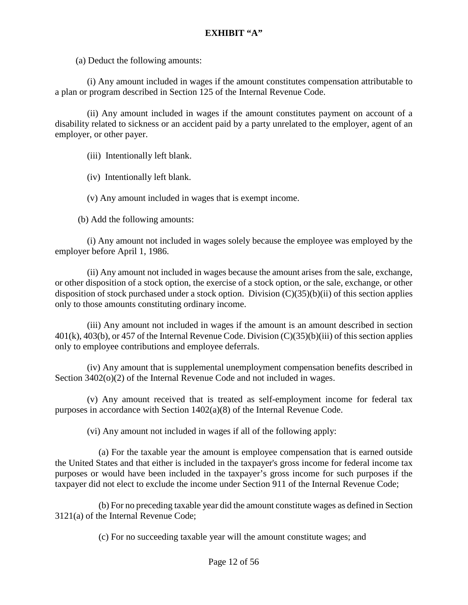(a) Deduct the following amounts:

 (i) Any amount included in wages if the amount constitutes compensation attributable to a plan or program described in Section 125 of the Internal Revenue Code.

 (ii) Any amount included in wages if the amount constitutes payment on account of a disability related to sickness or an accident paid by a party unrelated to the employer, agent of an employer, or other payer.

(iii) Intentionally left blank.

(iv) Intentionally left blank.

(v) Any amount included in wages that is exempt income.

(b) Add the following amounts:

 (i) Any amount not included in wages solely because the employee was employed by the employer before April 1, 1986.

 (ii) Any amount not included in wages because the amount arises from the sale, exchange, or other disposition of a stock option, the exercise of a stock option, or the sale, exchange, or other disposition of stock purchased under a stock option. Division (C)(35)(b)(ii) of this section applies only to those amounts constituting ordinary income.

 (iii) Any amount not included in wages if the amount is an amount described in section 401(k), 403(b), or 457 of the Internal Revenue Code. Division (C)(35)(b)(iii) of this section applies only to employee contributions and employee deferrals.

 (iv) Any amount that is supplemental unemployment compensation benefits described in Section 3402(o)(2) of the Internal Revenue Code and not included in wages.

 (v) Any amount received that is treated as self-employment income for federal tax purposes in accordance with Section 1402(a)(8) of the Internal Revenue Code.

(vi) Any amount not included in wages if all of the following apply:

 (a) For the taxable year the amount is employee compensation that is earned outside the United States and that either is included in the taxpayer's gross income for federal income tax purposes or would have been included in the taxpayer's gross income for such purposes if the taxpayer did not elect to exclude the income under Section 911 of the Internal Revenue Code;

 (b) For no preceding taxable year did the amount constitute wages as defined in Section 3121(a) of the Internal Revenue Code;

(c) For no succeeding taxable year will the amount constitute wages; and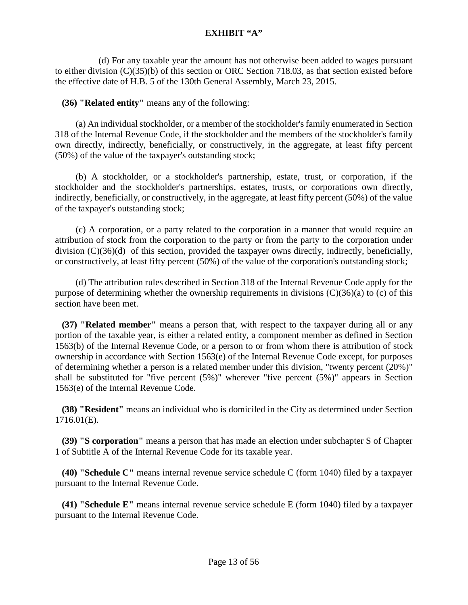(d) For any taxable year the amount has not otherwise been added to wages pursuant to either division (C)(35)(b) of this section or ORC Section 718.03, as that section existed before the effective date of H.B. 5 of the 130th General Assembly, March 23, 2015.

**(36) "Related entity"** means any of the following:

 (a) An individual stockholder, or a member of the stockholder's family enumerated in Section 318 of the Internal Revenue Code, if the stockholder and the members of the stockholder's family own directly, indirectly, beneficially, or constructively, in the aggregate, at least fifty percent (50%) of the value of the taxpayer's outstanding stock;

 (b) A stockholder, or a stockholder's partnership, estate, trust, or corporation, if the stockholder and the stockholder's partnerships, estates, trusts, or corporations own directly, indirectly, beneficially, or constructively, in the aggregate, at least fifty percent (50%) of the value of the taxpayer's outstanding stock;

 (c) A corporation, or a party related to the corporation in a manner that would require an attribution of stock from the corporation to the party or from the party to the corporation under division (C)(36)(d) of this section, provided the taxpayer owns directly, indirectly, beneficially, or constructively, at least fifty percent (50%) of the value of the corporation's outstanding stock;

 (d) The attribution rules described in Section 318 of the Internal Revenue Code apply for the purpose of determining whether the ownership requirements in divisions  $(C)(36)(a)$  to (c) of this section have been met.

 **(37) "Related member"** means a person that, with respect to the taxpayer during all or any portion of the taxable year, is either a related entity, a component member as defined in Section 1563(b) of the Internal Revenue Code, or a person to or from whom there is attribution of stock ownership in accordance with Section 1563(e) of the Internal Revenue Code except, for purposes of determining whether a person is a related member under this division, "twenty percent (20%)" shall be substituted for "five percent (5%)" wherever "five percent (5%)" appears in Section 1563(e) of the Internal Revenue Code.

 **(38) "Resident"** means an individual who is domiciled in the City as determined under Section 1716.01(E).

 **(39) "S corporation"** means a person that has made an election under subchapter S of Chapter 1 of Subtitle A of the Internal Revenue Code for its taxable year.

 **(40) "Schedule C"** means internal revenue service schedule C (form 1040) filed by a taxpayer pursuant to the Internal Revenue Code.

 **(41) "Schedule E"** means internal revenue service schedule E (form 1040) filed by a taxpayer pursuant to the Internal Revenue Code.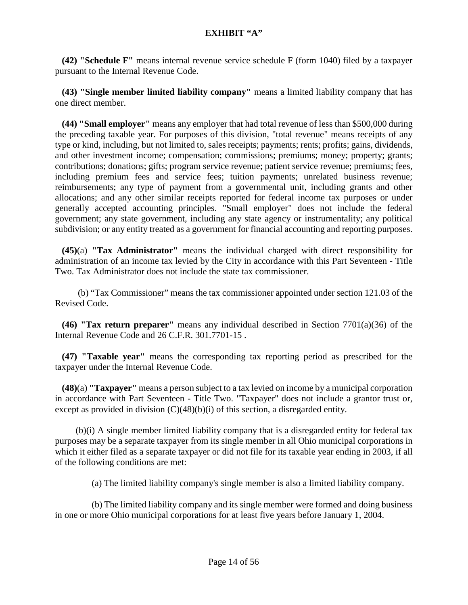**(42) "Schedule F"** means internal revenue service schedule F (form 1040) filed by a taxpayer pursuant to the Internal Revenue Code.

 **(43) "Single member limited liability company"** means a limited liability company that has one direct member.

 **(44) "Small employer"** means any employer that had total revenue of less than \$500,000 during the preceding taxable year. For purposes of this division, "total revenue" means receipts of any type or kind, including, but not limited to, sales receipts; payments; rents; profits; gains, dividends, and other investment income; compensation; commissions; premiums; money; property; grants; contributions; donations; gifts; program service revenue; patient service revenue; premiums; fees, including premium fees and service fees; tuition payments; unrelated business revenue; reimbursements; any type of payment from a governmental unit, including grants and other allocations; and any other similar receipts reported for federal income tax purposes or under generally accepted accounting principles. "Small employer" does not include the federal government; any state government, including any state agency or instrumentality; any political subdivision; or any entity treated as a government for financial accounting and reporting purposes.

 **(45)**(a) **"Tax Administrator"** means the individual charged with direct responsibility for administration of an income tax levied by the City in accordance with this Part Seventeen - Title Two. Tax Administrator does not include the state tax commissioner.

 (b) "Tax Commissioner" means the tax commissioner appointed under section 121.03 of the Revised Code.

 **(46) "Tax return preparer"** means any individual described in Section 7701(a)(36) of the Internal Revenue Code and 26 C.F.R. 301.7701-15 .

 **(47) "Taxable year"** means the corresponding tax reporting period as prescribed for the taxpayer under the Internal Revenue Code.

 **(48)**(a) **"Taxpayer"** means a person subject to a tax levied on income by a municipal corporation in accordance with Part Seventeen - Title Two. "Taxpayer" does not include a grantor trust or, except as provided in division (C)(48)(b)(i) of this section, a disregarded entity.

 (b)(i) A single member limited liability company that is a disregarded entity for federal tax purposes may be a separate taxpayer from its single member in all Ohio municipal corporations in which it either filed as a separate taxpayer or did not file for its taxable year ending in 2003, if all of the following conditions are met:

(a) The limited liability company's single member is also a limited liability company.

 (b) The limited liability company and its single member were formed and doing business in one or more Ohio municipal corporations for at least five years before January 1, 2004.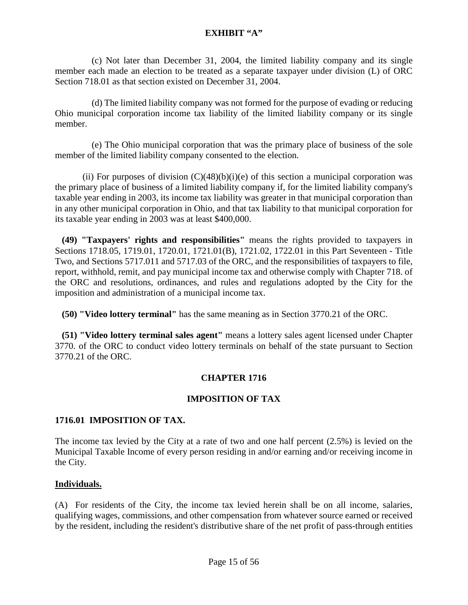(c) Not later than December 31, 2004, the limited liability company and its single member each made an election to be treated as a separate taxpayer under division (L) of ORC Section 718.01 as that section existed on December 31, 2004.

 (d) The limited liability company was not formed for the purpose of evading or reducing Ohio municipal corporation income tax liability of the limited liability company or its single member.

 (e) The Ohio municipal corporation that was the primary place of business of the sole member of the limited liability company consented to the election.

(ii) For purposes of division  $(C)(48)(b)(i)(e)$  of this section a municipal corporation was the primary place of business of a limited liability company if, for the limited liability company's taxable year ending in 2003, its income tax liability was greater in that municipal corporation than in any other municipal corporation in Ohio, and that tax liability to that municipal corporation for its taxable year ending in 2003 was at least \$400,000.

 **(49) "Taxpayers' rights and responsibilities"** means the rights provided to taxpayers in Sections 1718.05, 1719.01, 1720.01, 1721.01(B), 1721.02, 1722.01 in this Part Seventeen - Title Two, and Sections [5717.011](http://codes.ohio.gov/orc/5717.011) and [5717.03](http://codes.ohio.gov/orc/5717.03) of the ORC, and the responsibilities of taxpayers to file, report, withhold, remit, and pay municipal income tax and otherwise comply with Chapter 718. of the ORC and resolutions, ordinances, and rules and regulations adopted by the City for the imposition and administration of a municipal income tax.

 **(50) "Video lottery terminal"** has the same meaning as in Section [3770.21](http://codes.ohio.gov/orc/3770.21) of the ORC.

 **(51) "Video lottery terminal sales agent"** means a lottery sales agent licensed under Chapter 3770. of the ORC to conduct video lottery terminals on behalf of the state pursuant to Section [3770.21](http://codes.ohio.gov/orc/3770.21) of the ORC.

# **CHAPTER 1716**

#### **IMPOSITION OF TAX**

#### **1716.01 IMPOSITION OF TAX.**

The income tax levied by the City at a rate of two and one half percent (2.5%) is levied on the Municipal Taxable Income of every person residing in and/or earning and/or receiving income in the City.

#### **Individuals.**

(A) For residents of the City, the income tax levied herein shall be on all income, salaries, qualifying wages, commissions, and other compensation from whatever source earned or received by the resident, including the resident's distributive share of the net profit of pass-through entities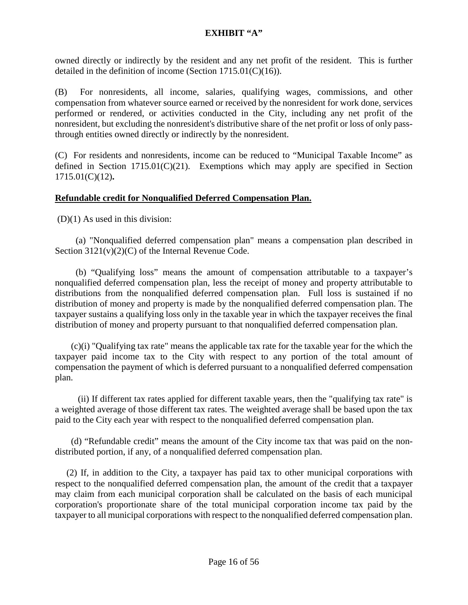owned directly or indirectly by the resident and any net profit of the resident. This is further detailed in the definition of income (Section 1715.01(C)(16)).

(B) For nonresidents, all income, salaries, qualifying wages, commissions, and other compensation from whatever source earned or received by the nonresident for work done, services performed or rendered, or activities conducted in the City, including any net profit of the nonresident, but excluding the nonresident's distributive share of the net profit or loss of only passthrough entities owned directly or indirectly by the nonresident.

(C) For residents and nonresidents, income can be reduced to "Municipal Taxable Income" as defined in Section  $1715.01(C)(21)$ . Exemptions which may apply are specified in Section 1715.01(C)(12)**.**

## **Refundable credit for Nonqualified Deferred Compensation Plan.**

(D)(1) As used in this division:

 (a) "Nonqualified deferred compensation plan" means a compensation plan described in Section 3121(v)(2)(C) of the Internal Revenue Code.

 (b) "Qualifying loss" means the amount of compensation attributable to a taxpayer's nonqualified deferred compensation plan, less the receipt of money and property attributable to distributions from the nonqualified deferred compensation plan. Full loss is sustained if no distribution of money and property is made by the nonqualified deferred compensation plan. The taxpayer sustains a qualifying loss only in the taxable year in which the taxpayer receives the final distribution of money and property pursuant to that nonqualified deferred compensation plan.

 (c)(i) "Qualifying tax rate" means the applicable tax rate for the taxable year for the which the taxpayer paid income tax to the City with respect to any portion of the total amount of compensation the payment of which is deferred pursuant to a nonqualified deferred compensation plan.

 (ii) If different tax rates applied for different taxable years, then the "qualifying tax rate" is a weighted average of those different tax rates. The weighted average shall be based upon the tax paid to the City each year with respect to the nonqualified deferred compensation plan.

 (d) "Refundable credit" means the amount of the City income tax that was paid on the nondistributed portion, if any, of a nonqualified deferred compensation plan.

 (2) If, in addition to the City, a taxpayer has paid tax to other municipal corporations with respect to the nonqualified deferred compensation plan, the amount of the credit that a taxpayer may claim from each municipal corporation shall be calculated on the basis of each municipal corporation's proportionate share of the total municipal corporation income tax paid by the taxpayer to all municipal corporations with respect to the nonqualified deferred compensation plan.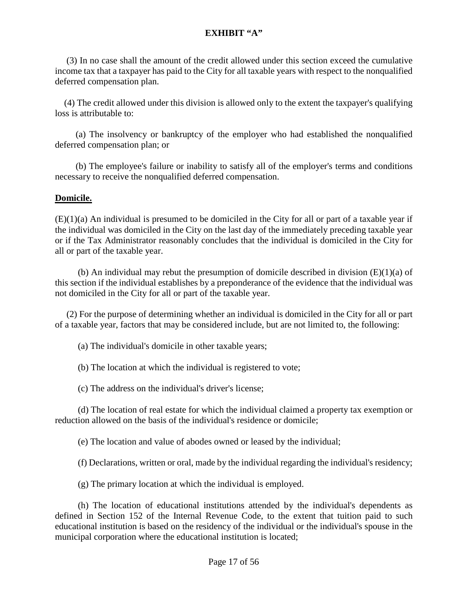(3) In no case shall the amount of the credit allowed under this section exceed the cumulative income tax that a taxpayer has paid to the City for all taxable years with respect to the nonqualified deferred compensation plan.

 (4) The credit allowed under this division is allowed only to the extent the taxpayer's qualifying loss is attributable to:

 (a) The insolvency or bankruptcy of the employer who had established the nonqualified deferred compensation plan; or

 (b) The employee's failure or inability to satisfy all of the employer's terms and conditions necessary to receive the nonqualified deferred compensation.

#### **Domicile.**

(E)(1)(a) An individual is presumed to be domiciled in the City for all or part of a taxable year if the individual was domiciled in the City on the last day of the immediately preceding taxable year or if the Tax Administrator reasonably concludes that the individual is domiciled in the City for all or part of the taxable year.

(b) An individual may rebut the presumption of domicile described in division  $(E)(1)(a)$  of this section if the individual establishes by a preponderance of the evidence that the individual was not domiciled in the City for all or part of the taxable year.

 (2) For the purpose of determining whether an individual is domiciled in the City for all or part of a taxable year, factors that may be considered include, but are not limited to, the following:

(a) The individual's domicile in other taxable years;

(b) The location at which the individual is registered to vote;

(c) The address on the individual's driver's license;

 (d) The location of real estate for which the individual claimed a property tax exemption or reduction allowed on the basis of the individual's residence or domicile;

(e) The location and value of abodes owned or leased by the individual;

(f) Declarations, written or oral, made by the individual regarding the individual's residency;

(g) The primary location at which the individual is employed.

 (h) The location of educational institutions attended by the individual's dependents as defined in Section 152 of the Internal Revenue Code, to the extent that tuition paid to such educational institution is based on the residency of the individual or the individual's spouse in the municipal corporation where the educational institution is located;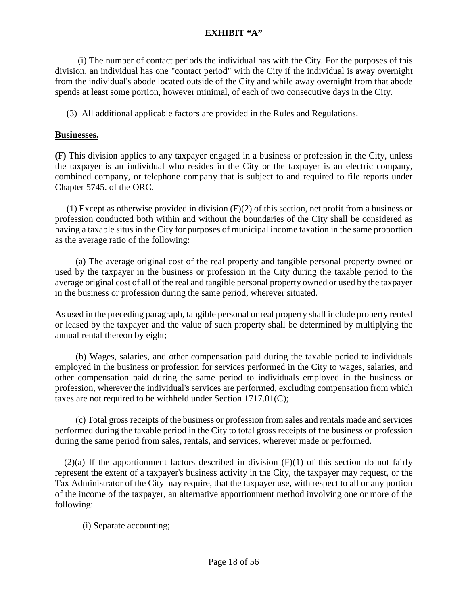(i) The number of contact periods the individual has with the City. For the purposes of this division, an individual has one "contact period" with the City if the individual is away overnight from the individual's abode located outside of the City and while away overnight from that abode spends at least some portion, however minimal, of each of two consecutive days in the City.

(3) All additional applicable factors are provided in the Rules and Regulations.

#### **Businesses.**

**(**F**)** This division applies to any taxpayer engaged in a business or profession in the City, unless the taxpayer is an individual who resides in the City or the taxpayer is an electric company, combined company, or telephone company that is subject to and required to file reports under Chapter 5745. of the ORC.

 (1) Except as otherwise provided in division (F)(2) of this section, net profit from a business or profession conducted both within and without the boundaries of the City shall be considered as having a taxable situs in the City for purposes of municipal income taxation in the same proportion as the average ratio of the following:

 (a) The average original cost of the real property and tangible personal property owned or used by the taxpayer in the business or profession in the City during the taxable period to the average original cost of all of the real and tangible personal property owned or used by the taxpayer in the business or profession during the same period, wherever situated.

As used in the preceding paragraph, tangible personal or real property shall include property rented or leased by the taxpayer and the value of such property shall be determined by multiplying the annual rental thereon by eight;

 (b) Wages, salaries, and other compensation paid during the taxable period to individuals employed in the business or profession for services performed in the City to wages, salaries, and other compensation paid during the same period to individuals employed in the business or profession, wherever the individual's services are performed, excluding compensation from which taxes are not required to be withheld under Section 1717.01(C);

 (c) Total gross receipts of the business or profession from sales and rentals made and services performed during the taxable period in the City to total gross receipts of the business or profession during the same period from sales, rentals, and services, wherever made or performed.

 $(2)(a)$  If the apportionment factors described in division  $(F)(1)$  of this section do not fairly represent the extent of a taxpayer's business activity in the City, the taxpayer may request, or the Tax Administrator of the City may require, that the taxpayer use, with respect to all or any portion of the income of the taxpayer, an alternative apportionment method involving one or more of the following:

(i) Separate accounting;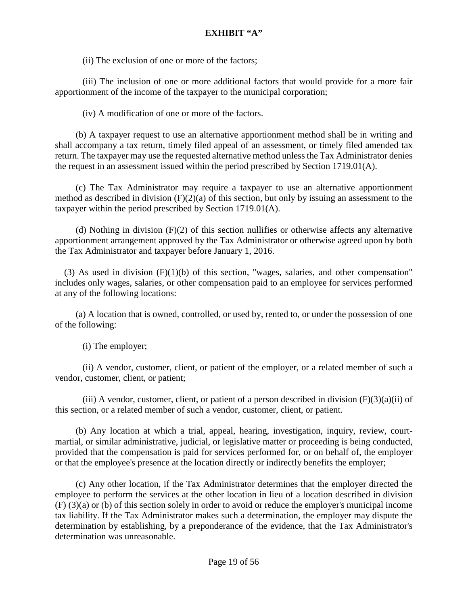(ii) The exclusion of one or more of the factors;

(iii) The inclusion of one or more additional factors that would provide for a more fair apportionment of the income of the taxpayer to the municipal corporation;

(iv) A modification of one or more of the factors.

 (b) A taxpayer request to use an alternative apportionment method shall be in writing and shall accompany a tax return, timely filed appeal of an assessment, or timely filed amended tax return. The taxpayer may use the requested alternative method unless the Tax Administrator denies the request in an assessment issued within the period prescribed by Section 1719.01(A).

 (c) The Tax Administrator may require a taxpayer to use an alternative apportionment method as described in division  $(F)(2)(a)$  of this section, but only by issuing an assessment to the taxpayer within the period prescribed by Section 1719.01(A).

 (d) Nothing in division (F)(2) of this section nullifies or otherwise affects any alternative apportionment arrangement approved by the Tax Administrator or otherwise agreed upon by both the Tax Administrator and taxpayer before January 1, 2016.

(3) As used in division  $(F)(1)(b)$  of this section, "wages, salaries, and other compensation" includes only wages, salaries, or other compensation paid to an employee for services performed at any of the following locations:

 (a) A location that is owned, controlled, or used by, rented to, or under the possession of one of the following:

(i) The employer;

(ii) A vendor, customer, client, or patient of the employer, or a related member of such a vendor, customer, client, or patient;

(iii) A vendor, customer, client, or patient of a person described in division  $(F)(3)(a)(ii)$  of this section, or a related member of such a vendor, customer, client, or patient.

 (b) Any location at which a trial, appeal, hearing, investigation, inquiry, review, courtmartial, or similar administrative, judicial, or legislative matter or proceeding is being conducted, provided that the compensation is paid for services performed for, or on behalf of, the employer or that the employee's presence at the location directly or indirectly benefits the employer;

 (c) Any other location, if the Tax Administrator determines that the employer directed the employee to perform the services at the other location in lieu of a location described in division (F) (3)(a) or (b) of this section solely in order to avoid or reduce the employer's municipal income tax liability. If the Tax Administrator makes such a determination, the employer may dispute the determination by establishing, by a preponderance of the evidence, that the Tax Administrator's determination was unreasonable.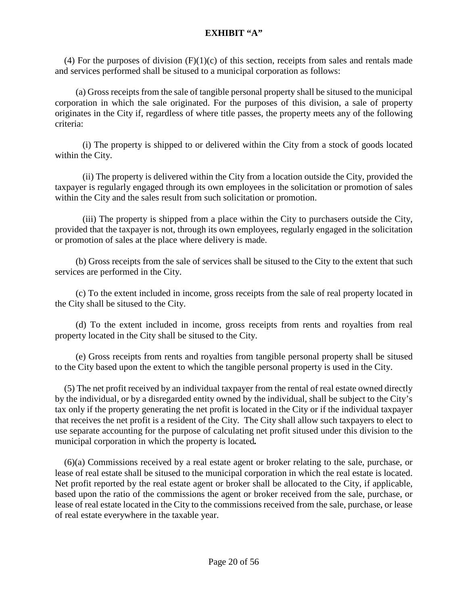(4) For the purposes of division  $(F)(1)(c)$  of this section, receipts from sales and rentals made and services performed shall be sitused to a municipal corporation as follows:

 (a) Gross receipts from the sale of tangible personal property shall be sitused to the municipal corporation in which the sale originated. For the purposes of this division, a sale of property originates in the City if, regardless of where title passes, the property meets any of the following criteria:

(i) The property is shipped to or delivered within the City from a stock of goods located within the City.

(ii) The property is delivered within the City from a location outside the City, provided the taxpayer is regularly engaged through its own employees in the solicitation or promotion of sales within the City and the sales result from such solicitation or promotion.

(iii) The property is shipped from a place within the City to purchasers outside the City, provided that the taxpayer is not, through its own employees, regularly engaged in the solicitation or promotion of sales at the place where delivery is made.

 (b) Gross receipts from the sale of services shall be sitused to the City to the extent that such services are performed in the City.

 (c) To the extent included in income, gross receipts from the sale of real property located in the City shall be sitused to the City.

 (d) To the extent included in income, gross receipts from rents and royalties from real property located in the City shall be sitused to the City.

 (e) Gross receipts from rents and royalties from tangible personal property shall be sitused to the City based upon the extent to which the tangible personal property is used in the City.

 (5) The net profit received by an individual taxpayer from the rental of real estate owned directly by the individual, or by a disregarded entity owned by the individual, shall be subject to the City's tax only if the property generating the net profit is located in the City or if the individual taxpayer that receives the net profit is a resident of the City. The City shall allow such taxpayers to elect to use separate accounting for the purpose of calculating net profit sitused under this division to the municipal corporation in which the property is located*.* 

 (6)(a) Commissions received by a real estate agent or broker relating to the sale, purchase, or lease of real estate shall be sitused to the municipal corporation in which the real estate is located. Net profit reported by the real estate agent or broker shall be allocated to the City, if applicable, based upon the ratio of the commissions the agent or broker received from the sale, purchase, or lease of real estate located in the City to the commissions received from the sale, purchase, or lease of real estate everywhere in the taxable year.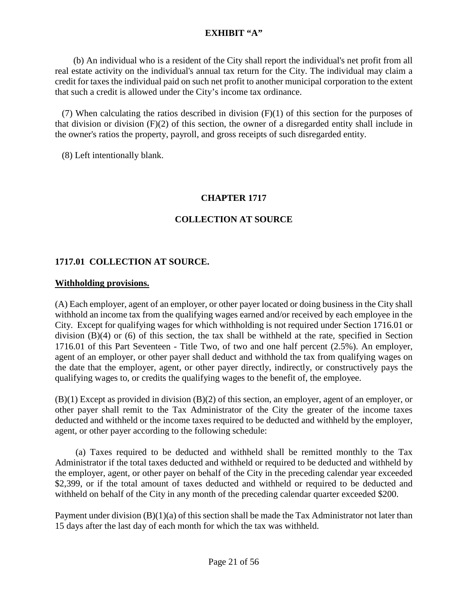(b) An individual who is a resident of the City shall report the individual's net profit from all real estate activity on the individual's annual tax return for the City. The individual may claim a credit for taxes the individual paid on such net profit to another municipal corporation to the extent that such a credit is allowed under the City's income tax ordinance.

 (7) When calculating the ratios described in division (F)(1) of this section for the purposes of that division or division (F)(2) of this section, the owner of a disregarded entity shall include in the owner's ratios the property, payroll, and gross receipts of such disregarded entity.

(8) Left intentionally blank.

#### **CHAPTER 1717**

## **COLLECTION AT SOURCE**

#### **1717.01 COLLECTION AT SOURCE.**

#### **Withholding provisions.**

(A) Each employer, agent of an employer, or other payer located or doing business in the City shall withhold an income tax from the qualifying wages earned and/or received by each employee in the City. Except for qualifying wages for which withholding is not required under Section 1716.01 or division (B)(4) or (6) of this section, the tax shall be withheld at the rate, specified in Section 1716.01 of this Part Seventeen - Title Two, of two and one half percent (2.5%). An employer, agent of an employer, or other payer shall deduct and withhold the tax from qualifying wages on the date that the employer, agent, or other payer directly, indirectly, or constructively pays the qualifying wages to, or credits the qualifying wages to the benefit of, the employee.

(B)(1) Except as provided in division (B)(2) of this section, an employer, agent of an employer, or other payer shall remit to the Tax Administrator of the City the greater of the income taxes deducted and withheld or the income taxes required to be deducted and withheld by the employer, agent, or other payer according to the following schedule:

(a) Taxes required to be deducted and withheld shall be remitted monthly to the Tax Administrator if the total taxes deducted and withheld or required to be deducted and withheld by the employer, agent, or other payer on behalf of the City in the preceding calendar year exceeded \$2,399, or if the total amount of taxes deducted and withheld or required to be deducted and withheld on behalf of the City in any month of the preceding calendar quarter exceeded \$200.

Payment under division  $(B)(1)(a)$  of this section shall be made the Tax Administrator not later than 15 days after the last day of each month for which the tax was withheld.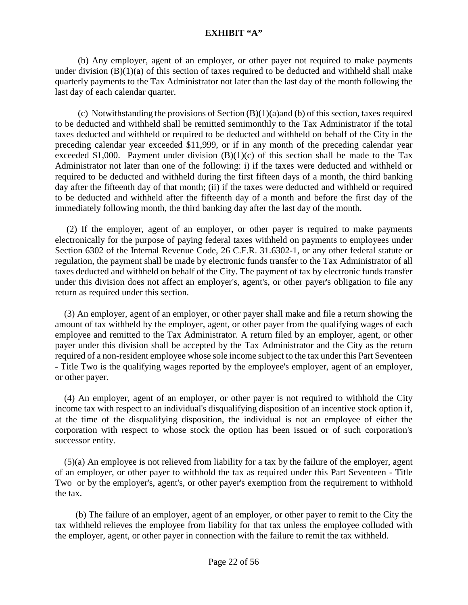(b) Any employer, agent of an employer, or other payer not required to make payments under division  $(B)(1)(a)$  of this section of taxes required to be deducted and withheld shall make quarterly payments to the Tax Administrator not later than the last day of the month following the last day of each calendar quarter.

 (c) Notwithstanding the provisions of Section (B)(1)(a)and (b) of this section, taxes required to be deducted and withheld shall be remitted semimonthly to the Tax Administrator if the total taxes deducted and withheld or required to be deducted and withheld on behalf of the City in the preceding calendar year exceeded \$11,999, or if in any month of the preceding calendar year exceeded \$1,000. Payment under division  $(B)(1)(c)$  of this section shall be made to the Tax Administrator not later than one of the following: i) if the taxes were deducted and withheld or required to be deducted and withheld during the first fifteen days of a month, the third banking day after the fifteenth day of that month; (ii) if the taxes were deducted and withheld or required to be deducted and withheld after the fifteenth day of a month and before the first day of the immediately following month, the third banking day after the last day of the month.

 (2) If the employer, agent of an employer, or other payer is required to make payments electronically for the purpose of paying federal taxes withheld on payments to employees under Section 6302 of the Internal Revenue Code, 26 C.F.R. 31.6302-1, or any other federal statute or regulation, the payment shall be made by electronic funds transfer to the Tax Administrator of all taxes deducted and withheld on behalf of the City. The payment of tax by electronic funds transfer under this division does not affect an employer's, agent's, or other payer's obligation to file any return as required under this section.

 (3) An employer, agent of an employer, or other payer shall make and file a return showing the amount of tax withheld by the employer, agent, or other payer from the qualifying wages of each employee and remitted to the Tax Administrator. A return filed by an employer, agent, or other payer under this division shall be accepted by the Tax Administrator and the City as the return required of a non-resident employee whose sole income subject to the tax under this Part Seventeen - Title Two is the qualifying wages reported by the employee's employer, agent of an employer, or other payer.

 (4) An employer, agent of an employer, or other payer is not required to withhold the City income tax with respect to an individual's disqualifying disposition of an incentive stock option if, at the time of the disqualifying disposition, the individual is not an employee of either the corporation with respect to whose stock the option has been issued or of such corporation's successor entity.

 (5)(a) An employee is not relieved from liability for a tax by the failure of the employer, agent of an employer, or other payer to withhold the tax as required under this Part Seventeen - Title Two or by the employer's, agent's, or other payer's exemption from the requirement to withhold the tax.

 (b) The failure of an employer, agent of an employer, or other payer to remit to the City the tax withheld relieves the employee from liability for that tax unless the employee colluded with the employer, agent, or other payer in connection with the failure to remit the tax withheld.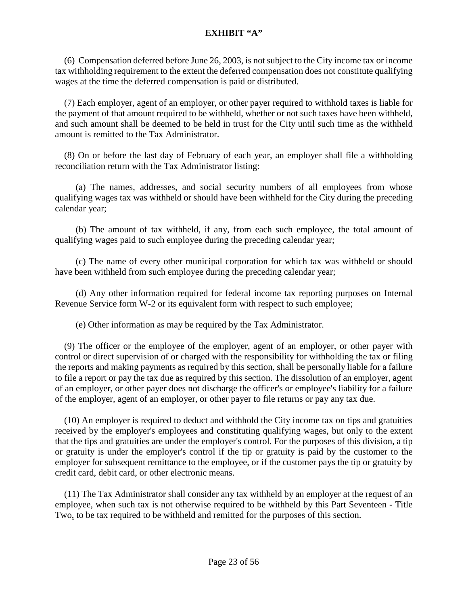(6) Compensation deferred before June 26, 2003, is not subject to the City income tax or income tax withholding requirement to the extent the deferred compensation does not constitute qualifying wages at the time the deferred compensation is paid or distributed.

 (7) Each employer, agent of an employer, or other payer required to withhold taxes is liable for the payment of that amount required to be withheld, whether or not such taxes have been withheld, and such amount shall be deemed to be held in trust for the City until such time as the withheld amount is remitted to the Tax Administrator.

 (8) On or before the last day of February of each year, an employer shall file a withholding reconciliation return with the Tax Administrator listing:

 (a) The names, addresses, and social security numbers of all employees from whose qualifying wages tax was withheld or should have been withheld for the City during the preceding calendar year;

 (b) The amount of tax withheld, if any, from each such employee, the total amount of qualifying wages paid to such employee during the preceding calendar year;

 (c) The name of every other municipal corporation for which tax was withheld or should have been withheld from such employee during the preceding calendar year;

 (d) Any other information required for federal income tax reporting purposes on Internal Revenue Service form W-2 or its equivalent form with respect to such employee;

(e) Other information as may be required by the Tax Administrator.

 (9) The officer or the employee of the employer, agent of an employer, or other payer with control or direct supervision of or charged with the responsibility for withholding the tax or filing the reports and making payments as required by this section, shall be personally liable for a failure to file a report or pay the tax due as required by this section. The dissolution of an employer, agent of an employer, or other payer does not discharge the officer's or employee's liability for a failure of the employer, agent of an employer, or other payer to file returns or pay any tax due.

 (10) An employer is required to deduct and withhold the City income tax on tips and gratuities received by the employer's employees and constituting qualifying wages, but only to the extent that the tips and gratuities are under the employer's control. For the purposes of this division, a tip or gratuity is under the employer's control if the tip or gratuity is paid by the customer to the employer for subsequent remittance to the employee, or if the customer pays the tip or gratuity by credit card, debit card, or other electronic means.

 (11) The Tax Administrator shall consider any tax withheld by an employer at the request of an employee, when such tax is not otherwise required to be withheld by this Part Seventeen - Title Two, to be tax required to be withheld and remitted for the purposes of this section.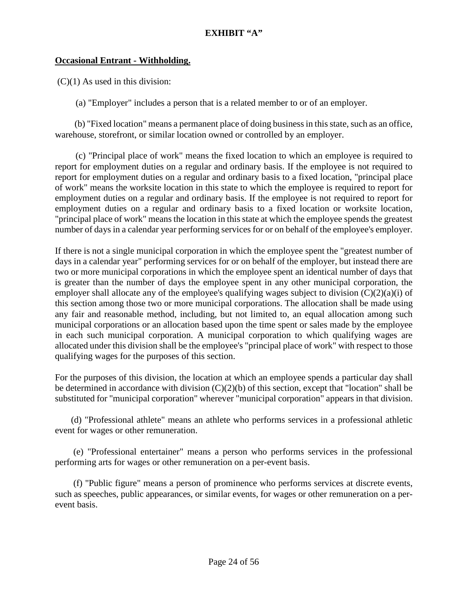#### **Occasional Entrant - Withholding.**

 $(C)(1)$  As used in this division:

(a) "Employer" includes a person that is a related member to or of an employer.

 (b) "Fixed location" means a permanent place of doing business in this state, such as an office, warehouse, storefront, or similar location owned or controlled by an employer.

 (c) "Principal place of work" means the fixed location to which an employee is required to report for employment duties on a regular and ordinary basis. If the employee is not required to report for employment duties on a regular and ordinary basis to a fixed location, "principal place of work" means the worksite location in this state to which the employee is required to report for employment duties on a regular and ordinary basis. If the employee is not required to report for employment duties on a regular and ordinary basis to a fixed location or worksite location, "principal place of work" means the location in this state at which the employee spends the greatest number of days in a calendar year performing services for or on behalf of the employee's employer.

If there is not a single municipal corporation in which the employee spent the "greatest number of days in a calendar year" performing services for or on behalf of the employer, but instead there are two or more municipal corporations in which the employee spent an identical number of days that is greater than the number of days the employee spent in any other municipal corporation, the employer shall allocate any of the employee's qualifying wages subject to division (C)(2)(a)(i) of this section among those two or more municipal corporations. The allocation shall be made using any fair and reasonable method, including, but not limited to, an equal allocation among such municipal corporations or an allocation based upon the time spent or sales made by the employee in each such municipal corporation. A municipal corporation to which qualifying wages are allocated under this division shall be the employee's "principal place of work" with respect to those qualifying wages for the purposes of this section.

For the purposes of this division, the location at which an employee spends a particular day shall be determined in accordance with division  $(C)(2)(b)$  of this section, except that "location" shall be substituted for "municipal corporation" wherever "municipal corporation" appears in that division.

 (d) "Professional athlete" means an athlete who performs services in a professional athletic event for wages or other remuneration.

 (e) "Professional entertainer" means a person who performs services in the professional performing arts for wages or other remuneration on a per-event basis.

 (f) "Public figure" means a person of prominence who performs services at discrete events, such as speeches, public appearances, or similar events, for wages or other remuneration on a perevent basis.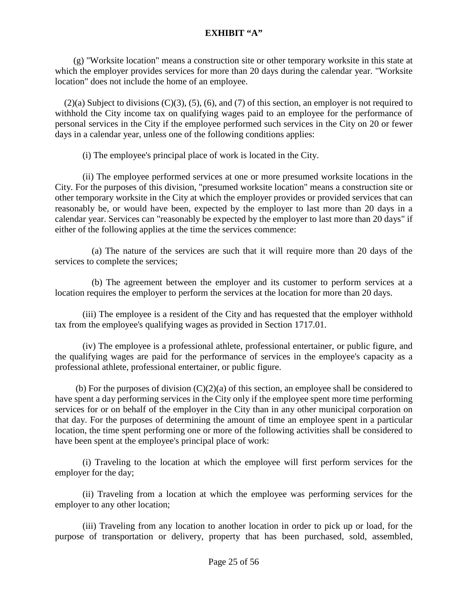(g) "Worksite location" means a construction site or other temporary worksite in this state at which the employer provides services for more than 20 days during the calendar year. "Worksite location" does not include the home of an employee.

 $(2)(a)$  Subject to divisions  $(C)(3)$ ,  $(5)$ ,  $(6)$ , and  $(7)$  of this section, an employer is not required to withhold the City income tax on qualifying wages paid to an employee for the performance of personal services in the City if the employee performed such services in the City on 20 or fewer days in a calendar year, unless one of the following conditions applies:

(i) The employee's principal place of work is located in the City.

(ii) The employee performed services at one or more presumed worksite locations in the City. For the purposes of this division, "presumed worksite location" means a construction site or other temporary worksite in the City at which the employer provides or provided services that can reasonably be, or would have been, expected by the employer to last more than 20 days in a calendar year. Services can "reasonably be expected by the employer to last more than 20 days" if either of the following applies at the time the services commence:

 (a) The nature of the services are such that it will require more than 20 days of the services to complete the services;

 (b) The agreement between the employer and its customer to perform services at a location requires the employer to perform the services at the location for more than 20 days.

(iii) The employee is a resident of the City and has requested that the employer withhold tax from the employee's qualifying wages as provided in Section 1717.01.

(iv) The employee is a professional athlete, professional entertainer, or public figure, and the qualifying wages are paid for the performance of services in the employee's capacity as a professional athlete, professional entertainer, or public figure.

(b) For the purposes of division  $(C)(2)(a)$  of this section, an employee shall be considered to have spent a day performing services in the City only if the employee spent more time performing services for or on behalf of the employer in the City than in any other municipal corporation on that day. For the purposes of determining the amount of time an employee spent in a particular location, the time spent performing one or more of the following activities shall be considered to have been spent at the employee's principal place of work:

(i) Traveling to the location at which the employee will first perform services for the employer for the day;

(ii) Traveling from a location at which the employee was performing services for the employer to any other location;

(iii) Traveling from any location to another location in order to pick up or load, for the purpose of transportation or delivery, property that has been purchased, sold, assembled,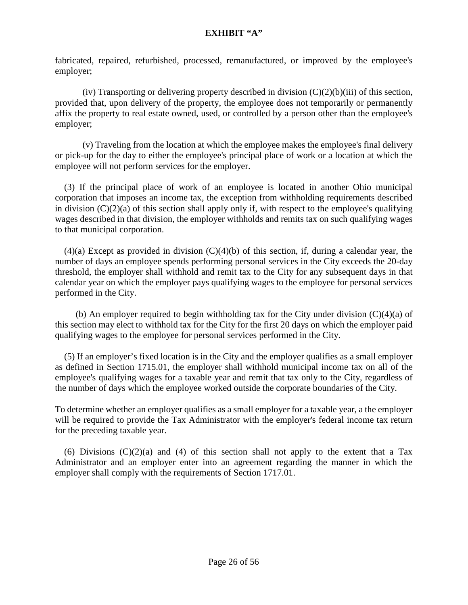fabricated, repaired, refurbished, processed, remanufactured, or improved by the employee's employer;

(iv) Transporting or delivering property described in division  $(C)(2)(b)(iii)$  of this section, provided that, upon delivery of the property, the employee does not temporarily or permanently affix the property to real estate owned, used, or controlled by a person other than the employee's employer;

(v) Traveling from the location at which the employee makes the employee's final delivery or pick-up for the day to either the employee's principal place of work or a location at which the employee will not perform services for the employer.

 (3) If the principal place of work of an employee is located in another Ohio municipal corporation that imposes an income tax, the exception from withholding requirements described in division  $(C)(2)(a)$  of this section shall apply only if, with respect to the employee's qualifying wages described in that division, the employer withholds and remits tax on such qualifying wages to that municipal corporation.

 $(4)(a)$  Except as provided in division  $(C)(4)(b)$  of this section, if, during a calendar year, the number of days an employee spends performing personal services in the City exceeds the 20-day threshold, the employer shall withhold and remit tax to the City for any subsequent days in that calendar year on which the employer pays qualifying wages to the employee for personal services performed in the City.

(b) An employer required to begin withholding tax for the City under division  $(C)(4)(a)$  of this section may elect to withhold tax for the City for the first 20 days on which the employer paid qualifying wages to the employee for personal services performed in the City.

 (5) If an employer's fixed location is in the City and the employer qualifies as a small employer as defined in Section 1715.01, the employer shall withhold municipal income tax on all of the employee's qualifying wages for a taxable year and remit that tax only to the City, regardless of the number of days which the employee worked outside the corporate boundaries of the City.

To determine whether an employer qualifies as a small employer for a taxable year, a the employer will be required to provide the Tax Administrator with the employer's federal income tax return for the preceding taxable year.

(6) Divisions  $(C)(2)(a)$  and (4) of this section shall not apply to the extent that a Tax Administrator and an employer enter into an agreement regarding the manner in which the employer shall comply with the requirements of Section 1717.01.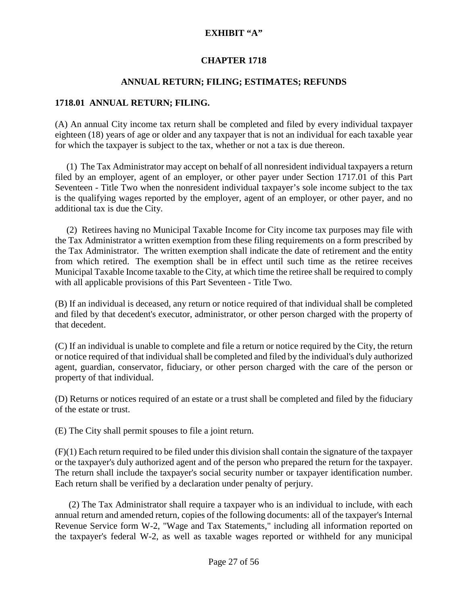#### **CHAPTER 1718**

## **ANNUAL RETURN; FILING; ESTIMATES; REFUNDS**

#### **1718.01 ANNUAL RETURN; FILING.**

(A) An annual City income tax return shall be completed and filed by every individual taxpayer eighteen (18) years of age or older and any taxpayer that is not an individual for each taxable year for which the taxpayer is subject to the tax, whether or not a tax is due thereon.

(1) The Tax Administrator may accept on behalf of all nonresident individual taxpayers a return filed by an employer, agent of an employer, or other payer under Section 1717.01 of this Part Seventeen - Title Two when the nonresident individual taxpayer's sole income subject to the tax is the qualifying wages reported by the employer, agent of an employer, or other payer, and no additional tax is due the City.

 (2) Retirees having no Municipal Taxable Income for City income tax purposes may file with the Tax Administrator a written exemption from these filing requirements on a form prescribed by the Tax Administrator. The written exemption shall indicate the date of retirement and the entity from which retired. The exemption shall be in effect until such time as the retiree receives Municipal Taxable Income taxable to the City, at which time the retiree shall be required to comply with all applicable provisions of this Part Seventeen - Title Two.

(B) If an individual is deceased, any return or notice required of that individual shall be completed and filed by that decedent's executor, administrator, or other person charged with the property of that decedent.

(C) If an individual is unable to complete and file a return or notice required by the City, the return or notice required of that individual shall be completed and filed by the individual's duly authorized agent, guardian, conservator, fiduciary, or other person charged with the care of the person or property of that individual.

(D) Returns or notices required of an estate or a trust shall be completed and filed by the fiduciary of the estate or trust.

(E) The City shall permit spouses to file a joint return.

(F)(1) Each return required to be filed under this division shall contain the signature of the taxpayer or the taxpayer's duly authorized agent and of the person who prepared the return for the taxpayer. The return shall include the taxpayer's social security number or taxpayer identification number. Each return shall be verified by a declaration under penalty of perjury.

 (2) The Tax Administrator shall require a taxpayer who is an individual to include, with each annual return and amended return, copies of the following documents: all of the taxpayer's Internal Revenue Service form W-2, "Wage and Tax Statements," including all information reported on the taxpayer's federal W-2, as well as taxable wages reported or withheld for any municipal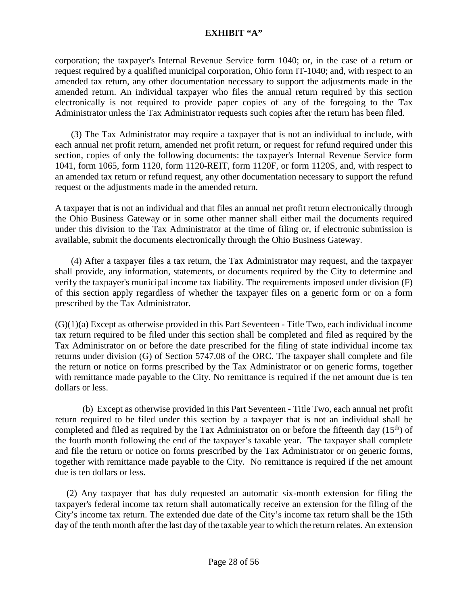corporation; the taxpayer's Internal Revenue Service form 1040; or, in the case of a return or request required by a qualified municipal corporation, Ohio form IT-1040; and, with respect to an amended tax return, any other documentation necessary to support the adjustments made in the amended return. An individual taxpayer who files the annual return required by this section electronically is not required to provide paper copies of any of the foregoing to the Tax Administrator unless the Tax Administrator requests such copies after the return has been filed.

 (3) The Tax Administrator may require a taxpayer that is not an individual to include, with each annual net profit return, amended net profit return, or request for refund required under this section, copies of only the following documents: the taxpayer's Internal Revenue Service form 1041, form 1065, form 1120, form 1120-REIT, form 1120F, or form 1120S, and, with respect to an amended tax return or refund request, any other documentation necessary to support the refund request or the adjustments made in the amended return.

A taxpayer that is not an individual and that files an annual net profit return electronically through the Ohio Business Gateway or in some other manner shall either mail the documents required under this division to the Tax Administrator at the time of filing or, if electronic submission is available, submit the documents electronically through the Ohio Business Gateway.

 (4) After a taxpayer files a tax return, the Tax Administrator may request, and the taxpayer shall provide, any information, statements, or documents required by the City to determine and verify the taxpayer's municipal income tax liability. The requirements imposed under division (F) of this section apply regardless of whether the taxpayer files on a generic form or on a form prescribed by the Tax Administrator.

 $(G)(1)(a)$  Except as otherwise provided in this Part Seventeen - Title Two, each individual income tax return required to be filed under this section shall be completed and filed as required by the Tax Administrator on or before the date prescribed for the filing of state individual income tax returns under division (G) of Section [5747.08](http://codes.ohio.gov/orc/5747.08) of the ORC. The taxpayer shall complete and file the return or notice on forms prescribed by the Tax Administrator or on generic forms, together with remittance made payable to the City. No remittance is required if the net amount due is ten dollars or less.

(b) Except as otherwise provided in this Part Seventeen - Title Two, each annual net profit return required to be filed under this section by a taxpayer that is not an individual shall be completed and filed as required by the Tax Administrator on or before the fifteenth day  $(15<sup>th</sup>)$  of the fourth month following the end of the taxpayer's taxable year. The taxpayer shall complete and file the return or notice on forms prescribed by the Tax Administrator or on generic forms, together with remittance made payable to the City. No remittance is required if the net amount due is ten dollars or less.

 (2) Any taxpayer that has duly requested an automatic six-month extension for filing the taxpayer's federal income tax return shall automatically receive an extension for the filing of the City's income tax return. The extended due date of the City's income tax return shall be the 15th day of the tenth month after the last day of the taxable year to which the return relates. An extension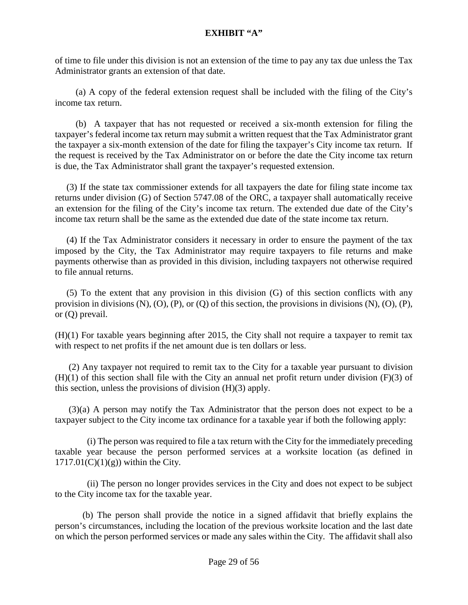of time to file under this division is not an extension of the time to pay any tax due unless the Tax Administrator grants an extension of that date.

 (a) A copy of the federal extension request shall be included with the filing of the City's income tax return.

 (b) A taxpayer that has not requested or received a six-month extension for filing the taxpayer's federal income tax return may submit a written request that the Tax Administrator grant the taxpayer a six-month extension of the date for filing the taxpayer's City income tax return. If the request is received by the Tax Administrator on or before the date the City income tax return is due, the Tax Administrator shall grant the taxpayer's requested extension.

 (3) If the state tax commissioner extends for all taxpayers the date for filing state income tax returns under division (G) of Section [5747.08](http://codes.ohio.gov/orc/5747.08) of the ORC, a taxpayer shall automatically receive an extension for the filing of the City's income tax return. The extended due date of the City's income tax return shall be the same as the extended due date of the state income tax return.

 (4) If the Tax Administrator considers it necessary in order to ensure the payment of the tax imposed by the City, the Tax Administrator may require taxpayers to file returns and make payments otherwise than as provided in this division, including taxpayers not otherwise required to file annual returns.

 (5) To the extent that any provision in this division (G) of this section conflicts with any provision in divisions (N), (O), (P), or (Q) of this section, the provisions in divisions (N), (O), (P), or (Q) prevail.

(H)(1) For taxable years beginning after 2015, the City shall not require a taxpayer to remit tax with respect to net profits if the net amount due is ten dollars or less.

 (2) Any taxpayer not required to remit tax to the City for a taxable year pursuant to division  $(H)(1)$  of this section shall file with the City an annual net profit return under division  $(F)(3)$  of this section, unless the provisions of division (H)(3) apply.

 (3)(a) A person may notify the Tax Administrator that the person does not expect to be a taxpayer subject to the City income tax ordinance for a taxable year if both the following apply:

 (i) The person was required to file a tax return with the City for the immediately preceding taxable year because the person performed services at a worksite location (as defined in  $1717.01(C)(1)(g)$ ) within the City.

 (ii) The person no longer provides services in the City and does not expect to be subject to the City income tax for the taxable year.

(b) The person shall provide the notice in a signed affidavit that briefly explains the person's circumstances, including the location of the previous worksite location and the last date on which the person performed services or made any sales within the City. The affidavit shall also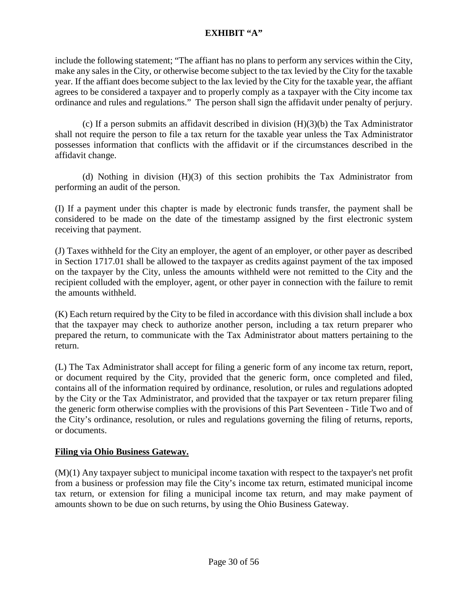include the following statement; "The affiant has no plans to perform any services within the City, make any sales in the City, or otherwise become subject to the tax levied by the City for the taxable year. If the affiant does become subject to the lax levied by the City for the taxable year, the affiant agrees to be considered a taxpayer and to properly comply as a taxpayer with the City income tax ordinance and rules and regulations." The person shall sign the affidavit under penalty of perjury.

(c) If a person submits an affidavit described in division (H)(3)(b) the Tax Administrator shall not require the person to file a tax return for the taxable year unless the Tax Administrator possesses information that conflicts with the affidavit or if the circumstances described in the affidavit change.

(d) Nothing in division (H)(3) of this section prohibits the Tax Administrator from performing an audit of the person.

(I) If a payment under this chapter is made by electronic funds transfer, the payment shall be considered to be made on the date of the timestamp assigned by the first electronic system receiving that payment.

(J) Taxes withheld for the City an employer, the agent of an employer, or other payer as described in Section 1717.01 shall be allowed to the taxpayer as credits against payment of the tax imposed on the taxpayer by the City, unless the amounts withheld were not remitted to the City and the recipient colluded with the employer, agent, or other payer in connection with the failure to remit the amounts withheld.

(K) Each return required by the City to be filed in accordance with this division shall include a box that the taxpayer may check to authorize another person, including a tax return preparer who prepared the return, to communicate with the Tax Administrator about matters pertaining to the return.

(L) The Tax Administrator shall accept for filing a generic form of any income tax return, report, or document required by the City, provided that the generic form, once completed and filed, contains all of the information required by ordinance, resolution, or rules and regulations adopted by the City or the Tax Administrator, and provided that the taxpayer or tax return preparer filing the generic form otherwise complies with the provisions of this Part Seventeen - Title Two and of the City's ordinance, resolution, or rules and regulations governing the filing of returns, reports, or documents.

# **Filing via Ohio Business Gateway.**

(M)(1) Any taxpayer subject to municipal income taxation with respect to the taxpayer's net profit from a business or profession may file the City's income tax return, estimated municipal income tax return, or extension for filing a municipal income tax return, and may make payment of amounts shown to be due on such returns, by using the Ohio Business Gateway.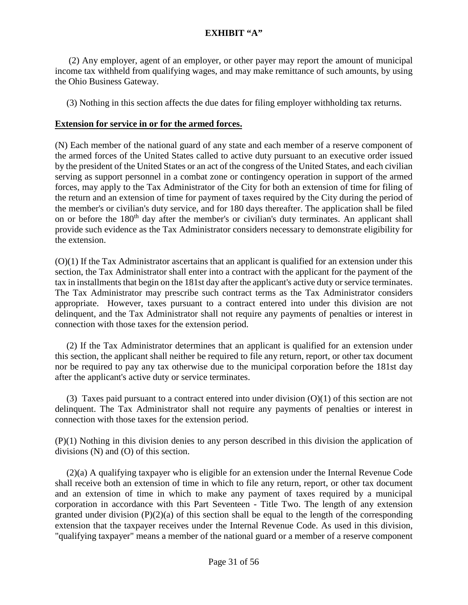(2) Any employer, agent of an employer, or other payer may report the amount of municipal income tax withheld from qualifying wages, and may make remittance of such amounts, by using the Ohio Business Gateway.

(3) Nothing in this section affects the due dates for filing employer withholding tax returns.

#### **Extension for service in or for the armed forces.**

(N) Each member of the national guard of any state and each member of a reserve component of the armed forces of the United States called to active duty pursuant to an executive order issued by the president of the United States or an act of the congress of the United States, and each civilian serving as support personnel in a combat zone or contingency operation in support of the armed forces, may apply to the Tax Administrator of the City for both an extension of time for filing of the return and an extension of time for payment of taxes required by the City during the period of the member's or civilian's duty service, and for 180 days thereafter. The application shall be filed on or before the 180<sup>th</sup> day after the member's or civilian's duty terminates. An applicant shall provide such evidence as the Tax Administrator considers necessary to demonstrate eligibility for the extension.

(O)(1) If the Tax Administrator ascertains that an applicant is qualified for an extension under this section, the Tax Administrator shall enter into a contract with the applicant for the payment of the tax in installments that begin on the 181st day after the applicant's active duty or service terminates. The Tax Administrator may prescribe such contract terms as the Tax Administrator considers appropriate. However, taxes pursuant to a contract entered into under this division are not delinquent, and the Tax Administrator shall not require any payments of penalties or interest in connection with those taxes for the extension period.

 (2) If the Tax Administrator determines that an applicant is qualified for an extension under this section, the applicant shall neither be required to file any return, report, or other tax document nor be required to pay any tax otherwise due to the municipal corporation before the 181st day after the applicant's active duty or service terminates.

 (3) Taxes paid pursuant to a contract entered into under division (O)(1) of this section are not delinquent. The Tax Administrator shall not require any payments of penalties or interest in connection with those taxes for the extension period.

(P)(1) Nothing in this division denies to any person described in this division the application of divisions (N) and (O) of this section.

 (2)(a) A qualifying taxpayer who is eligible for an extension under the Internal Revenue Code shall receive both an extension of time in which to file any return, report, or other tax document and an extension of time in which to make any payment of taxes required by a municipal corporation in accordance with this Part Seventeen - Title Two. The length of any extension granted under division  $(P)(2)(a)$  of this section shall be equal to the length of the corresponding extension that the taxpayer receives under the Internal Revenue Code. As used in this division, "qualifying taxpayer" means a member of the national guard or a member of a reserve component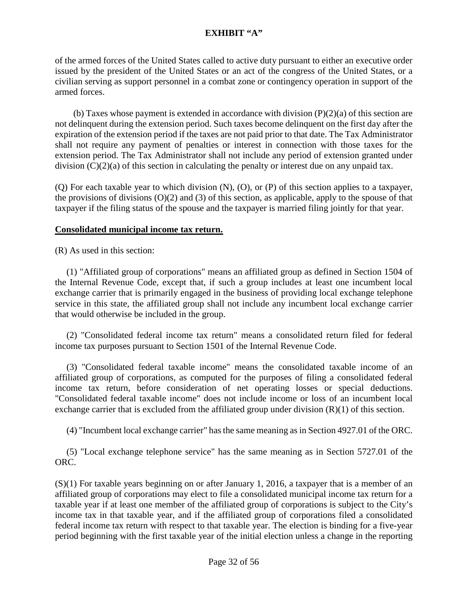of the armed forces of the United States called to active duty pursuant to either an executive order issued by the president of the United States or an act of the congress of the United States, or a civilian serving as support personnel in a combat zone or contingency operation in support of the armed forces.

(b) Taxes whose payment is extended in accordance with division  $(P)(2)(a)$  of this section are not delinquent during the extension period. Such taxes become delinquent on the first day after the expiration of the extension period if the taxes are not paid prior to that date. The Tax Administrator shall not require any payment of penalties or interest in connection with those taxes for the extension period. The Tax Administrator shall not include any period of extension granted under division (C)(2)(a) of this section in calculating the penalty or interest due on any unpaid tax.

(Q) For each taxable year to which division (N), (O), or (P) of this section applies to a taxpayer, the provisions of divisions (O)(2) and (3) of this section, as applicable, apply to the spouse of that taxpayer if the filing status of the spouse and the taxpayer is married filing jointly for that year.

#### **Consolidated municipal income tax return.**

(R) As used in this section:

 (1) "Affiliated group of corporations" means an affiliated group as defined in Section 1504 of the Internal Revenue Code, except that, if such a group includes at least one incumbent local exchange carrier that is primarily engaged in the business of providing local exchange telephone service in this state, the affiliated group shall not include any incumbent local exchange carrier that would otherwise be included in the group.

 (2) "Consolidated federal income tax return" means a consolidated return filed for federal income tax purposes pursuant to Section 1501 of the Internal Revenue Code.

 (3) "Consolidated federal taxable income" means the consolidated taxable income of an affiliated group of corporations, as computed for the purposes of filing a consolidated federal income tax return, before consideration of net operating losses or special deductions. "Consolidated federal taxable income" does not include income or loss of an incumbent local exchange carrier that is excluded from the affiliated group under division (R)(1) of this section.

(4) "Incumbent local exchange carrier" has the same meaning as in Section [4927.01](http://codes.ohio.gov/orc/4927.01) of the ORC.

 (5) "Local exchange telephone service" has the same meaning as in Section [5727.01](http://codes.ohio.gov/orc/5727.01) of the ORC.

(S)(1) For taxable years beginning on or after January 1, 2016, a taxpayer that is a member of an affiliated group of corporations may elect to file a consolidated municipal income tax return for a taxable year if at least one member of the affiliated group of corporations is subject to the City's income tax in that taxable year, and if the affiliated group of corporations filed a consolidated federal income tax return with respect to that taxable year. The election is binding for a five-year period beginning with the first taxable year of the initial election unless a change in the reporting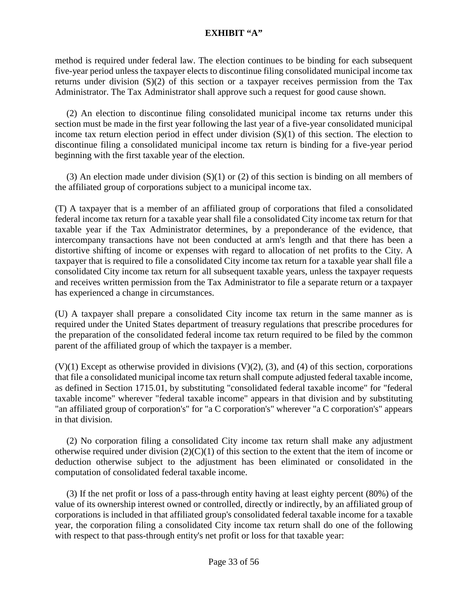method is required under federal law. The election continues to be binding for each subsequent five-year period unless the taxpayer elects to discontinue filing consolidated municipal income tax returns under division (S)(2) of this section or a taxpayer receives permission from the Tax Administrator. The Tax Administrator shall approve such a request for good cause shown.

 (2) An election to discontinue filing consolidated municipal income tax returns under this section must be made in the first year following the last year of a five-year consolidated municipal income tax return election period in effect under division (S)(1) of this section. The election to discontinue filing a consolidated municipal income tax return is binding for a five-year period beginning with the first taxable year of the election.

 (3) An election made under division (S)(1) or (2) of this section is binding on all members of the affiliated group of corporations subject to a municipal income tax.

(T) A taxpayer that is a member of an affiliated group of corporations that filed a consolidated federal income tax return for a taxable year shall file a consolidated City income tax return for that taxable year if the Tax Administrator determines, by a preponderance of the evidence, that intercompany transactions have not been conducted at arm's length and that there has been a distortive shifting of income or expenses with regard to allocation of net profits to the City. A taxpayer that is required to file a consolidated City income tax return for a taxable year shall file a consolidated City income tax return for all subsequent taxable years, unless the taxpayer requests and receives written permission from the Tax Administrator to file a separate return or a taxpayer has experienced a change in circumstances.

(U) A taxpayer shall prepare a consolidated City income tax return in the same manner as is required under the United States department of treasury regulations that prescribe procedures for the preparation of the consolidated federal income tax return required to be filed by the common parent of the affiliated group of which the taxpayer is a member.

 $(V)(1)$  Except as otherwise provided in divisions  $(V)(2)$ ,  $(3)$ , and  $(4)$  of this section, corporations that file a consolidated municipal income tax return shall compute adjusted federal taxable income, as defined in Section 1715.01, by substituting "consolidated federal taxable income" for "federal taxable income" wherever "federal taxable income" appears in that division and by substituting "an affiliated group of corporation's" for "a C corporation's" wherever "a C corporation's" appears in that division.

 (2) No corporation filing a consolidated City income tax return shall make any adjustment otherwise required under division  $(2)(C)(1)$  of this section to the extent that the item of income or deduction otherwise subject to the adjustment has been eliminated or consolidated in the computation of consolidated federal taxable income.

 (3) If the net profit or loss of a pass-through entity having at least eighty percent (80%) of the value of its ownership interest owned or controlled, directly or indirectly, by an affiliated group of corporations is included in that affiliated group's consolidated federal taxable income for a taxable year, the corporation filing a consolidated City income tax return shall do one of the following with respect to that pass-through entity's net profit or loss for that taxable year: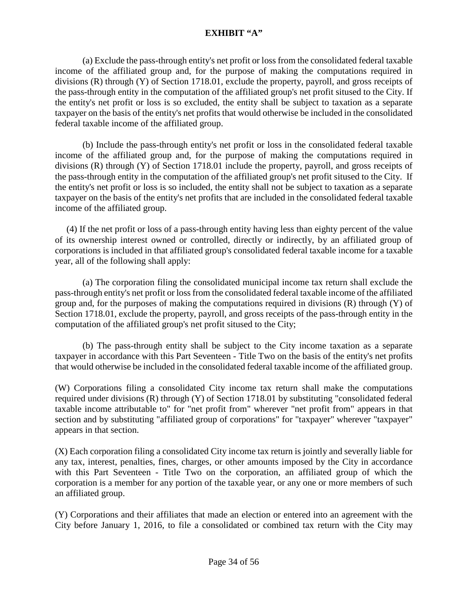(a) Exclude the pass-through entity's net profit or loss from the consolidated federal taxable income of the affiliated group and, for the purpose of making the computations required in divisions (R) through (Y) of Section 1718.01, exclude the property, payroll, and gross receipts of the pass-through entity in the computation of the affiliated group's net profit sitused to the City. If the entity's net profit or loss is so excluded, the entity shall be subject to taxation as a separate taxpayer on the basis of the entity's net profits that would otherwise be included in the consolidated federal taxable income of the affiliated group.

(b) Include the pass-through entity's net profit or loss in the consolidated federal taxable income of the affiliated group and, for the purpose of making the computations required in divisions (R) through (Y) of Section 1718.01 include the property, payroll, and gross receipts of the pass-through entity in the computation of the affiliated group's net profit sitused to the City. If the entity's net profit or loss is so included, the entity shall not be subject to taxation as a separate taxpayer on the basis of the entity's net profits that are included in the consolidated federal taxable income of the affiliated group.

 (4) If the net profit or loss of a pass-through entity having less than eighty percent of the value of its ownership interest owned or controlled, directly or indirectly, by an affiliated group of corporations is included in that affiliated group's consolidated federal taxable income for a taxable year, all of the following shall apply:

(a) The corporation filing the consolidated municipal income tax return shall exclude the pass-through entity's net profit or loss from the consolidated federal taxable income of the affiliated group and, for the purposes of making the computations required in divisions (R) through (Y) of Section 1718.01, exclude the property, payroll, and gross receipts of the pass-through entity in the computation of the affiliated group's net profit sitused to the City;

(b) The pass-through entity shall be subject to the City income taxation as a separate taxpayer in accordance with this Part Seventeen - Title Two on the basis of the entity's net profits that would otherwise be included in the consolidated federal taxable income of the affiliated group.

(W) Corporations filing a consolidated City income tax return shall make the computations required under divisions (R) through (Y) of Section 1718.01 by substituting "consolidated federal taxable income attributable to" for "net profit from" wherever "net profit from" appears in that section and by substituting "affiliated group of corporations" for "taxpayer" wherever "taxpayer" appears in that section.

(X) Each corporation filing a consolidated City income tax return is jointly and severally liable for any tax, interest, penalties, fines, charges, or other amounts imposed by the City in accordance with this Part Seventeen - Title Two on the corporation, an affiliated group of which the corporation is a member for any portion of the taxable year, or any one or more members of such an affiliated group.

(Y) Corporations and their affiliates that made an election or entered into an agreement with the City before January 1, 2016, to file a consolidated or combined tax return with the City may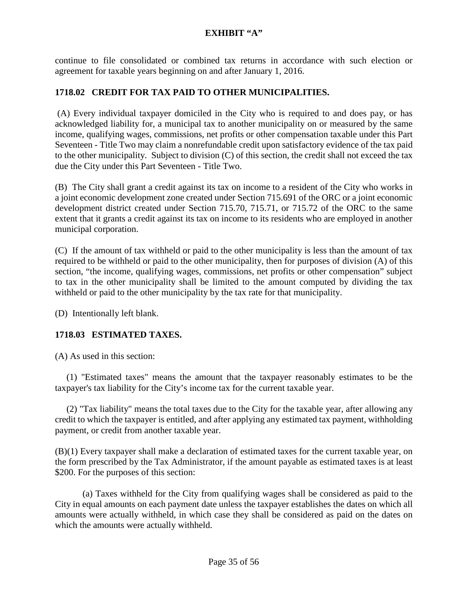continue to file consolidated or combined tax returns in accordance with such election or agreement for taxable years beginning on and after January 1, 2016.

# **1718.02 CREDIT FOR TAX PAID TO OTHER MUNICIPALITIES.**

(A) Every individual taxpayer domiciled in the City who is required to and does pay, or has acknowledged liability for, a municipal tax to another municipality on or measured by the same income, qualifying wages, commissions, net profits or other compensation taxable under this Part Seventeen - Title Two may claim a nonrefundable credit upon satisfactory evidence of the tax paid to the other municipality. Subject to division (C) of this section, the credit shall not exceed the tax due the City under this Part Seventeen - Title Two.

(B) The City shall grant a credit against its tax on income to a resident of the City who works in a joint economic development zone created under Section 715.691 of the ORC or a joint economic development district created under Section 715.70, 715.71, or 715.72 of the ORC to the same extent that it grants a credit against its tax on income to its residents who are employed in another municipal corporation.

(C) If the amount of tax withheld or paid to the other municipality is less than the amount of tax required to be withheld or paid to the other municipality, then for purposes of division (A) of this section, "the income, qualifying wages, commissions, net profits or other compensation" subject to tax in the other municipality shall be limited to the amount computed by dividing the tax withheld or paid to the other municipality by the tax rate for that municipality.

(D) Intentionally left blank.

### **1718.03 ESTIMATED TAXES.**

(A) As used in this section:

 (1) "Estimated taxes" means the amount that the taxpayer reasonably estimates to be the taxpayer's tax liability for the City's income tax for the current taxable year.

 (2) "Tax liability" means the total taxes due to the City for the taxable year, after allowing any credit to which the taxpayer is entitled, and after applying any estimated tax payment, withholding payment, or credit from another taxable year.

(B)(1) Every taxpayer shall make a declaration of estimated taxes for the current taxable year, on the form prescribed by the Tax Administrator, if the amount payable as estimated taxes is at least \$200. For the purposes of this section:

(a) Taxes withheld for the City from qualifying wages shall be considered as paid to the City in equal amounts on each payment date unless the taxpayer establishes the dates on which all amounts were actually withheld, in which case they shall be considered as paid on the dates on which the amounts were actually withheld.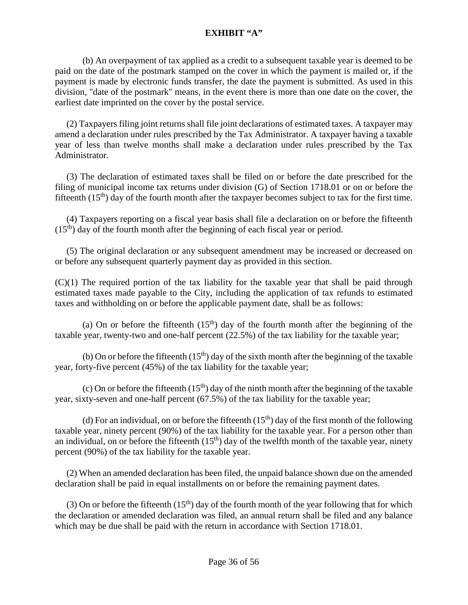(b) An overpayment of tax applied as a credit to a subsequent taxable year is deemed to be paid on the date of the postmark stamped on the cover in which the payment is mailed or, if the payment is made by electronic funds transfer, the date the payment is submitted. As used in this division, "date of the postmark" means, in the event there is more than one date on the cover, the earliest date imprinted on the cover by the postal service.

 (2) Taxpayers filing joint returns shall file joint declarations of estimated taxes. A taxpayer may amend a declaration under rules prescribed by the Tax Administrator. A taxpayer having a taxable year of less than twelve months shall make a declaration under rules prescribed by the Tax Administrator.

 (3) The declaration of estimated taxes shall be filed on or before the date prescribed for the filing of municipal income tax returns under division (G) of Section 1718.01 or on or before the fifteenth  $(15<sup>th</sup>)$  day of the fourth month after the taxpayer becomes subject to tax for the first time.

 (4) Taxpayers reporting on a fiscal year basis shall file a declaration on or before the fifteenth  $(15<sup>th</sup>)$  day of the fourth month after the beginning of each fiscal year or period.

 (5) The original declaration or any subsequent amendment may be increased or decreased on or before any subsequent quarterly payment day as provided in this section.

(C)(1) The required portion of the tax liability for the taxable year that shall be paid through estimated taxes made payable to the City, including the application of tax refunds to estimated taxes and withholding on or before the applicable payment date, shall be as follows:

(a) On or before the fifteenth  $(15<sup>th</sup>)$  day of the fourth month after the beginning of the taxable year, twenty-two and one-half percent (22.5%) of the tax liability for the taxable year;

(b) On or before the fifteenth  $(15<sup>th</sup>)$  day of the sixth month after the beginning of the taxable year, forty-five percent (45%) of the tax liability for the taxable year;

(c) On or before the fifteenth  $(15<sup>th</sup>)$  day of the ninth month after the beginning of the taxable year, sixty-seven and one-half percent (67.5%) of the tax liability for the taxable year;

(d) For an individual, on or before the fifteenth  $(15<sup>th</sup>)$  day of the first month of the following taxable year, ninety percent (90%) of the tax liability for the taxable year. For a person other than an individual, on or before the fifteenth  $(15<sup>th</sup>)$  day of the twelfth month of the taxable year, ninety percent (90%) of the tax liability for the taxable year.

 (2) When an amended declaration has been filed, the unpaid balance shown due on the amended declaration shall be paid in equal installments on or before the remaining payment dates.

(3) On or before the fifteenth  $(15<sup>th</sup>)$  day of the fourth month of the year following that for which the declaration or amended declaration was filed, an annual return shall be filed and any balance which may be due shall be paid with the return in accordance with Section [1718.01](http://codes.ohio.gov/orc/718.05).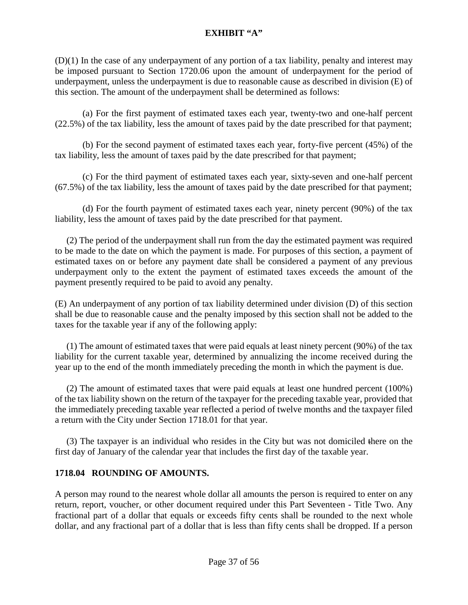(D)(1) In the case of any underpayment of any portion of a tax liability, penalty and interest may be imposed pursuant to Section 1720.06 upon the amount of underpayment for the period of underpayment, unless the underpayment is due to reasonable cause as described in division (E) of this section. The amount of the underpayment shall be determined as follows:

(a) For the first payment of estimated taxes each year, twenty-two and one-half percent (22.5%) of the tax liability, less the amount of taxes paid by the date prescribed for that payment;

(b) For the second payment of estimated taxes each year, forty-five percent (45%) of the tax liability, less the amount of taxes paid by the date prescribed for that payment;

(c) For the third payment of estimated taxes each year, sixty-seven and one-half percent (67.5%) of the tax liability, less the amount of taxes paid by the date prescribed for that payment;

(d) For the fourth payment of estimated taxes each year, ninety percent (90%) of the tax liability, less the amount of taxes paid by the date prescribed for that payment.

 (2) The period of the underpayment shall run from the day the estimated payment was required to be made to the date on which the payment is made. For purposes of this section, a payment of estimated taxes on or before any payment date shall be considered a payment of any previous underpayment only to the extent the payment of estimated taxes exceeds the amount of the payment presently required to be paid to avoid any penalty.

(E) An underpayment of any portion of tax liability determined under division (D) of this section shall be due to reasonable cause and the penalty imposed by this section shall not be added to the taxes for the taxable year if any of the following apply:

 (1) The amount of estimated taxes that were paid equals at least ninety percent (90%) of the tax liability for the current taxable year, determined by annualizing the income received during the year up to the end of the month immediately preceding the month in which the payment is due.

 (2) The amount of estimated taxes that were paid equals at least one hundred percent (100%) of the tax liability shown on the return of the taxpayer for the preceding taxable year, provided that the immediately preceding taxable year reflected a period of twelve months and the taxpayer filed a return with the City under Section 1718.01 for that year.

 (3) The taxpayer is an individual who resides in the City but was not domiciled there on the first day of January of the calendar year that includes the first day of the taxable year.

### **1718.04 ROUNDING OF AMOUNTS.**

A person may round to the nearest whole dollar all amounts the person is required to enter on any return, report, voucher, or other document required under this Part Seventeen - Title Two. Any fractional part of a dollar that equals or exceeds fifty cents shall be rounded to the next whole dollar, and any fractional part of a dollar that is less than fifty cents shall be dropped. If a person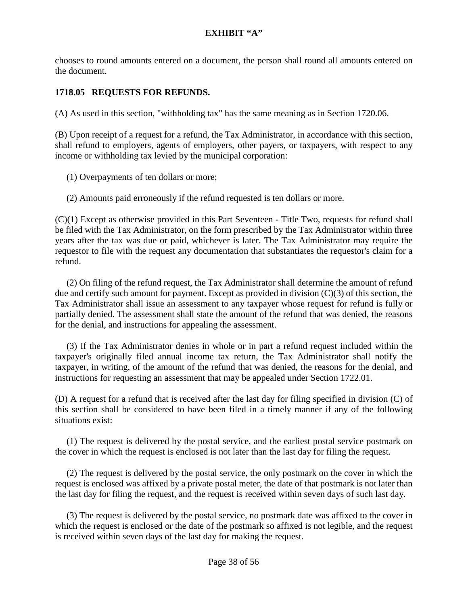chooses to round amounts entered on a document, the person shall round all amounts entered on the document.

# **1718.05 REQUESTS FOR REFUNDS.**

(A) As used in this section, "withholding tax" has the same meaning as in Section 1720.06.

(B) Upon receipt of a request for a refund, the Tax Administrator, in accordance with this section, shall refund to employers, agents of employers, other payers, or taxpayers, with respect to any income or withholding tax levied by the municipal corporation:

(1) Overpayments of ten dollars or more;

(2) Amounts paid erroneously if the refund requested is ten dollars or more.

(C)(1) Except as otherwise provided in this Part Seventeen - Title Two, requests for refund shall be filed with the Tax Administrator, on the form prescribed by the Tax Administrator within three years after the tax was due or paid, whichever is later. The Tax Administrator may require the requestor to file with the request any documentation that substantiates the requestor's claim for a refund.

 (2) On filing of the refund request, the Tax Administrator shall determine the amount of refund due and certify such amount for payment. Except as provided in division (C)(3) of this section, the Tax Administrator shall issue an assessment to any taxpayer whose request for refund is fully or partially denied. The assessment shall state the amount of the refund that was denied, the reasons for the denial, and instructions for appealing the assessment.

 (3) If the Tax Administrator denies in whole or in part a refund request included within the taxpayer's originally filed annual income tax return, the Tax Administrator shall notify the taxpayer, in writing, of the amount of the refund that was denied, the reasons for the denial, and instructions for requesting an assessment that may be appealed under Section 1722.01.

(D) A request for a refund that is received after the last day for filing specified in division (C) of this section shall be considered to have been filed in a timely manner if any of the following situations exist:

 (1) The request is delivered by the postal service, and the earliest postal service postmark on the cover in which the request is enclosed is not later than the last day for filing the request.

 (2) The request is delivered by the postal service, the only postmark on the cover in which the request is enclosed was affixed by a private postal meter, the date of that postmark is not later than the last day for filing the request, and the request is received within seven days of such last day.

 (3) The request is delivered by the postal service, no postmark date was affixed to the cover in which the request is enclosed or the date of the postmark so affixed is not legible, and the request is received within seven days of the last day for making the request.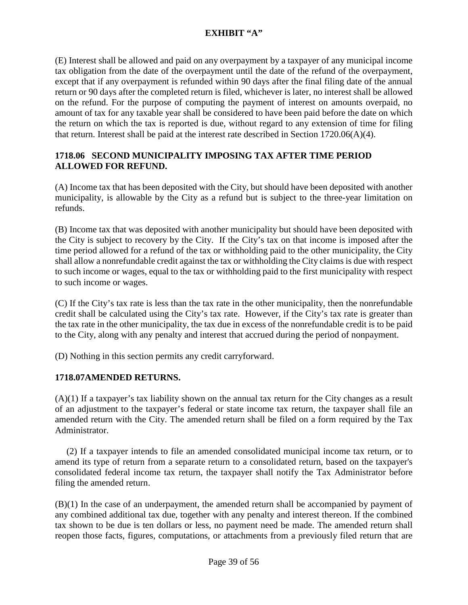(E) Interest shall be allowed and paid on any overpayment by a taxpayer of any municipal income tax obligation from the date of the overpayment until the date of the refund of the overpayment, except that if any overpayment is refunded within 90 days after the final filing date of the annual return or 90 days after the completed return is filed, whichever is later, no interest shall be allowed on the refund. For the purpose of computing the payment of interest on amounts overpaid, no amount of tax for any taxable year shall be considered to have been paid before the date on which the return on which the tax is reported is due, without regard to any extension of time for filing that return. Interest shall be paid at the interest rate described in Section 1720.06(A)(4).

### **1718.06 SECOND MUNICIPALITY IMPOSING TAX AFTER TIME PERIOD ALLOWED FOR REFUND.**

(A) Income tax that has been deposited with the City, but should have been deposited with another municipality, is allowable by the City as a refund but is subject to the three-year limitation on refunds.

(B) Income tax that was deposited with another municipality but should have been deposited with the City is subject to recovery by the City. If the City's tax on that income is imposed after the time period allowed for a refund of the tax or withholding paid to the other municipality, the City shall allow a nonrefundable credit against the tax or withholding the City claims is due with respect to such income or wages, equal to the tax or withholding paid to the first municipality with respect to such income or wages.

(C) If the City's tax rate is less than the tax rate in the other municipality, then the nonrefundable credit shall be calculated using the City's tax rate. However, if the City's tax rate is greater than the tax rate in the other municipality, the tax due in excess of the nonrefundable credit is to be paid to the City, along with any penalty and interest that accrued during the period of nonpayment.

(D) Nothing in this section permits any credit carryforward.

### **1718.07AMENDED RETURNS.**

(A)(1) If a taxpayer's tax liability shown on the annual tax return for the City changes as a result of an adjustment to the taxpayer's federal or state income tax return, the taxpayer shall file an amended return with the City. The amended return shall be filed on a form required by the Tax Administrator.

 (2) If a taxpayer intends to file an amended consolidated municipal income tax return, or to amend its type of return from a separate return to a consolidated return, based on the taxpayer's consolidated federal income tax return, the taxpayer shall notify the Tax Administrator before filing the amended return.

(B)(1) In the case of an underpayment, the amended return shall be accompanied by payment of any combined additional tax due, together with any penalty and interest thereon. If the combined tax shown to be due is ten dollars or less, no payment need be made. The amended return shall reopen those facts, figures, computations, or attachments from a previously filed return that are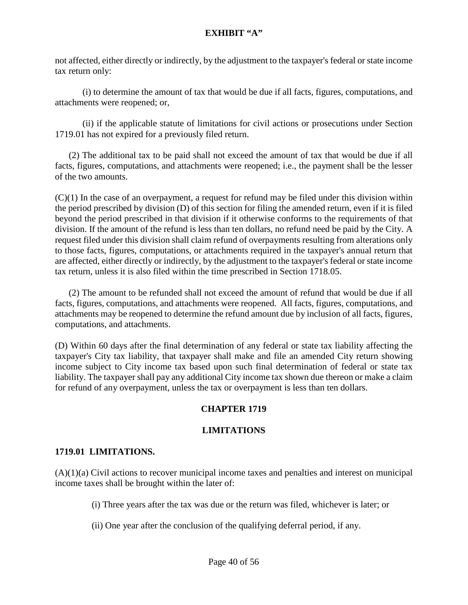not affected, either directly or indirectly, by the adjustment to the taxpayer's federal or state income tax return only:

(i) to determine the amount of tax that would be due if all facts, figures, computations, and attachments were reopened; or,

(ii) if the applicable statute of limitations for civil actions or prosecutions under Section 1719.01 has not expired for a previously filed return.

 (2) The additional tax to be paid shall not exceed the amount of tax that would be due if all facts, figures, computations, and attachments were reopened; i.e., the payment shall be the lesser of the two amounts.

 $(C)(1)$  In the case of an overpayment, a request for refund may be filed under this division within the period prescribed by division (D) of this section for filing the amended return, even if it is filed beyond the period prescribed in that division if it otherwise conforms to the requirements of that division. If the amount of the refund is less than ten dollars, no refund need be paid by the City. A request filed under this division shall claim refund of overpayments resulting from alterations only to those facts, figures, computations, or attachments required in the taxpayer's annual return that are affected, either directly or indirectly, by the adjustment to the taxpayer's federal or state income tax return, unless it is also filed within the time prescribed in Section 1718.05.

(2) The amount to be refunded shall not exceed the amount of refund that would be due if all facts, figures, computations, and attachments were reopened. All facts, figures, computations, and attachments may be reopened to determine the refund amount due by inclusion of all facts, figures, computations, and attachments.

(D) Within 60 days after the final determination of any federal or state tax liability affecting the taxpayer's City tax liability, that taxpayer shall make and file an amended City return showing income subject to City income tax based upon such final determination of federal or state tax liability. The taxpayer shall pay any additional City income tax shown due thereon or make a claim for refund of any overpayment, unless the tax or overpayment is less than ten dollars.

# **CHAPTER 1719**

### **LIMITATIONS**

### **1719.01 LIMITATIONS.**

(A)(1)(a) Civil actions to recover municipal income taxes and penalties and interest on municipal income taxes shall be brought within the later of:

- (i) Three years after the tax was due or the return was filed, whichever is later; or
- (ii) One year after the conclusion of the qualifying deferral period, if any.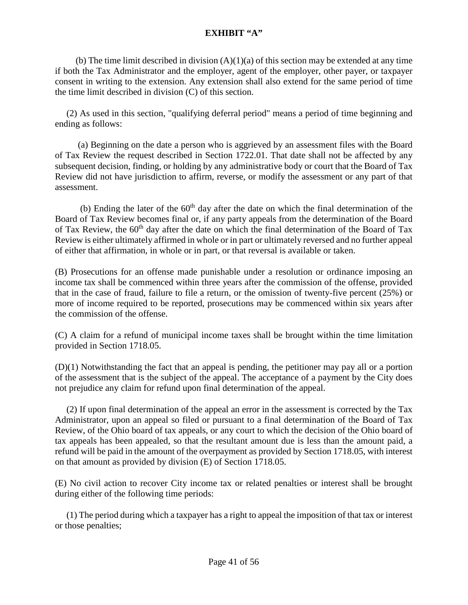(b) The time limit described in division  $(A)(1)(a)$  of this section may be extended at any time if both the Tax Administrator and the employer, agent of the employer, other payer, or taxpayer consent in writing to the extension. Any extension shall also extend for the same period of time the time limit described in division (C) of this section.

 (2) As used in this section, "qualifying deferral period" means a period of time beginning and ending as follows:

 (a) Beginning on the date a person who is aggrieved by an assessment files with the Board of Tax Review the request described in Section 1722.01. That date shall not be affected by any subsequent decision, finding, or holding by any administrative body or court that the Board of Tax Review did not have jurisdiction to affirm, reverse, or modify the assessment or any part of that assessment.

(b) Ending the later of the  $60<sup>th</sup>$  day after the date on which the final determination of the Board of Tax Review becomes final or, if any party appeals from the determination of the Board of Tax Review, the 60<sup>th</sup> day after the date on which the final determination of the Board of Tax Review is either ultimately affirmed in whole or in part or ultimately reversed and no further appeal of either that affirmation, in whole or in part, or that reversal is available or taken.

(B) Prosecutions for an offense made punishable under a resolution or ordinance imposing an income tax shall be commenced within three years after the commission of the offense, provided that in the case of fraud, failure to file a return, or the omission of twenty-five percent (25%) or more of income required to be reported, prosecutions may be commenced within six years after the commission of the offense.

(C) A claim for a refund of municipal income taxes shall be brought within the time limitation provided in Section 1718.05.

(D)(1) Notwithstanding the fact that an appeal is pending, the petitioner may pay all or a portion of the assessment that is the subject of the appeal. The acceptance of a payment by the City does not prejudice any claim for refund upon final determination of the appeal.

 (2) If upon final determination of the appeal an error in the assessment is corrected by the Tax Administrator, upon an appeal so filed or pursuant to a final determination of the Board of Tax Review, of the Ohio board of tax appeals, or any court to which the decision of the Ohio board of tax appeals has been appealed, so that the resultant amount due is less than the amount paid, a refund will be paid in the amount of the overpayment as provided by Section 1718.05, with interest on that amount as provided by division (E) of Section 1718.05.

(E) No civil action to recover City income tax or related penalties or interest shall be brought during either of the following time periods:

 (1) The period during which a taxpayer has a right to appeal the imposition of that tax or interest or those penalties;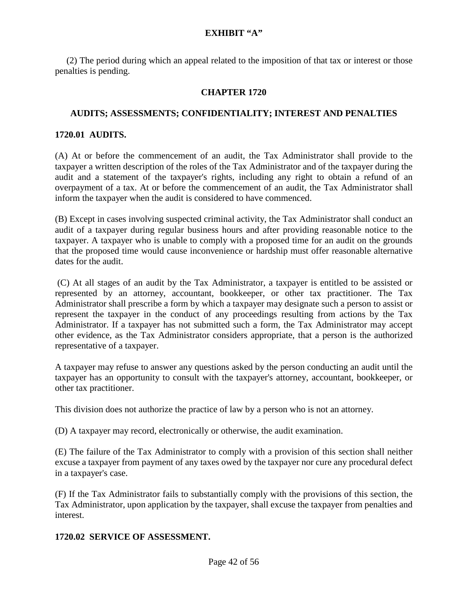(2) The period during which an appeal related to the imposition of that tax or interest or those penalties is pending.

# **CHAPTER 1720**

### **AUDITS; ASSESSMENTS; CONFIDENTIALITY; INTEREST AND PENALTIES**

### **1720.01 AUDITS.**

(A) At or before the commencement of an audit, the Tax Administrator shall provide to the taxpayer a written description of the roles of the Tax Administrator and of the taxpayer during the audit and a statement of the taxpayer's rights, including any right to obtain a refund of an overpayment of a tax. At or before the commencement of an audit, the Tax Administrator shall inform the taxpayer when the audit is considered to have commenced.

(B) Except in cases involving suspected criminal activity, the Tax Administrator shall conduct an audit of a taxpayer during regular business hours and after providing reasonable notice to the taxpayer. A taxpayer who is unable to comply with a proposed time for an audit on the grounds that the proposed time would cause inconvenience or hardship must offer reasonable alternative dates for the audit.

(C) At all stages of an audit by the Tax Administrator, a taxpayer is entitled to be assisted or represented by an attorney, accountant, bookkeeper, or other tax practitioner. The Tax Administrator shall prescribe a form by which a taxpayer may designate such a person to assist or represent the taxpayer in the conduct of any proceedings resulting from actions by the Tax Administrator. If a taxpayer has not submitted such a form, the Tax Administrator may accept other evidence, as the Tax Administrator considers appropriate, that a person is the authorized representative of a taxpayer.

A taxpayer may refuse to answer any questions asked by the person conducting an audit until the taxpayer has an opportunity to consult with the taxpayer's attorney, accountant, bookkeeper, or other tax practitioner.

This division does not authorize the practice of law by a person who is not an attorney.

(D) A taxpayer may record, electronically or otherwise, the audit examination.

(E) The failure of the Tax Administrator to comply with a provision of this section shall neither excuse a taxpayer from payment of any taxes owed by the taxpayer nor cure any procedural defect in a taxpayer's case.

(F) If the Tax Administrator fails to substantially comply with the provisions of this section, the Tax Administrator, upon application by the taxpayer, shall excuse the taxpayer from penalties and interest.

### **1720.02 SERVICE OF ASSESSMENT.**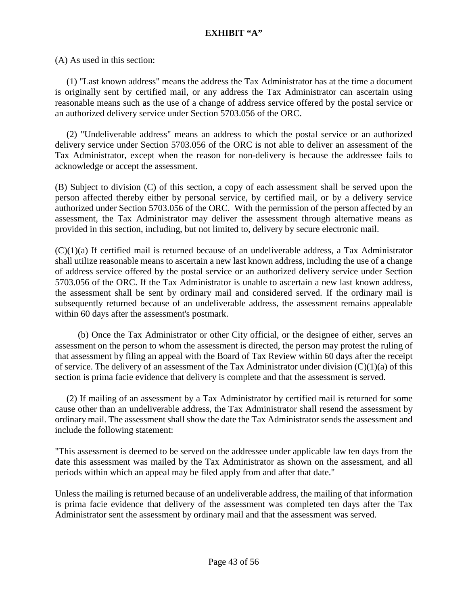(A) As used in this section:

 (1) "Last known address" means the address the Tax Administrator has at the time a document is originally sent by certified mail, or any address the Tax Administrator can ascertain using reasonable means such as the use of a change of address service offered by the postal service or an authorized delivery service under Section [5703.056](http://codes.ohio.gov/orc/5703.056) of the ORC.

 (2) "Undeliverable address" means an address to which the postal service or an authorized delivery service under Section [5703.056](http://codes.ohio.gov/orc/5703.056) of the ORC is not able to deliver an assessment of the Tax Administrator, except when the reason for non-delivery is because the addressee fails to acknowledge or accept the assessment.

(B) Subject to division (C) of this section, a copy of each assessment shall be served upon the person affected thereby either by personal service, by certified mail, or by a delivery service authorized under Section [5703.056](http://codes.ohio.gov/orc/5703.056) of the ORC. With the permission of the person affected by an assessment, the Tax Administrator may deliver the assessment through alternative means as provided in this section, including, but not limited to, delivery by secure electronic mail.

 $(C)(1)(a)$  If certified mail is returned because of an undeliverable address, a Tax Administrator shall utilize reasonable means to ascertain a new last known address, including the use of a change of address service offered by the postal service or an authorized delivery service under Section [5703.056](http://codes.ohio.gov/orc/5703.056) of the ORC. If the Tax Administrator is unable to ascertain a new last known address, the assessment shall be sent by ordinary mail and considered served. If the ordinary mail is subsequently returned because of an undeliverable address, the assessment remains appealable within 60 days after the assessment's postmark.

 (b) Once the Tax Administrator or other City official, or the designee of either, serves an assessment on the person to whom the assessment is directed, the person may protest the ruling of that assessment by filing an appeal with the Board of Tax Review within 60 days after the receipt of service. The delivery of an assessment of the Tax Administrator under division  $(C)(1)(a)$  of this section is prima facie evidence that delivery is complete and that the assessment is served.

 (2) If mailing of an assessment by a Tax Administrator by certified mail is returned for some cause other than an undeliverable address, the Tax Administrator shall resend the assessment by ordinary mail. The assessment shall show the date the Tax Administrator sends the assessment and include the following statement:

"This assessment is deemed to be served on the addressee under applicable law ten days from the date this assessment was mailed by the Tax Administrator as shown on the assessment, and all periods within which an appeal may be filed apply from and after that date."

Unless the mailing is returned because of an undeliverable address, the mailing of that information is prima facie evidence that delivery of the assessment was completed ten days after the Tax Administrator sent the assessment by ordinary mail and that the assessment was served.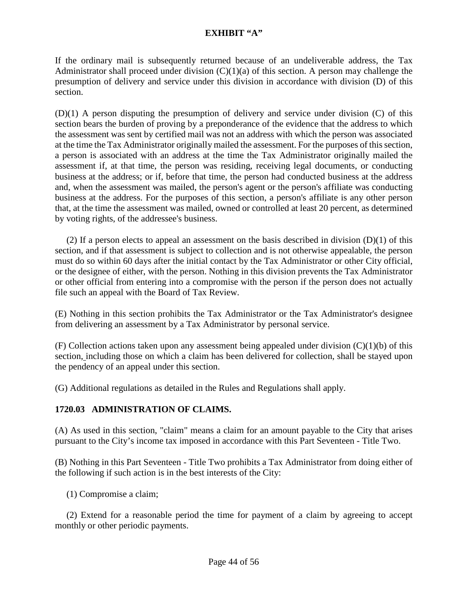If the ordinary mail is subsequently returned because of an undeliverable address, the Tax Administrator shall proceed under division  $(C)(1)(a)$  of this section. A person may challenge the presumption of delivery and service under this division in accordance with division (D) of this section.

(D)(1) A person disputing the presumption of delivery and service under division (C) of this section bears the burden of proving by a preponderance of the evidence that the address to which the assessment was sent by certified mail was not an address with which the person was associated at the time the Tax Administrator originally mailed the assessment. For the purposes of this section, a person is associated with an address at the time the Tax Administrator originally mailed the assessment if, at that time, the person was residing, receiving legal documents, or conducting business at the address; or if, before that time, the person had conducted business at the address and, when the assessment was mailed, the person's agent or the person's affiliate was conducting business at the address. For the purposes of this section, a person's affiliate is any other person that, at the time the assessment was mailed, owned or controlled at least 20 percent, as determined by voting rights, of the addressee's business.

(2) If a person elects to appeal an assessment on the basis described in division  $(D)(1)$  of this section, and if that assessment is subject to collection and is not otherwise appealable, the person must do so within 60 days after the initial contact by the Tax Administrator or other City official, or the designee of either, with the person. Nothing in this division prevents the Tax Administrator or other official from entering into a compromise with the person if the person does not actually file such an appeal with the Board of Tax Review.

(E) Nothing in this section prohibits the Tax Administrator or the Tax Administrator's designee from delivering an assessment by a Tax Administrator by personal service.

(F) Collection actions taken upon any assessment being appealed under division  $(C)(1)(b)$  of this section, including those on which a claim has been delivered for collection, shall be stayed upon the pendency of an appeal under this section.

(G) Additional regulations as detailed in the Rules and Regulations shall apply.

# **1720.03 ADMINISTRATION OF CLAIMS.**

(A) As used in this section, "claim" means a claim for an amount payable to the City that arises pursuant to the City's income tax imposed in accordance with this Part Seventeen - Title Two.

(B) Nothing in this Part Seventeen - Title Two prohibits a Tax Administrator from doing either of the following if such action is in the best interests of the City:

(1) Compromise a claim;

 (2) Extend for a reasonable period the time for payment of a claim by agreeing to accept monthly or other periodic payments.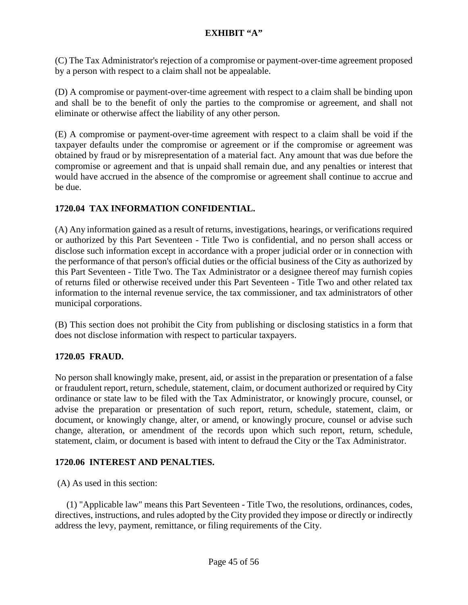(C) The Tax Administrator's rejection of a compromise or payment-over-time agreement proposed by a person with respect to a claim shall not be appealable.

(D) A compromise or payment-over-time agreement with respect to a claim shall be binding upon and shall be to the benefit of only the parties to the compromise or agreement, and shall not eliminate or otherwise affect the liability of any other person.

(E) A compromise or payment-over-time agreement with respect to a claim shall be void if the taxpayer defaults under the compromise or agreement or if the compromise or agreement was obtained by fraud or by misrepresentation of a material fact. Any amount that was due before the compromise or agreement and that is unpaid shall remain due, and any penalties or interest that would have accrued in the absence of the compromise or agreement shall continue to accrue and be due.

# **1720.04 TAX INFORMATION CONFIDENTIAL.**

(A) Any information gained as a result of returns, investigations, hearings, or verifications required or authorized by this Part Seventeen - Title Two is confidential, and no person shall access or disclose such information except in accordance with a proper judicial order or in connection with the performance of that person's official duties or the official business of the City as authorized by this Part Seventeen - Title Two. The Tax Administrator or a designee thereof may furnish copies of returns filed or otherwise received under this Part Seventeen - Title Two and other related tax information to the internal revenue service, the tax commissioner, and tax administrators of other municipal corporations.

(B) This section does not prohibit the City from publishing or disclosing statistics in a form that does not disclose information with respect to particular taxpayers.

# **1720.05 FRAUD.**

No person shall knowingly make, present, aid, or assist in the preparation or presentation of a false or fraudulent report, return, schedule, statement, claim, or document authorized or required by City ordinance or state law to be filed with the Tax Administrator, or knowingly procure, counsel, or advise the preparation or presentation of such report, return, schedule, statement, claim, or document, or knowingly change, alter, or amend, or knowingly procure, counsel or advise such change, alteration, or amendment of the records upon which such report, return, schedule, statement, claim, or document is based with intent to defraud the City or the Tax Administrator.

# **1720.06 INTEREST AND PENALTIES.**

(A) As used in this section:

 (1) "Applicable law" means this Part Seventeen - Title Two, the resolutions, ordinances, codes, directives, instructions, and rules adopted by the City provided they impose or directly or indirectly address the levy, payment, remittance, or filing requirements of the City.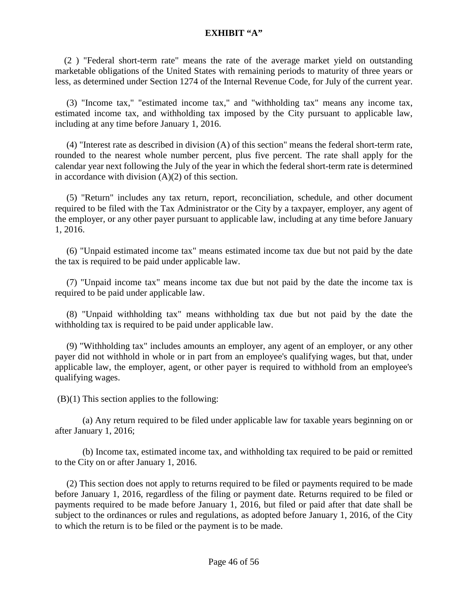(2 ) "Federal short-term rate" means the rate of the average market yield on outstanding marketable obligations of the United States with remaining periods to maturity of three years or less, as determined under Section 1274 of the Internal Revenue Code, for July of the current year.

 (3) "Income tax," "estimated income tax," and "withholding tax" means any income tax, estimated income tax, and withholding tax imposed by the City pursuant to applicable law, including at any time before January 1, 2016.

 (4) "Interest rate as described in division (A) of this section" means the federal short-term rate, rounded to the nearest whole number percent, plus five percent. The rate shall apply for the calendar year next following the July of the year in which the federal short-term rate is determined in accordance with division  $(A)(2)$  of this section.

 (5) "Return" includes any tax return, report, reconciliation, schedule, and other document required to be filed with the Tax Administrator or the City by a taxpayer, employer, any agent of the employer, or any other payer pursuant to applicable law, including at any time before January 1, 2016.

 (6) "Unpaid estimated income tax" means estimated income tax due but not paid by the date the tax is required to be paid under applicable law.

 (7) "Unpaid income tax" means income tax due but not paid by the date the income tax is required to be paid under applicable law.

 (8) "Unpaid withholding tax" means withholding tax due but not paid by the date the withholding tax is required to be paid under applicable law.

 (9) "Withholding tax" includes amounts an employer, any agent of an employer, or any other payer did not withhold in whole or in part from an employee's qualifying wages, but that, under applicable law, the employer, agent, or other payer is required to withhold from an employee's qualifying wages.

 $(B)(1)$  This section applies to the following:

(a) Any return required to be filed under applicable law for taxable years beginning on or after January 1, 2016;

(b) Income tax, estimated income tax, and withholding tax required to be paid or remitted to the City on or after January 1, 2016.

 (2) This section does not apply to returns required to be filed or payments required to be made before January 1, 2016, regardless of the filing or payment date. Returns required to be filed or payments required to be made before January 1, 2016, but filed or paid after that date shall be subject to the ordinances or rules and regulations, as adopted before January 1, 2016, of the City to which the return is to be filed or the payment is to be made.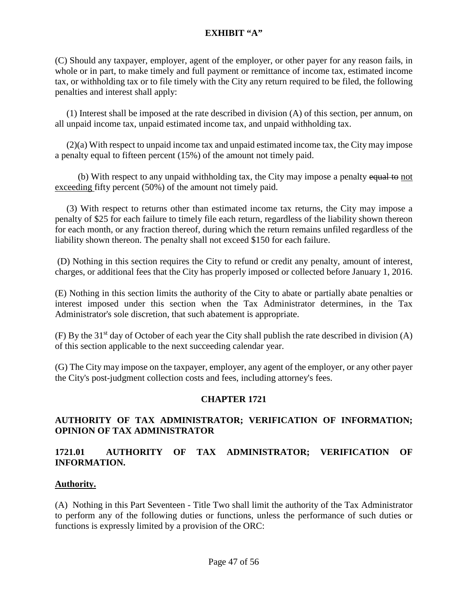(C) Should any taxpayer, employer, agent of the employer, or other payer for any reason fails, in whole or in part, to make timely and full payment or remittance of income tax, estimated income tax, or withholding tax or to file timely with the City any return required to be filed, the following penalties and interest shall apply:

 (1) Interest shall be imposed at the rate described in division (A) of this section, per annum, on all unpaid income tax, unpaid estimated income tax, and unpaid withholding tax.

 (2)(a) With respect to unpaid income tax and unpaid estimated income tax, the City may impose a penalty equal to fifteen percent (15%) of the amount not timely paid.

(b) With respect to any unpaid withholding tax, the City may impose a penalty equal to not exceeding fifty percent (50%) of the amount not timely paid.

 (3) With respect to returns other than estimated income tax returns, the City may impose a penalty of \$25 for each failure to timely file each return, regardless of the liability shown thereon for each month, or any fraction thereof, during which the return remains unfiled regardless of the liability shown thereon. The penalty shall not exceed \$150 for each failure.

(D) Nothing in this section requires the City to refund or credit any penalty, amount of interest, charges, or additional fees that the City has properly imposed or collected before January 1, 2016.

(E) Nothing in this section limits the authority of the City to abate or partially abate penalties or interest imposed under this section when the Tax Administrator determines, in the Tax Administrator's sole discretion, that such abatement is appropriate.

(F) By the 31<sup>st</sup> day of October of each year the City shall publish the rate described in division (A) of this section applicable to the next succeeding calendar year.

(G) The City may impose on the taxpayer, employer, any agent of the employer, or any other payer the City's post-judgment collection costs and fees, including attorney's fees.

### **CHAPTER 1721**

# **AUTHORITY OF TAX ADMINISTRATOR; VERIFICATION OF INFORMATION; OPINION OF TAX ADMINISTRATOR**

# **1721.01 AUTHORITY OF TAX ADMINISTRATOR; VERIFICATION OF INFORMATION.**

### **Authority.**

(A) Nothing in this Part Seventeen - Title Two shall limit the authority of the Tax Administrator to perform any of the following duties or functions, unless the performance of such duties or functions is expressly limited by a provision of the ORC: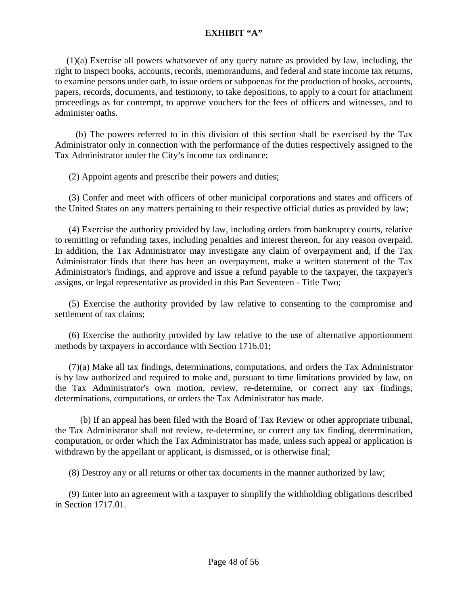(1)(a) Exercise all powers whatsoever of any query nature as provided by law, including, the right to inspect books, accounts, records, memorandums, and federal and state income tax returns, to examine persons under oath, to issue orders or subpoenas for the production of books, accounts, papers, records, documents, and testimony, to take depositions, to apply to a court for attachment proceedings as for contempt, to approve vouchers for the fees of officers and witnesses, and to administer oaths.

 (b) The powers referred to in this division of this section shall be exercised by the Tax Administrator only in connection with the performance of the duties respectively assigned to the Tax Administrator under the City's income tax ordinance;

(2) Appoint agents and prescribe their powers and duties;

 (3) Confer and meet with officers of other municipal corporations and states and officers of the United States on any matters pertaining to their respective official duties as provided by law;

 (4) Exercise the authority provided by law, including orders from bankruptcy courts, relative to remitting or refunding taxes, including penalties and interest thereon, for any reason overpaid. In addition, the Tax Administrator may investigate any claim of overpayment and, if the Tax Administrator finds that there has been an overpayment, make a written statement of the Tax Administrator's findings, and approve and issue a refund payable to the taxpayer, the taxpayer's assigns, or legal representative as provided in this Part Seventeen - Title Two;

 (5) Exercise the authority provided by law relative to consenting to the compromise and settlement of tax claims;

 (6) Exercise the authority provided by law relative to the use of alternative apportionment methods by taxpayers in accordance with Section 1716.01;

 (7)(a) Make all tax findings, determinations, computations, and orders the Tax Administrator is by law authorized and required to make and, pursuant to time limitations provided by law, on the Tax Administrator's own motion, review, re-determine, or correct any tax findings, determinations, computations, or orders the Tax Administrator has made.

 (b) If an appeal has been filed with the Board of Tax Review or other appropriate tribunal, the Tax Administrator shall not review, re-determine, or correct any tax finding, determination, computation, or order which the Tax Administrator has made, unless such appeal or application is withdrawn by the appellant or applicant, is dismissed, or is otherwise final;

(8) Destroy any or all returns or other tax documents in the manner authorized by law;

 (9) Enter into an agreement with a taxpayer to simplify the withholding obligations described in Section 1717.01.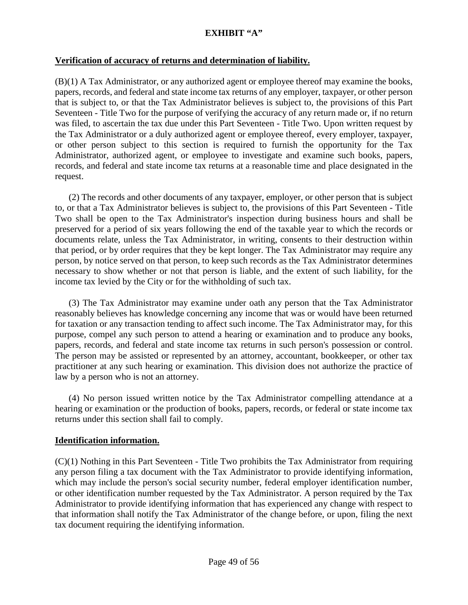#### **Verification of accuracy of returns and determination of liability.**

(B)(1) A Tax Administrator, or any authorized agent or employee thereof may examine the books, papers, records, and federal and state income tax returns of any employer, taxpayer, or other person that is subject to, or that the Tax Administrator believes is subject to, the provisions of this Part Seventeen - Title Two for the purpose of verifying the accuracy of any return made or, if no return was filed, to ascertain the tax due under this Part Seventeen - Title Two. Upon written request by the Tax Administrator or a duly authorized agent or employee thereof, every employer, taxpayer, or other person subject to this section is required to furnish the opportunity for the Tax Administrator, authorized agent, or employee to investigate and examine such books, papers, records, and federal and state income tax returns at a reasonable time and place designated in the request.

 (2) The records and other documents of any taxpayer, employer, or other person that is subject to, or that a Tax Administrator believes is subject to, the provisions of this Part Seventeen - Title Two shall be open to the Tax Administrator's inspection during business hours and shall be preserved for a period of six years following the end of the taxable year to which the records or documents relate, unless the Tax Administrator, in writing, consents to their destruction within that period, or by order requires that they be kept longer. The Tax Administrator may require any person, by notice served on that person, to keep such records as the Tax Administrator determines necessary to show whether or not that person is liable, and the extent of such liability, for the income tax levied by the City or for the withholding of such tax.

 (3) The Tax Administrator may examine under oath any person that the Tax Administrator reasonably believes has knowledge concerning any income that was or would have been returned for taxation or any transaction tending to affect such income. The Tax Administrator may, for this purpose, compel any such person to attend a hearing or examination and to produce any books, papers, records, and federal and state income tax returns in such person's possession or control. The person may be assisted or represented by an attorney, accountant, bookkeeper, or other tax practitioner at any such hearing or examination. This division does not authorize the practice of law by a person who is not an attorney.

 (4) No person issued written notice by the Tax Administrator compelling attendance at a hearing or examination or the production of books, papers, records, or federal or state income tax returns under this section shall fail to comply.

#### **Identification information.**

(C)(1) Nothing in this Part Seventeen - Title Two prohibits the Tax Administrator from requiring any person filing a tax document with the Tax Administrator to provide identifying information, which may include the person's social security number, federal employer identification number, or other identification number requested by the Tax Administrator. A person required by the Tax Administrator to provide identifying information that has experienced any change with respect to that information shall notify the Tax Administrator of the change before, or upon, filing the next tax document requiring the identifying information.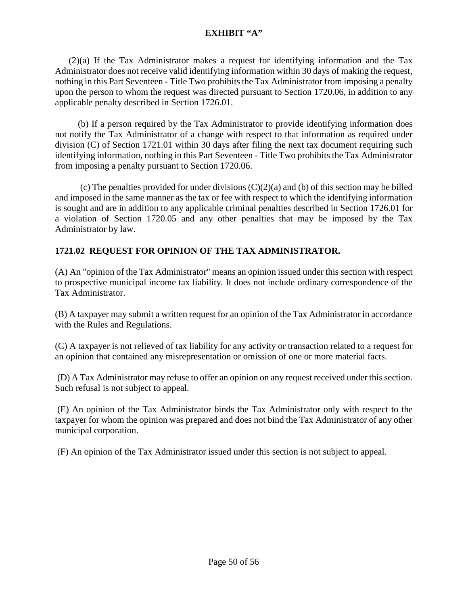(2)(a) If the Tax Administrator makes a request for identifying information and the Tax Administrator does not receive valid identifying information within 30 days of making the request, nothing in this Part Seventeen - Title Two prohibits the Tax Administrator from imposing a penalty upon the person to whom the request was directed pursuant to Section 1720.06, in addition to any applicable penalty described in Section 1726.01.

 (b) If a person required by the Tax Administrator to provide identifying information does not notify the Tax Administrator of a change with respect to that information as required under division (C) of Section 1721.01 within 30 days after filing the next tax document requiring such identifying information, nothing in this Part Seventeen - Title Two prohibits the Tax Administrator from imposing a penalty pursuant to Section 1720.06.

(c) The penalties provided for under divisions  $(C)(2)(a)$  and (b) of this section may be billed and imposed in the same manner as the tax or fee with respect to which the identifying information is sought and are in addition to any applicable criminal penalties described in Section 1726.01 for a violation of Section 1720.05 and any other penalties that may be imposed by the Tax Administrator by law.

# **1721.02 REQUEST FOR OPINION OF THE TAX ADMINISTRATOR.**

(A) An "opinion of the Tax Administrator" means an opinion issued under this section with respect to prospective municipal income tax liability. It does not include ordinary correspondence of the Tax Administrator.

(B) A taxpayer may submit a written request for an opinion of the Tax Administrator in accordance with the Rules and Regulations.

(C) A taxpayer is not relieved of tax liability for any activity or transaction related to a request for an opinion that contained any misrepresentation or omission of one or more material facts.

(D) A Tax Administrator may refuse to offer an opinion on any request received under this section. Such refusal is not subject to appeal.

(E) An opinion of the Tax Administrator binds the Tax Administrator only with respect to the taxpayer for whom the opinion was prepared and does not bind the Tax Administrator of any other municipal corporation.

(F) An opinion of the Tax Administrator issued under this section is not subject to appeal.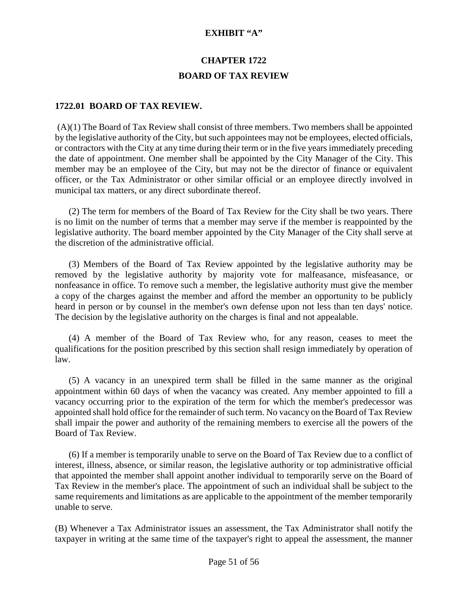# **CHAPTER 1722 BOARD OF TAX REVIEW**

#### **1722.01 BOARD OF TAX REVIEW.**

 $(A)(1)$  The Board of Tax Review shall consist of three members. Two members shall be appointed by the legislative authority of the City, but such appointees may not be employees, elected officials, or contractors with the City at any time during their term or in the five years immediately preceding the date of appointment. One member shall be appointed by the City Manager of the City. This member may be an employee of the City, but may not be the director of finance or equivalent officer, or the Tax Administrator or other similar official or an employee directly involved in municipal tax matters, or any direct subordinate thereof.

 (2) The term for members of the Board of Tax Review for the City shall be two years. There is no limit on the number of terms that a member may serve if the member is reappointed by the legislative authority. The board member appointed by the City Manager of the City shall serve at the discretion of the administrative official.

 (3) Members of the Board of Tax Review appointed by the legislative authority may be removed by the legislative authority by majority vote for malfeasance, misfeasance, or nonfeasance in office. To remove such a member, the legislative authority must give the member a copy of the charges against the member and afford the member an opportunity to be publicly heard in person or by counsel in the member's own defense upon not less than ten days' notice. The decision by the legislative authority on the charges is final and not appealable.

 (4) A member of the Board of Tax Review who, for any reason, ceases to meet the qualifications for the position prescribed by this section shall resign immediately by operation of law.

 (5) A vacancy in an unexpired term shall be filled in the same manner as the original appointment within 60 days of when the vacancy was created. Any member appointed to fill a vacancy occurring prior to the expiration of the term for which the member's predecessor was appointed shall hold office for the remainder of such term. No vacancy on the Board of Tax Review shall impair the power and authority of the remaining members to exercise all the powers of the Board of Tax Review.

 (6) If a member is temporarily unable to serve on the Board of Tax Review due to a conflict of interest, illness, absence, or similar reason, the legislative authority or top administrative official that appointed the member shall appoint another individual to temporarily serve on the Board of Tax Review in the member's place. The appointment of such an individual shall be subject to the same requirements and limitations as are applicable to the appointment of the member temporarily unable to serve.

(B) Whenever a Tax Administrator issues an assessment, the Tax Administrator shall notify the taxpayer in writing at the same time of the taxpayer's right to appeal the assessment, the manner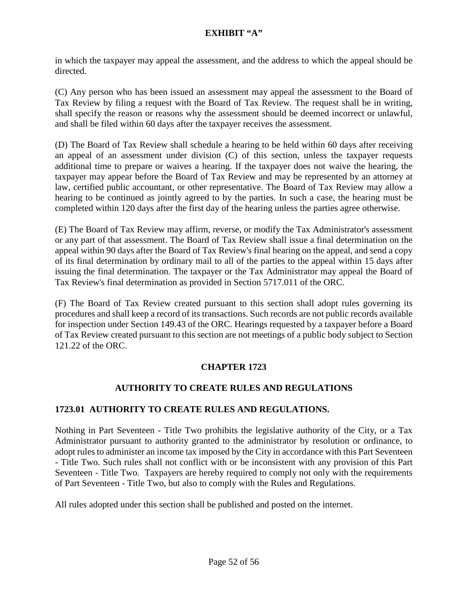in which the taxpayer may appeal the assessment, and the address to which the appeal should be directed.

(C) Any person who has been issued an assessment may appeal the assessment to the Board of Tax Review by filing a request with the Board of Tax Review. The request shall be in writing, shall specify the reason or reasons why the assessment should be deemed incorrect or unlawful, and shall be filed within 60 days after the taxpayer receives the assessment.

(D) The Board of Tax Review shall schedule a hearing to be held within 60 days after receiving an appeal of an assessment under division (C) of this section, unless the taxpayer requests additional time to prepare or waives a hearing. If the taxpayer does not waive the hearing, the taxpayer may appear before the Board of Tax Review and may be represented by an attorney at law, certified public accountant, or other representative. The Board of Tax Review may allow a hearing to be continued as jointly agreed to by the parties. In such a case, the hearing must be completed within 120 days after the first day of the hearing unless the parties agree otherwise.

(E) The Board of Tax Review may affirm, reverse, or modify the Tax Administrator's assessment or any part of that assessment. The Board of Tax Review shall issue a final determination on the appeal within 90 days after the Board of Tax Review's final hearing on the appeal, and send a copy of its final determination by ordinary mail to all of the parties to the appeal within 15 days after issuing the final determination. The taxpayer or the Tax Administrator may appeal the Board of Tax Review's final determination as provided in Section [5717.011](http://codes.ohio.gov/orc/5717.011) of the ORC.

(F) The Board of Tax Review created pursuant to this section shall adopt rules governing its procedures and shall keep a record of its transactions. Such records are not public records available for inspection under Section [149.43](http://codes.ohio.gov/orc/149.43) of the ORC. Hearings requested by a taxpayer before a Board of Tax Review created pursuant to this section are not meetings of a public body subject to Section [121.22](http://codes.ohio.gov/orc/121.22) of the ORC.

# **CHAPTER 1723**

### **AUTHORITY TO CREATE RULES AND REGULATIONS**

### **1723.01 AUTHORITY TO CREATE RULES AND REGULATIONS.**

Nothing in Part Seventeen - Title Two prohibits the legislative authority of the City, or a Tax Administrator pursuant to authority granted to the administrator by resolution or ordinance, to adopt rules to administer an income tax imposed by the City in accordance with this Part Seventeen - Title Two. Such rules shall not conflict with or be inconsistent with any provision of this Part Seventeen - Title Two. Taxpayers are hereby required to comply not only with the requirements of Part Seventeen - Title Two, but also to comply with the Rules and Regulations.

All rules adopted under this section shall be published and posted on the internet.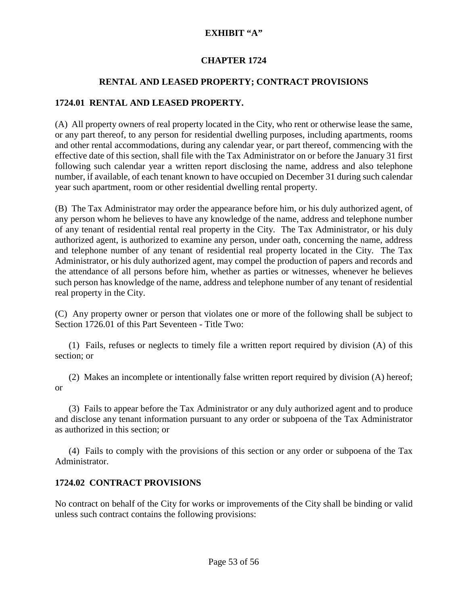# **CHAPTER 1724**

# **RENTAL AND LEASED PROPERTY; CONTRACT PROVISIONS**

# **1724.01 RENTAL AND LEASED PROPERTY.**

(A) All property owners of real property located in the City, who rent or otherwise lease the same, or any part thereof, to any person for residential dwelling purposes, including apartments, rooms and other rental accommodations, during any calendar year, or part thereof, commencing with the effective date of this section, shall file with the Tax Administrator on or before the January 31 first following such calendar year a written report disclosing the name, address and also telephone number, if available, of each tenant known to have occupied on December 31 during such calendar year such apartment, room or other residential dwelling rental property.

(B) The Tax Administrator may order the appearance before him, or his duly authorized agent, of any person whom he believes to have any knowledge of the name, address and telephone number of any tenant of residential rental real property in the City. The Tax Administrator, or his duly authorized agent, is authorized to examine any person, under oath, concerning the name, address and telephone number of any tenant of residential real property located in the City. The Tax Administrator, or his duly authorized agent, may compel the production of papers and records and the attendance of all persons before him, whether as parties or witnesses, whenever he believes such person has knowledge of the name, address and telephone number of any tenant of residential real property in the City.

(C) Any property owner or person that violates one or more of the following shall be subject to Section 1726.01 of this Part Seventeen - Title Two:

 (1) Fails, refuses or neglects to timely file a written report required by division (A) of this section; or

 (2) Makes an incomplete or intentionally false written report required by division (A) hereof; or

 (3) Fails to appear before the Tax Administrator or any duly authorized agent and to produce and disclose any tenant information pursuant to any order or subpoena of the Tax Administrator as authorized in this section; or

 (4) Fails to comply with the provisions of this section or any order or subpoena of the Tax Administrator.

### **1724.02 CONTRACT PROVISIONS**

No contract on behalf of the City for works or improvements of the City shall be binding or valid unless such contract contains the following provisions: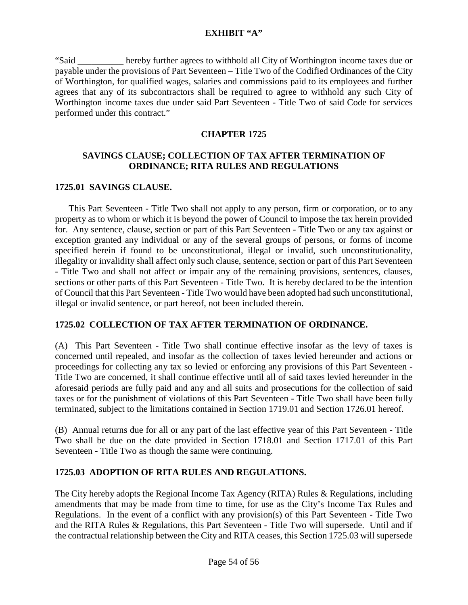"Said \_\_\_\_\_\_\_\_\_\_ hereby further agrees to withhold all City of Worthington income taxes due or payable under the provisions of Part Seventeen – Title Two of the Codified Ordinances of the City of Worthington, for qualified wages, salaries and commissions paid to its employees and further agrees that any of its subcontractors shall be required to agree to withhold any such City of Worthington income taxes due under said Part Seventeen - Title Two of said Code for services performed under this contract."

# **CHAPTER 1725**

# **SAVINGS CLAUSE; COLLECTION OF TAX AFTER TERMINATION OF ORDINANCE; RITA RULES AND REGULATIONS**

# **1725.01 SAVINGS CLAUSE.**

 This Part Seventeen - Title Two shall not apply to any person, firm or corporation, or to any property as to whom or which it is beyond the power of Council to impose the tax herein provided for. Any sentence, clause, section or part of this Part Seventeen - Title Two or any tax against or exception granted any individual or any of the several groups of persons, or forms of income specified herein if found to be unconstitutional, illegal or invalid, such unconstitutionality, illegality or invalidity shall affect only such clause, sentence, section or part of this Part Seventeen - Title Two and shall not affect or impair any of the remaining provisions, sentences, clauses, sections or other parts of this Part Seventeen - Title Two. It is hereby declared to be the intention of Council that this Part Seventeen - Title Two would have been adopted had such unconstitutional, illegal or invalid sentence, or part hereof, not been included therein.

### **1725.02 COLLECTION OF TAX AFTER TERMINATION OF ORDINANCE.**

(A)This Part Seventeen - Title Two shall continue effective insofar as the levy of taxes is concerned until repealed, and insofar as the collection of taxes levied hereunder and actions or proceedings for collecting any tax so levied or enforcing any provisions of this Part Seventeen - Title Two are concerned, it shall continue effective until all of said taxes levied hereunder in the aforesaid periods are fully paid and any and all suits and prosecutions for the collection of said taxes or for the punishment of violations of this Part Seventeen - Title Two shall have been fully terminated, subject to the limitations contained in Section 1719.01 and Section 1726.01 hereof.

(B) Annual returns due for all or any part of the last effective year of this Part Seventeen - Title Two shall be due on the date provided in Section 1718.01 and Section 1717.01 of this Part Seventeen - Title Two as though the same were continuing.

# **1725.03 ADOPTION OF RITA RULES AND REGULATIONS.**

The City hereby adopts the Regional Income Tax Agency (RITA) Rules & Regulations, including amendments that may be made from time to time, for use as the City's Income Tax Rules and Regulations. In the event of a conflict with any provision(s) of this Part Seventeen - Title Two and the RITA Rules & Regulations, this Part Seventeen - Title Two will supersede. Until and if the contractual relationship between the City and RITA ceases, this Section 1725.03 will supersede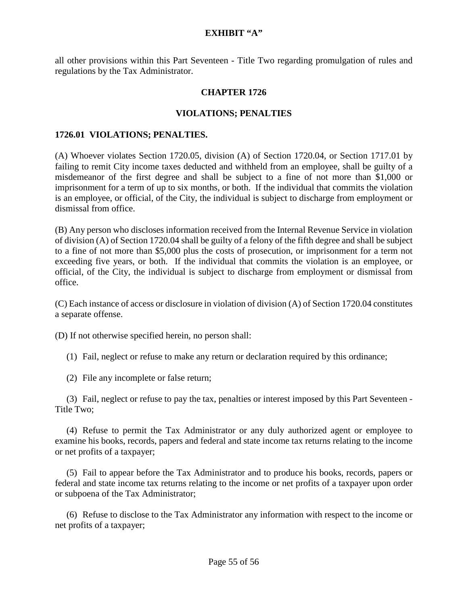all other provisions within this Part Seventeen - Title Two regarding promulgation of rules and regulations by the Tax Administrator.

#### **CHAPTER 1726**

#### **VIOLATIONS; PENALTIES**

#### **1726.01 VIOLATIONS; PENALTIES.**

(A) Whoever violates Section 1720.05, division (A) of Section 1720.04, or Section 1717.01 by failing to remit City income taxes deducted and withheld from an employee, shall be guilty of a misdemeanor of the first degree and shall be subject to a fine of not more than \$1,000 or imprisonment for a term of up to six months, or both. If the individual that commits the violation is an employee, or official, of the City, the individual is subject to discharge from employment or dismissal from office.

(B) Any person who discloses information received from the Internal Revenue Service in violation of division (A) of Section 1720.04 shall be guilty of a felony of the fifth degree and shall be subject to a fine of not more than \$5,000 plus the costs of prosecution, or imprisonment for a term not exceeding five years, or both. If the individual that commits the violation is an employee, or official, of the City, the individual is subject to discharge from employment or dismissal from office.

(C) Each instance of access or disclosure in violation of division (A) of Section 1720.04 constitutes a separate offense.

(D) If not otherwise specified herein, no person shall:

(1) Fail, neglect or refuse to make any return or declaration required by this ordinance;

(2) File any incomplete or false return;

 (3) Fail, neglect or refuse to pay the tax, penalties or interest imposed by this Part Seventeen - Title Two;

 (4) Refuse to permit the Tax Administrator or any duly authorized agent or employee to examine his books, records, papers and federal and state income tax returns relating to the income or net profits of a taxpayer;

 (5) Fail to appear before the Tax Administrator and to produce his books, records, papers or federal and state income tax returns relating to the income or net profits of a taxpayer upon order or subpoena of the Tax Administrator;

 (6) Refuse to disclose to the Tax Administrator any information with respect to the income or net profits of a taxpayer;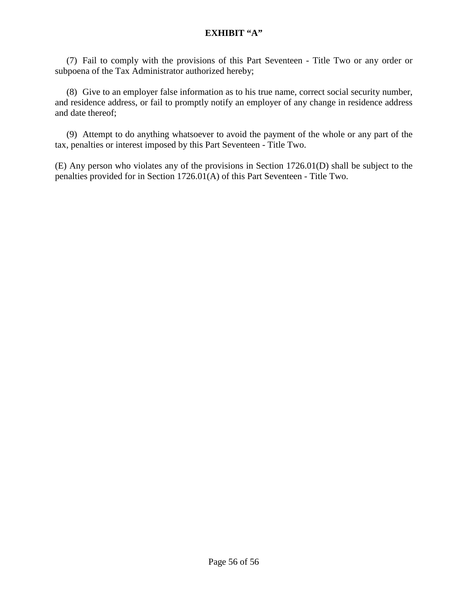(7) Fail to comply with the provisions of this Part Seventeen - Title Two or any order or subpoena of the Tax Administrator authorized hereby;

 (8) Give to an employer false information as to his true name, correct social security number, and residence address, or fail to promptly notify an employer of any change in residence address and date thereof;

 (9) Attempt to do anything whatsoever to avoid the payment of the whole or any part of the tax, penalties or interest imposed by this Part Seventeen - Title Two.

(E) Any person who violates any of the provisions in Section 1726.01(D) shall be subject to the penalties provided for in Section 1726.01(A) of this Part Seventeen - Title Two.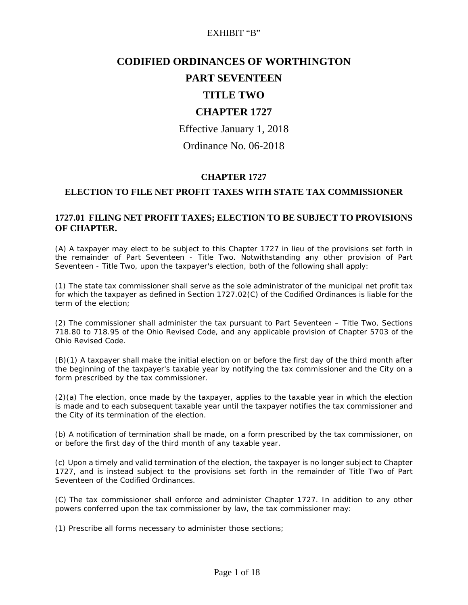# **CODIFIED ORDINANCES OF WORTHINGTON**

# **PART SEVENTEEN**

# **TITLE TWO**

# **CHAPTER 1727**

Effective January 1, 2018

Ordinance No. 06-2018

### **CHAPTER 1727**

#### **ELECTION TO FILE NET PROFIT TAXES WITH STATE TAX COMMISSIONER**

#### **1727.01 FILING NET PROFIT TAXES; ELECTION TO BE SUBJECT TO PROVISIONS OF CHAPTER.**

(A) A taxpayer may elect to be subject to this Chapter 1727 in lieu of the provisions set forth in the remainder of Part Seventeen - Title Two. Notwithstanding any other provision of Part Seventeen - Title Two, upon the taxpayer's election, both of the following shall apply:

(1) The state tax commissioner shall serve as the sole administrator of the municipal net profit tax for which the taxpayer as defined in Section 1727.02(C) of the Codified Ordinances is liable for the term of the election;

(2) The commissioner shall administer the tax pursuant to Part Seventeen – Title Two, Sections 718.80 to 718.95 of the Ohio Revised Code, and any applicable provision of Chapter 5703 of the Ohio Revised Code.

(B)(1) A taxpayer shall make the initial election on or before the first day of the third month after the beginning of the taxpayer's taxable year by notifying the tax commissioner and the City on a form prescribed by the tax commissioner.

(2)(a) The election, once made by the taxpayer, applies to the taxable year in which the election is made and to each subsequent taxable year until the taxpayer notifies the tax commissioner and the City of its termination of the election.

(b) A notification of termination shall be made, on a form prescribed by the tax commissioner, on or before the first day of the third month of any taxable year.

(c) Upon a timely and valid termination of the election, the taxpayer is no longer subject to Chapter 1727, and is instead subject to the provisions set forth in the remainder of Title Two of Part Seventeen of the Codified Ordinances.

(C) The tax commissioner shall enforce and administer Chapter 1727. In addition to any other powers conferred upon the tax commissioner by law, the tax commissioner may:

(1) Prescribe all forms necessary to administer those sections;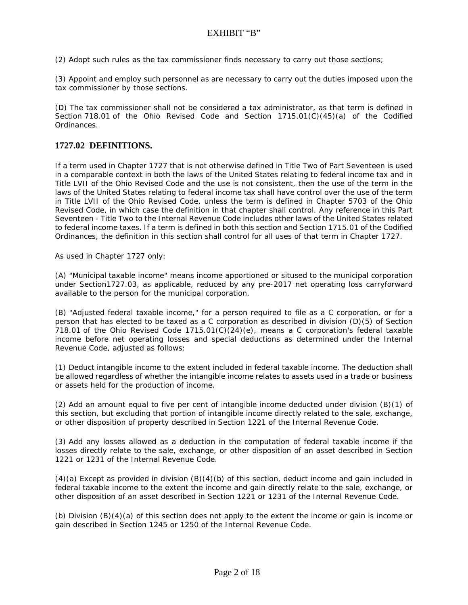(2) Adopt such rules as the tax commissioner finds necessary to carry out those sections;

(3) Appoint and employ such personnel as are necessary to carry out the duties imposed upon the tax commissioner by those sections.

(D) The tax commissioner shall not be considered a tax administrator, as that term is defined in Section 718.01 of the Ohio Revised Code and Section  $1715.01(C)(45)(a)$  of the Codified Ordinances.

#### **1727.02 DEFINITIONS.**

If a term used in Chapter 1727 that is not otherwise defined in Title Two of Part Seventeen is used in a comparable context in both the laws of the United States relating to federal income tax and in Title LVII of the Ohio Revised Code and the use is not consistent, then the use of the term in the laws of the United States relating to federal income tax shall have control over the use of the term in Title LVII of the Ohio Revised Code, unless the term is defined in Chapter 5703 of the Ohio Revised Code, in which case the definition in that chapter shall control. Any reference in this Part Seventeen - Title Two to the Internal Revenue Code includes other laws of the United States related to federal income taxes. If a term is defined in both this section and Section 1715.01 of the Codified Ordinances, the definition in this section shall control for all uses of that term in Chapter 1727.

As used in Chapter 1727 only:

(A) "Municipal taxable income" means income apportioned or sitused to the municipal corporation under Section1727.03, as applicable, reduced by any pre-2017 net operating loss carryforward available to the person for the municipal corporation.

(B) "Adjusted federal taxable income," for a person required to file as a C corporation, or for a person that has elected to be taxed as a C corporation as described in division (D)(5) of Section 718.01 of the Ohio Revised Code  $1715.01(C)(24)(e)$ , means a C corporation's federal taxable income before net operating losses and special deductions as determined under the Internal Revenue Code, adjusted as follows:

(1) Deduct intangible income to the extent included in federal taxable income. The deduction shall be allowed regardless of whether the intangible income relates to assets used in a trade or business or assets held for the production of income.

(2) Add an amount equal to five per cent of intangible income deducted under division (B)(1) of this section, but excluding that portion of intangible income directly related to the sale, exchange, or other disposition of property described in Section 1221 of the Internal Revenue Code.

(3) Add any losses allowed as a deduction in the computation of federal taxable income if the losses directly relate to the sale, exchange, or other disposition of an asset described in Section 1221 or 1231 of the Internal Revenue Code.

(4)(a) Except as provided in division (B)(4)(b) of this section, deduct income and gain included in federal taxable income to the extent the income and gain directly relate to the sale, exchange, or other disposition of an asset described in Section 1221 or 1231 of the Internal Revenue Code.

(b) Division (B)(4)(a) of this section does not apply to the extent the income or gain is income or gain described in Section 1245 or 1250 of the Internal Revenue Code.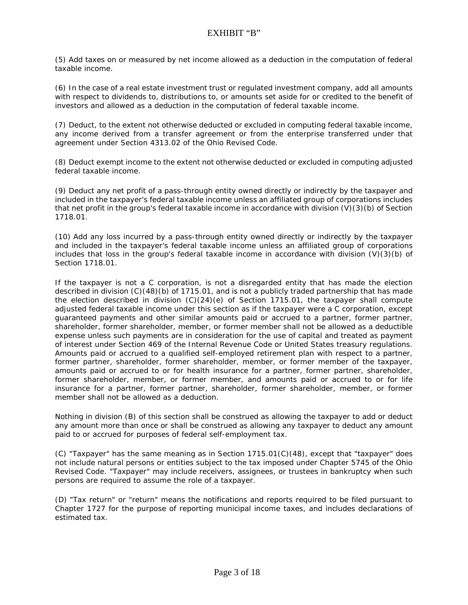(5) Add taxes on or measured by net income allowed as a deduction in the computation of federal taxable income.

(6) In the case of a real estate investment trust or regulated investment company, add all amounts with respect to dividends to, distributions to, or amounts set aside for or credited to the benefit of investors and allowed as a deduction in the computation of federal taxable income.

(7) Deduct, to the extent not otherwise deducted or excluded in computing federal taxable income, any income derived from a transfer agreement or from the enterprise transferred under that agreement under Section 4313.02 of the Ohio Revised Code.

(8) Deduct exempt income to the extent not otherwise deducted or excluded in computing adjusted federal taxable income.

(9) Deduct any net profit of a pass-through entity owned directly or indirectly by the taxpayer and included in the taxpayer's federal taxable income unless an affiliated group of corporations includes that net profit in the group's federal taxable income in accordance with division (V)(3)(b) of Section 1718.01.

(10) Add any loss incurred by a pass-through entity owned directly or indirectly by the taxpayer and included in the taxpayer's federal taxable income unless an affiliated group of corporations includes that loss in the group's federal taxable income in accordance with division  $(V)(3)(b)$  of Section 1718.01.

If the taxpayer is not a C corporation, is not a disregarded entity that has made the election described in division (C)(48)(b) of 1715.01, and is not a publicly traded partnership that has made the election described in division (C)(24)(e) of Section 1715.01, the taxpayer shall compute adjusted federal taxable income under this section as if the taxpayer were a C corporation, except guaranteed payments and other similar amounts paid or accrued to a partner, former partner, shareholder, former shareholder, member, or former member shall not be allowed as a deductible expense unless such payments are in consideration for the use of capital and treated as payment of interest under Section 469 of the Internal Revenue Code or United States treasury regulations. Amounts paid or accrued to a qualified self-employed retirement plan with respect to a partner, former partner, shareholder, former shareholder, member, or former member of the taxpayer, amounts paid or accrued to or for health insurance for a partner, former partner, shareholder, former shareholder, member, or former member, and amounts paid or accrued to or for life insurance for a partner, former partner, shareholder, former shareholder, member, or former member shall not be allowed as a deduction.

Nothing in division (B) of this section shall be construed as allowing the taxpayer to add or deduct any amount more than once or shall be construed as allowing any taxpayer to deduct any amount paid to or accrued for purposes of federal self-employment tax.

(C) "Taxpayer" has the same meaning as in Section 1715.01(C)(48), except that "taxpayer" does not include natural persons or entities subject to the tax imposed under Chapter 5745 of the Ohio Revised Code. "Taxpayer" may include receivers, assignees, or trustees in bankruptcy when such persons are required to assume the role of a taxpayer.

(D) "Tax return" or "return" means the notifications and reports required to be filed pursuant to Chapter 1727 for the purpose of reporting municipal income taxes, and includes declarations of estimated tax.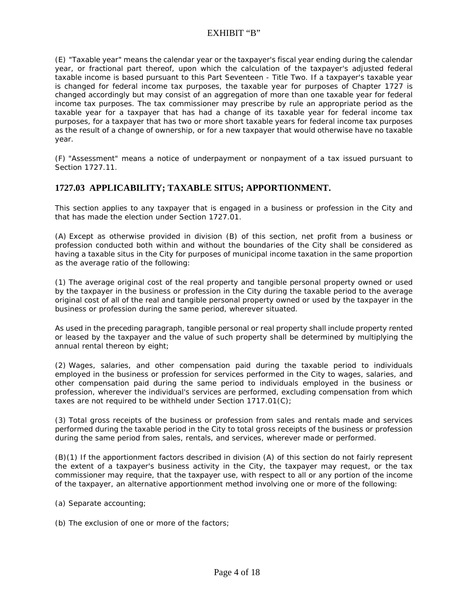(E) "Taxable year" means the calendar year or the taxpayer's fiscal year ending during the calendar year, or fractional part thereof, upon which the calculation of the taxpayer's adjusted federal taxable income is based pursuant to this Part Seventeen - Title Two. If a taxpayer's taxable year is changed for federal income tax purposes, the taxable year for purposes of Chapter 1727 is changed accordingly but may consist of an aggregation of more than one taxable year for federal income tax purposes. The tax commissioner may prescribe by rule an appropriate period as the taxable year for a taxpayer that has had a change of its taxable year for federal income tax purposes, for a taxpayer that has two or more short taxable years for federal income tax purposes as the result of a change of ownership, or for a new taxpayer that would otherwise have no taxable year.

(F) "Assessment" means a notice of underpayment or nonpayment of a tax issued pursuant to Section 1727.11.

#### **1727.03 APPLICABILITY; TAXABLE SITUS; APPORTIONMENT.**

This section applies to any taxpayer that is engaged in a business or profession in the City and that has made the election under Section 1727.01.

(A) Except as otherwise provided in division (B) of this section, net profit from a business or profession conducted both within and without the boundaries of the City shall be considered as having a taxable situs in the City for purposes of municipal income taxation in the same proportion as the average ratio of the following:

(1) The average original cost of the real property and tangible personal property owned or used by the taxpayer in the business or profession in the City during the taxable period to the average original cost of all of the real and tangible personal property owned or used by the taxpayer in the business or profession during the same period, wherever situated.

As used in the preceding paragraph, tangible personal or real property shall include property rented or leased by the taxpayer and the value of such property shall be determined by multiplying the annual rental thereon by eight;

(2) Wages, salaries, and other compensation paid during the taxable period to individuals employed in the business or profession for services performed in the City to wages, salaries, and other compensation paid during the same period to individuals employed in the business or profession, wherever the individual's services are performed, excluding compensation from which taxes are not required to be withheld under Section 1717.01(C);

(3) Total gross receipts of the business or profession from sales and rentals made and services performed during the taxable period in the City to total gross receipts of the business or profession during the same period from sales, rentals, and services, wherever made or performed.

(B)(1) If the apportionment factors described in division (A) of this section do not fairly represent the extent of a taxpayer's business activity in the City, the taxpayer may request, or the tax commissioner may require, that the taxpayer use, with respect to all or any portion of the income of the taxpayer, an alternative apportionment method involving one or more of the following:

- (a) Separate accounting;
- (b) The exclusion of one or more of the factors;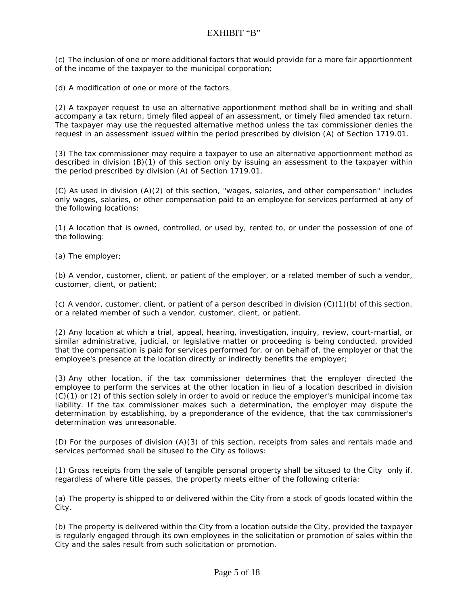(c) The inclusion of one or more additional factors that would provide for a more fair apportionment of the income of the taxpayer to the municipal corporation;

(d) A modification of one or more of the factors.

(2) A taxpayer request to use an alternative apportionment method shall be in writing and shall accompany a tax return, timely filed appeal of an assessment, or timely filed amended tax return. The taxpayer may use the requested alternative method unless the tax commissioner denies the request in an assessment issued within the period prescribed by division (A) of Section 1719.01.

(3) The tax commissioner may require a taxpayer to use an alternative apportionment method as described in division (B)(1) of this section only by issuing an assessment to the taxpayer within the period prescribed by division (A) of Section 1719.01.

(C) As used in division (A)(2) of this section, "wages, salaries, and other compensation" includes only wages, salaries, or other compensation paid to an employee for services performed at any of the following locations:

(1) A location that is owned, controlled, or used by, rented to, or under the possession of one of the following:

(a) The employer;

(b) A vendor, customer, client, or patient of the employer, or a related member of such a vendor, customer, client, or patient;

(c) A vendor, customer, client, or patient of a person described in division (C)(1)(b) of this section, or a related member of such a vendor, customer, client, or patient.

(2) Any location at which a trial, appeal, hearing, investigation, inquiry, review, court-martial, or similar administrative, judicial, or legislative matter or proceeding is being conducted, provided that the compensation is paid for services performed for, or on behalf of, the employer or that the employee's presence at the location directly or indirectly benefits the employer;

(3) Any other location, if the tax commissioner determines that the employer directed the employee to perform the services at the other location in lieu of a location described in division (C)(1) or (2) of this section solely in order to avoid or reduce the employer's municipal income tax liability. If the tax commissioner makes such a determination, the employer may dispute the determination by establishing, by a preponderance of the evidence, that the tax commissioner's determination was unreasonable.

(D) For the purposes of division (A)(3) of this section, receipts from sales and rentals made and services performed shall be sitused to the City as follows:

(1) Gross receipts from the sale of tangible personal property shall be sitused to the City only if, regardless of where title passes, the property meets either of the following criteria:

(a) The property is shipped to or delivered within the City from a stock of goods located within the City.

(b) The property is delivered within the City from a location outside the City, provided the taxpayer is regularly engaged through its own employees in the solicitation or promotion of sales within the City and the sales result from such solicitation or promotion.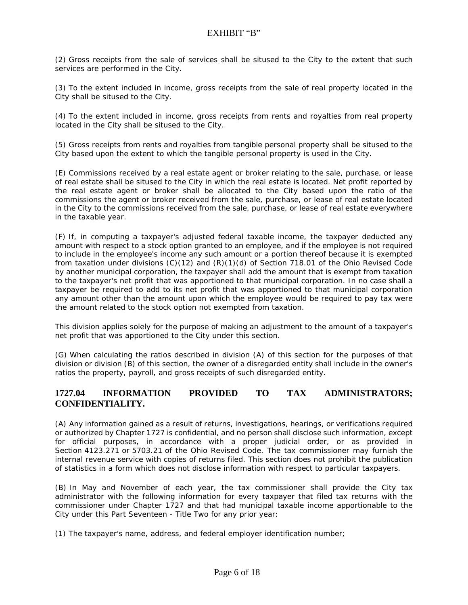(2) Gross receipts from the sale of services shall be sitused to the City to the extent that such services are performed in the City.

(3) To the extent included in income, gross receipts from the sale of real property located in the City shall be sitused to the City.

(4) To the extent included in income, gross receipts from rents and royalties from real property located in the City shall be sitused to the City.

(5) Gross receipts from rents and royalties from tangible personal property shall be sitused to the City based upon the extent to which the tangible personal property is used in the City.

(E) Commissions received by a real estate agent or broker relating to the sale, purchase, or lease of real estate shall be sitused to the City in which the real estate is located. Net profit reported by the real estate agent or broker shall be allocated to the City based upon the ratio of the commissions the agent or broker received from the sale, purchase, or lease of real estate located in the City to the commissions received from the sale, purchase, or lease of real estate everywhere in the taxable year.

(F) If, in computing a taxpayer's adjusted federal taxable income, the taxpayer deducted any amount with respect to a stock option granted to an employee, and if the employee is not required to include in the employee's income any such amount or a portion thereof because it is exempted from taxation under divisions (C)(12) and (R)(1)(d) of Section 718.01 of the Ohio Revised Code by another municipal corporation, the taxpayer shall add the amount that is exempt from taxation to the taxpayer's net profit that was apportioned to that municipal corporation. In no case shall a taxpayer be required to add to its net profit that was apportioned to that municipal corporation any amount other than the amount upon which the employee would be required to pay tax were the amount related to the stock option not exempted from taxation.

This division applies solely for the purpose of making an adjustment to the amount of a taxpayer's net profit that was apportioned to the City under this section.

(G) When calculating the ratios described in division (A) of this section for the purposes of that division or division (B) of this section, the owner of a disregarded entity shall include in the owner's ratios the property, payroll, and gross receipts of such disregarded entity.

#### **1727.04 INFORMATION PROVIDED TO TAX ADMINISTRATORS; CONFIDENTIALITY.**

(A) Any information gained as a result of returns, investigations, hearings, or verifications required or authorized by Chapter 1727 is confidential, and no person shall disclose such information, except for official purposes, in accordance with a proper judicial order, or as provided in Section 4123.271 or 5703.21 of the Ohio Revised Code. The tax commissioner may furnish the internal revenue service with copies of returns filed. This section does not prohibit the publication of statistics in a form which does not disclose information with respect to particular taxpayers.

(B) In May and November of each year, the tax commissioner shall provide the City tax administrator with the following information for every taxpayer that filed tax returns with the commissioner under Chapter 1727 and that had municipal taxable income apportionable to the City under this Part Seventeen - Title Two for any prior year:

(1) The taxpayer's name, address, and federal employer identification number;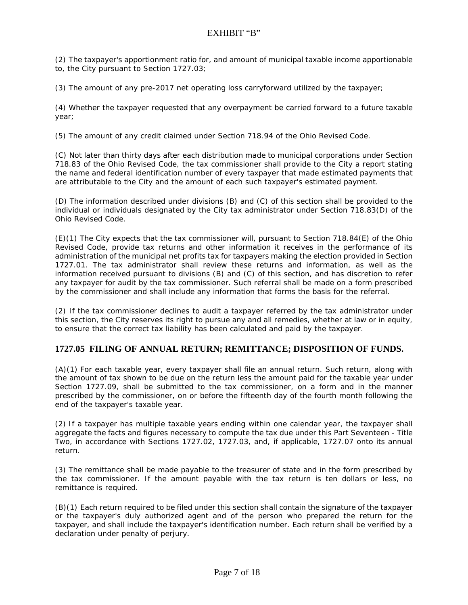(2) The taxpayer's apportionment ratio for, and amount of municipal taxable income apportionable to, the City pursuant to Section 1727.03;

(3) The amount of any pre-2017 net operating loss carryforward utilized by the taxpayer;

(4) Whether the taxpayer requested that any overpayment be carried forward to a future taxable year;

(5) The amount of any credit claimed under Section 718.94 of the Ohio Revised Code.

(C) Not later than thirty days after each distribution made to municipal corporations under Section 718.83 of the Ohio Revised Code, the tax commissioner shall provide to the City a report stating the name and federal identification number of every taxpayer that made estimated payments that are attributable to the City and the amount of each such taxpayer's estimated payment.

(D) The information described under divisions (B) and (C) of this section shall be provided to the individual or individuals designated by the City tax administrator under Section 718.83(D) of the Ohio Revised Code.

(E)(1) The City expects that the tax commissioner will, pursuant to Section 718.84(E) of the Ohio Revised Code, provide tax returns and other information it receives in the performance of its administration of the municipal net profits tax for taxpayers making the election provided in Section 1727.01. The tax administrator shall review these returns and information, as well as the information received pursuant to divisions (B) and (C) of this section, and has discretion to refer any taxpayer for audit by the tax commissioner. Such referral shall be made on a form prescribed by the commissioner and shall include any information that forms the basis for the referral.

(2) If the tax commissioner declines to audit a taxpayer referred by the tax administrator under this section, the City reserves its right to pursue any and all remedies, whether at law or in equity, to ensure that the correct tax liability has been calculated and paid by the taxpayer.

#### **1727.05 FILING OF ANNUAL RETURN; REMITTANCE; DISPOSITION OF FUNDS.**

(A)(1) For each taxable year, every taxpayer shall file an annual return. Such return, along with the amount of tax shown to be due on the return less the amount paid for the taxable year under Section 1727.09, shall be submitted to the tax commissioner, on a form and in the manner prescribed by the commissioner, on or before the fifteenth day of the fourth month following the end of the taxpayer's taxable year.

(2) If a taxpayer has multiple taxable years ending within one calendar year, the taxpayer shall aggregate the facts and figures necessary to compute the tax due under this Part Seventeen - Title Two, in accordance with Sections 1727.02, 1727.03, and, if applicable, 1727.07 onto its annual return.

(3) The remittance shall be made payable to the treasurer of state and in the form prescribed by the tax commissioner. If the amount payable with the tax return is ten dollars or less, no remittance is required.

(B)(1) Each return required to be filed under this section shall contain the signature of the taxpayer or the taxpayer's duly authorized agent and of the person who prepared the return for the taxpayer, and shall include the taxpayer's identification number. Each return shall be verified by a declaration under penalty of perjury.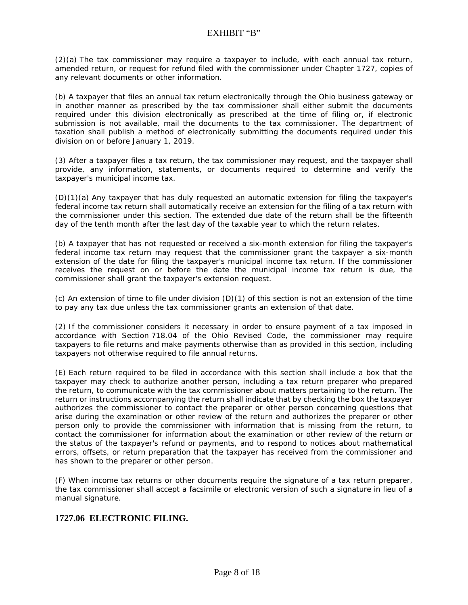(2)(a) The tax commissioner may require a taxpayer to include, with each annual tax return, amended return, or request for refund filed with the commissioner under Chapter 1727, copies of any relevant documents or other information.

(b) A taxpayer that files an annual tax return electronically through the Ohio business gateway or in another manner as prescribed by the tax commissioner shall either submit the documents required under this division electronically as prescribed at the time of filing or, if electronic submission is not available, mail the documents to the tax commissioner. The department of taxation shall publish a method of electronically submitting the documents required under this division on or before January 1, 2019.

(3) After a taxpayer files a tax return, the tax commissioner may request, and the taxpayer shall provide, any information, statements, or documents required to determine and verify the taxpayer's municipal income tax.

(D)(1)(a) Any taxpayer that has duly requested an automatic extension for filing the taxpayer's federal income tax return shall automatically receive an extension for the filing of a tax return with the commissioner under this section. The extended due date of the return shall be the fifteenth day of the tenth month after the last day of the taxable year to which the return relates.

(b) A taxpayer that has not requested or received a six-month extension for filing the taxpayer's federal income tax return may request that the commissioner grant the taxpayer a six-month extension of the date for filing the taxpayer's municipal income tax return. If the commissioner receives the request on or before the date the municipal income tax return is due, the commissioner shall grant the taxpayer's extension request.

(c) An extension of time to file under division (D)(1) of this section is not an extension of the time to pay any tax due unless the tax commissioner grants an extension of that date.

(2) If the commissioner considers it necessary in order to ensure payment of a tax imposed in accordance with Section 718.04 of the Ohio Revised Code, the commissioner may require taxpayers to file returns and make payments otherwise than as provided in this section, including taxpayers not otherwise required to file annual returns.

(E) Each return required to be filed in accordance with this section shall include a box that the taxpayer may check to authorize another person, including a tax return preparer who prepared the return, to communicate with the tax commissioner about matters pertaining to the return. The return or instructions accompanying the return shall indicate that by checking the box the taxpayer authorizes the commissioner to contact the preparer or other person concerning questions that arise during the examination or other review of the return and authorizes the preparer or other person only to provide the commissioner with information that is missing from the return, to contact the commissioner for information about the examination or other review of the return or the status of the taxpayer's refund or payments, and to respond to notices about mathematical errors, offsets, or return preparation that the taxpayer has received from the commissioner and has shown to the preparer or other person.

(F) When income tax returns or other documents require the signature of a tax return preparer, the tax commissioner shall accept a facsimile or electronic version of such a signature in lieu of a manual signature.

#### **1727.06 ELECTRONIC FILING.**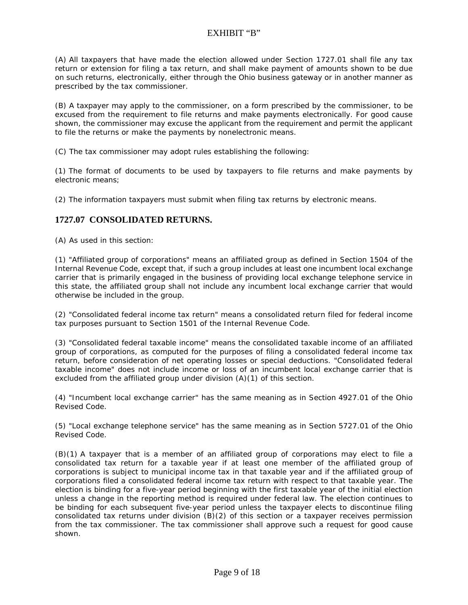(A) All taxpayers that have made the election allowed under Section 1727.01 shall file any tax return or extension for filing a tax return, and shall make payment of amounts shown to be due on such returns, electronically, either through the Ohio business gateway or in another manner as prescribed by the tax commissioner.

(B) A taxpayer may apply to the commissioner, on a form prescribed by the commissioner, to be excused from the requirement to file returns and make payments electronically. For good cause shown, the commissioner may excuse the applicant from the requirement and permit the applicant to file the returns or make the payments by nonelectronic means.

(C) The tax commissioner may adopt rules establishing the following:

(1) The format of documents to be used by taxpayers to file returns and make payments by electronic means;

(2) The information taxpayers must submit when filing tax returns by electronic means.

#### **1727.07 CONSOLIDATED RETURNS.**

(A) As used in this section:

(1) "Affiliated group of corporations" means an affiliated group as defined in Section 1504 of the Internal Revenue Code, except that, if such a group includes at least one incumbent local exchange carrier that is primarily engaged in the business of providing local exchange telephone service in this state, the affiliated group shall not include any incumbent local exchange carrier that would otherwise be included in the group.

(2) "Consolidated federal income tax return" means a consolidated return filed for federal income tax purposes pursuant to Section 1501 of the Internal Revenue Code.

(3) "Consolidated federal taxable income" means the consolidated taxable income of an affiliated group of corporations, as computed for the purposes of filing a consolidated federal income tax return, before consideration of net operating losses or special deductions. "Consolidated federal taxable income" does not include income or loss of an incumbent local exchange carrier that is excluded from the affiliated group under division (A)(1) of this section.

(4) "Incumbent local exchange carrier" has the same meaning as in Section 4927.01 of the Ohio Revised Code.

(5) "Local exchange telephone service" has the same meaning as in Section 5727.01 of the Ohio Revised Code.

(B)(1) A taxpayer that is a member of an affiliated group of corporations may elect to file a consolidated tax return for a taxable year if at least one member of the affiliated group of corporations is subject to municipal income tax in that taxable year and if the affiliated group of corporations filed a consolidated federal income tax return with respect to that taxable year. The election is binding for a five-year period beginning with the first taxable year of the initial election unless a change in the reporting method is required under federal law. The election continues to be binding for each subsequent five-year period unless the taxpayer elects to discontinue filing consolidated tax returns under division (B)(2) of this section or a taxpayer receives permission from the tax commissioner. The tax commissioner shall approve such a request for good cause shown.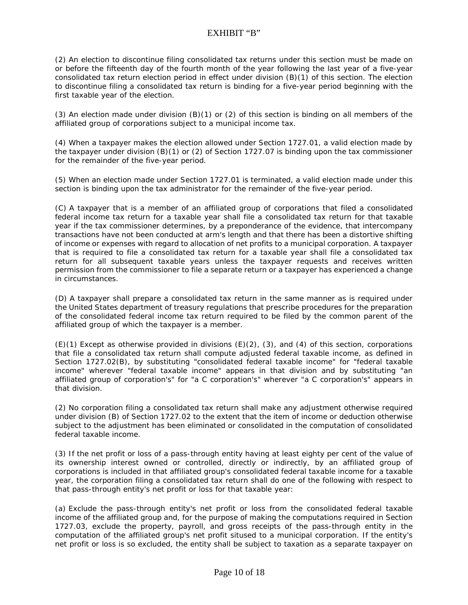(2) An election to discontinue filing consolidated tax returns under this section must be made on or before the fifteenth day of the fourth month of the year following the last year of a five-year consolidated tax return election period in effect under division (B)(1) of this section. The election to discontinue filing a consolidated tax return is binding for a five-year period beginning with the first taxable year of the election.

(3) An election made under division (B)(1) or (2) of this section is binding on all members of the affiliated group of corporations subject to a municipal income tax.

(4) When a taxpayer makes the election allowed under Section 1727.01, a valid election made by the taxpayer under division (B)(1) or (2) of Section 1727.07 is binding upon the tax commissioner for the remainder of the five-year period.

(5) When an election made under Section 1727.01 is terminated, a valid election made under this section is binding upon the tax administrator for the remainder of the five-year period.

(C) A taxpayer that is a member of an affiliated group of corporations that filed a consolidated federal income tax return for a taxable year shall file a consolidated tax return for that taxable year if the tax commissioner determines, by a preponderance of the evidence, that intercompany transactions have not been conducted at arm's length and that there has been a distortive shifting of income or expenses with regard to allocation of net profits to a municipal corporation. A taxpayer that is required to file a consolidated tax return for a taxable year shall file a consolidated tax return for all subsequent taxable years unless the taxpayer requests and receives written permission from the commissioner to file a separate return or a taxpayer has experienced a change in circumstances.

(D) A taxpayer shall prepare a consolidated tax return in the same manner as is required under the United States department of treasury regulations that prescribe procedures for the preparation of the consolidated federal income tax return required to be filed by the common parent of the affiliated group of which the taxpayer is a member.

 $(E)(1)$  Except as otherwise provided in divisions  $(E)(2)$ ,  $(3)$ , and  $(4)$  of this section, corporations that file a consolidated tax return shall compute adjusted federal taxable income, as defined in Section 1727.02(B), by substituting "consolidated federal taxable income" for "federal taxable income" wherever "federal taxable income" appears in that division and by substituting "an affiliated group of corporation's" for "a C corporation's" wherever "a C corporation's" appears in that division.

(2) No corporation filing a consolidated tax return shall make any adjustment otherwise required under division (B) of Section 1727.02 to the extent that the item of income or deduction otherwise subject to the adjustment has been eliminated or consolidated in the computation of consolidated federal taxable income.

(3) If the net profit or loss of a pass-through entity having at least eighty per cent of the value of its ownership interest owned or controlled, directly or indirectly, by an affiliated group of corporations is included in that affiliated group's consolidated federal taxable income for a taxable year, the corporation filing a consolidated tax return shall do one of the following with respect to that pass-through entity's net profit or loss for that taxable year:

(a) Exclude the pass-through entity's net profit or loss from the consolidated federal taxable income of the affiliated group and, for the purpose of making the computations required in Section 1727.03, exclude the property, payroll, and gross receipts of the pass-through entity in the computation of the affiliated group's net profit sitused to a municipal corporation. If the entity's net profit or loss is so excluded, the entity shall be subject to taxation as a separate taxpayer on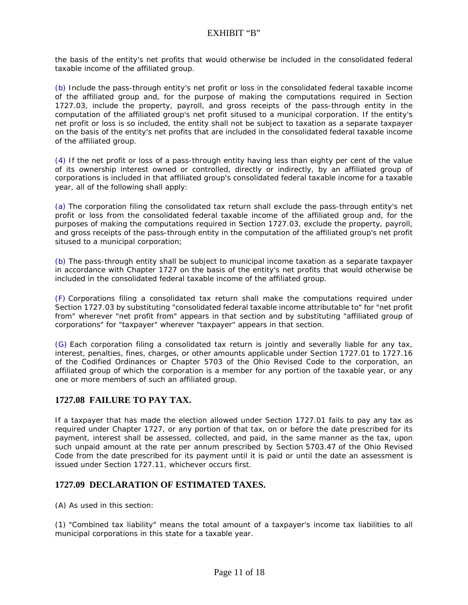the basis of the entity's net profits that would otherwise be included in the consolidated federal taxable income of the affiliated group.

(b) Include the pass-through entity's net profit or loss in the consolidated federal taxable income of the affiliated group and, for the purpose of making the computations required in Section 1727.03, include the property, payroll, and gross receipts of the pass-through entity in the computation of the affiliated group's net profit sitused to a municipal corporation. If the entity's net profit or loss is so included, the entity shall not be subject to taxation as a separate taxpayer on the basis of the entity's net profits that are included in the consolidated federal taxable income of the affiliated group.

(4) If the net profit or loss of a pass-through entity having less than eighty per cent of the value of its ownership interest owned or controlled, directly or indirectly, by an affiliated group of corporations is included in that affiliated group's consolidated federal taxable income for a taxable year, all of the following shall apply:

(a) The corporation filing the consolidated tax return shall exclude the pass-through entity's net profit or loss from the consolidated federal taxable income of the affiliated group and, for the purposes of making the computations required in Section 1727.03, exclude the property, payroll, and gross receipts of the pass-through entity in the computation of the affiliated group's net profit sitused to a municipal corporation;

(b) The pass-through entity shall be subject to municipal income taxation as a separate taxpayer in accordance with Chapter 1727 on the basis of the entity's net profits that would otherwise be included in the consolidated federal taxable income of the affiliated group.

(F) Corporations filing a consolidated tax return shall make the computations required under Section 1727.03 by substituting "consolidated federal taxable income attributable to" for "net profit from" wherever "net profit from" appears in that section and by substituting "affiliated group of corporations" for "taxpayer" wherever "taxpayer" appears in that section.

(G) Each corporation filing a consolidated tax return is jointly and severally liable for any tax, interest, penalties, fines, charges, or other amounts applicable under Section 1727.01 to 1727.16 of the Codified Ordinances or Chapter 5703 of the Ohio Revised Code to the corporation, an affiliated group of which the corporation is a member for any portion of the taxable year, or any one or more members of such an affiliated group.

### **1727.08 FAILURE TO PAY TAX.**

If a taxpayer that has made the election allowed under Section 1727.01 fails to pay any tax as required under Chapter 1727, or any portion of that tax, on or before the date prescribed for its payment, interest shall be assessed, collected, and paid, in the same manner as the tax, upon such unpaid amount at the rate per annum prescribed by Section 5703.47 of the Ohio Revised Code from the date prescribed for its payment until it is paid or until the date an assessment is issued under Section 1727.11, whichever occurs first.

#### **1727.09 DECLARATION OF ESTIMATED TAXES.**

(A) As used in this section:

(1) "Combined tax liability" means the total amount of a taxpayer's income tax liabilities to all municipal corporations in this state for a taxable year.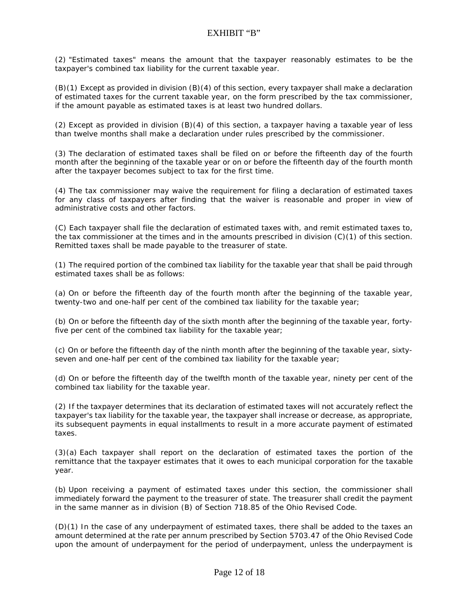(2) "Estimated taxes" means the amount that the taxpayer reasonably estimates to be the taxpayer's combined tax liability for the current taxable year.

(B)(1) Except as provided in division (B)(4) of this section, every taxpayer shall make a declaration of estimated taxes for the current taxable year, on the form prescribed by the tax commissioner, if the amount payable as estimated taxes is at least two hundred dollars.

(2) Except as provided in division (B)(4) of this section, a taxpayer having a taxable year of less than twelve months shall make a declaration under rules prescribed by the commissioner.

(3) The declaration of estimated taxes shall be filed on or before the fifteenth day of the fourth month after the beginning of the taxable year or on or before the fifteenth day of the fourth month after the taxpayer becomes subject to tax for the first time.

(4) The tax commissioner may waive the requirement for filing a declaration of estimated taxes for any class of taxpayers after finding that the waiver is reasonable and proper in view of administrative costs and other factors.

(C) Each taxpayer shall file the declaration of estimated taxes with, and remit estimated taxes to, the tax commissioner at the times and in the amounts prescribed in division (C)(1) of this section. Remitted taxes shall be made payable to the treasurer of state.

(1) The required portion of the combined tax liability for the taxable year that shall be paid through estimated taxes shall be as follows:

(a) On or before the fifteenth day of the fourth month after the beginning of the taxable year, twenty-two and one-half per cent of the combined tax liability for the taxable year;

(b) On or before the fifteenth day of the sixth month after the beginning of the taxable year, fortyfive per cent of the combined tax liability for the taxable year;

(c) On or before the fifteenth day of the ninth month after the beginning of the taxable year, sixtyseven and one-half per cent of the combined tax liability for the taxable year;

(d) On or before the fifteenth day of the twelfth month of the taxable year, ninety per cent of the combined tax liability for the taxable year.

(2) If the taxpayer determines that its declaration of estimated taxes will not accurately reflect the taxpayer's tax liability for the taxable year, the taxpayer shall increase or decrease, as appropriate, its subsequent payments in equal installments to result in a more accurate payment of estimated taxes.

(3)(a) Each taxpayer shall report on the declaration of estimated taxes the portion of the remittance that the taxpayer estimates that it owes to each municipal corporation for the taxable year.

(b) Upon receiving a payment of estimated taxes under this section, the commissioner shall immediately forward the payment to the treasurer of state. The treasurer shall credit the payment in the same manner as in division (B) of Section 718.85 of the Ohio Revised Code.

(D)(1) In the case of any underpayment of estimated taxes, there shall be added to the taxes an amount determined at the rate per annum prescribed by Section 5703.47 of the Ohio Revised Code upon the amount of underpayment for the period of underpayment, unless the underpayment is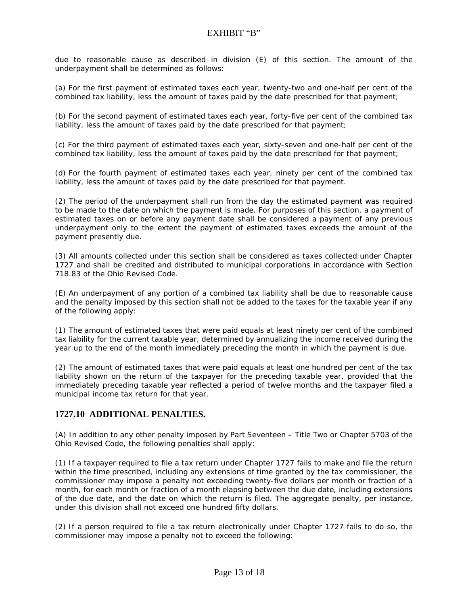due to reasonable cause as described in division (E) of this section. The amount of the underpayment shall be determined as follows:

(a) For the first payment of estimated taxes each year, twenty-two and one-half per cent of the combined tax liability, less the amount of taxes paid by the date prescribed for that payment;

(b) For the second payment of estimated taxes each year, forty-five per cent of the combined tax liability, less the amount of taxes paid by the date prescribed for that payment;

(c) For the third payment of estimated taxes each year, sixty-seven and one-half per cent of the combined tax liability, less the amount of taxes paid by the date prescribed for that payment;

(d) For the fourth payment of estimated taxes each year, ninety per cent of the combined tax liability, less the amount of taxes paid by the date prescribed for that payment.

(2) The period of the underpayment shall run from the day the estimated payment was required to be made to the date on which the payment is made. For purposes of this section, a payment of estimated taxes on or before any payment date shall be considered a payment of any previous underpayment only to the extent the payment of estimated taxes exceeds the amount of the payment presently due.

(3) All amounts collected under this section shall be considered as taxes collected under Chapter 1727 and shall be credited and distributed to municipal corporations in accordance with Section 718.83 of the Ohio Revised Code.

(E) An underpayment of any portion of a combined tax liability shall be due to reasonable cause and the penalty imposed by this section shall not be added to the taxes for the taxable year if any of the following apply:

(1) The amount of estimated taxes that were paid equals at least ninety per cent of the combined tax liability for the current taxable year, determined by annualizing the income received during the year up to the end of the month immediately preceding the month in which the payment is due.

(2) The amount of estimated taxes that were paid equals at least one hundred per cent of the tax liability shown on the return of the taxpayer for the preceding taxable year, provided that the immediately preceding taxable year reflected a period of twelve months and the taxpayer filed a municipal income tax return for that year.

#### **1727.10 ADDITIONAL PENALTIES.**

(A) In addition to any other penalty imposed by Part Seventeen – Title Two or Chapter 5703 of the Ohio Revised Code, the following penalties shall apply:

(1) If a taxpayer required to file a tax return under Chapter 1727 fails to make and file the return within the time prescribed, including any extensions of time granted by the tax commissioner, the commissioner may impose a penalty not exceeding twenty-five dollars per month or fraction of a month, for each month or fraction of a month elapsing between the due date, including extensions of the due date, and the date on which the return is filed. The aggregate penalty, per instance, under this division shall not exceed one hundred fifty dollars.

(2) If a person required to file a tax return electronically under Chapter 1727 fails to do so, the commissioner may impose a penalty not to exceed the following: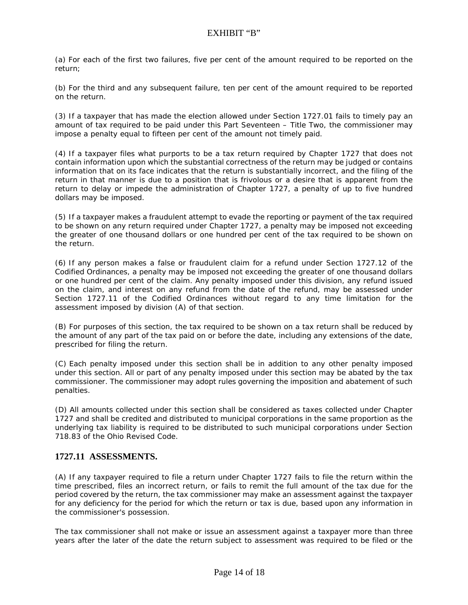(a) For each of the first two failures, five per cent of the amount required to be reported on the return;

(b) For the third and any subsequent failure, ten per cent of the amount required to be reported on the return.

(3) If a taxpayer that has made the election allowed under Section 1727.01 fails to timely pay an amount of tax required to be paid under this Part Seventeen – Title Two, the commissioner may impose a penalty equal to fifteen per cent of the amount not timely paid.

(4) If a taxpayer files what purports to be a tax return required by Chapter 1727 that does not contain information upon which the substantial correctness of the return may be judged or contains information that on its face indicates that the return is substantially incorrect, and the filing of the return in that manner is due to a position that is frivolous or a desire that is apparent from the return to delay or impede the administration of Chapter 1727, a penalty of up to five hundred dollars may be imposed.

(5) If a taxpayer makes a fraudulent attempt to evade the reporting or payment of the tax required to be shown on any return required under Chapter 1727, a penalty may be imposed not exceeding the greater of one thousand dollars or one hundred per cent of the tax required to be shown on the return.

(6) If any person makes a false or fraudulent claim for a refund under Section 1727.12 of the Codified Ordinances, a penalty may be imposed not exceeding the greater of one thousand dollars or one hundred per cent of the claim. Any penalty imposed under this division, any refund issued on the claim, and interest on any refund from the date of the refund, may be assessed under Section 1727.11 of the Codified Ordinances without regard to any time limitation for the assessment imposed by division (A) of that section.

(B) For purposes of this section, the tax required to be shown on a tax return shall be reduced by the amount of any part of the tax paid on or before the date, including any extensions of the date, prescribed for filing the return.

(C) Each penalty imposed under this section shall be in addition to any other penalty imposed under this section. All or part of any penalty imposed under this section may be abated by the tax commissioner. The commissioner may adopt rules governing the imposition and abatement of such penalties.

(D) All amounts collected under this section shall be considered as taxes collected under Chapter 1727 and shall be credited and distributed to municipal corporations in the same proportion as the underlying tax liability is required to be distributed to such municipal corporations under Section 718.83 of the Ohio Revised Code.

#### **1727.11 ASSESSMENTS.**

(A) If any taxpayer required to file a return under Chapter 1727 fails to file the return within the time prescribed, files an incorrect return, or fails to remit the full amount of the tax due for the period covered by the return, the tax commissioner may make an assessment against the taxpayer for any deficiency for the period for which the return or tax is due, based upon any information in the commissioner's possession.

The tax commissioner shall not make or issue an assessment against a taxpayer more than three years after the later of the date the return subject to assessment was required to be filed or the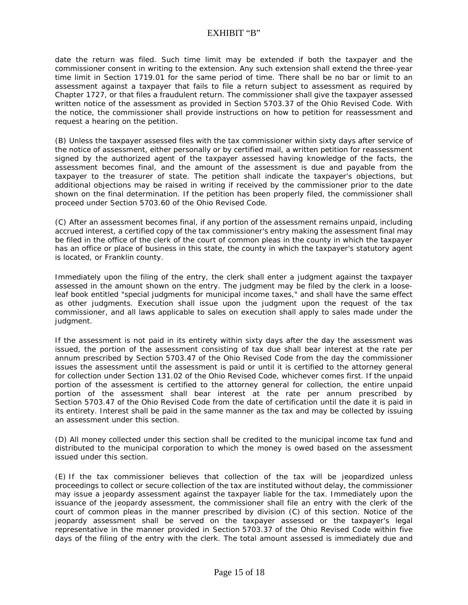## EXHIBIT "B"

date the return was filed. Such time limit may be extended if both the taxpayer and the commissioner consent in writing to the extension. Any such extension shall extend the three-year time limit in Section 1719.01 for the same period of time. There shall be no bar or limit to an assessment against a taxpayer that fails to file a return subject to assessment as required by Chapter 1727, or that files a fraudulent return. The commissioner shall give the taxpayer assessed written notice of the assessment as provided in Section 5703.37 of the Ohio Revised Code. With the notice, the commissioner shall provide instructions on how to petition for reassessment and request a hearing on the petition.

(B) Unless the taxpayer assessed files with the tax commissioner within sixty days after service of the notice of assessment, either personally or by certified mail, a written petition for reassessment signed by the authorized agent of the taxpayer assessed having knowledge of the facts, the assessment becomes final, and the amount of the assessment is due and payable from the taxpayer to the treasurer of state. The petition shall indicate the taxpayer's objections, but additional objections may be raised in writing if received by the commissioner prior to the date shown on the final determination. If the petition has been properly filed, the commissioner shall proceed under Section 5703.60 of the Ohio Revised Code.

(C) After an assessment becomes final, if any portion of the assessment remains unpaid, including accrued interest, a certified copy of the tax commissioner's entry making the assessment final may be filed in the office of the clerk of the court of common pleas in the county in which the taxpayer has an office or place of business in this state, the county in which the taxpayer's statutory agent is located, or Franklin county.

Immediately upon the filing of the entry, the clerk shall enter a judgment against the taxpayer assessed in the amount shown on the entry. The judgment may be filed by the clerk in a looseleaf book entitled "special judgments for municipal income taxes," and shall have the same effect as other judgments. Execution shall issue upon the judgment upon the request of the tax commissioner, and all laws applicable to sales on execution shall apply to sales made under the judgment.

If the assessment is not paid in its entirety within sixty days after the day the assessment was issued, the portion of the assessment consisting of tax due shall bear interest at the rate per annum prescribed by Section 5703.47 of the Ohio Revised Code from the day the commissioner issues the assessment until the assessment is paid or until it is certified to the attorney general for collection under Section 131.02 of the Ohio Revised Code, whichever comes first. If the unpaid portion of the assessment is certified to the attorney general for collection, the entire unpaid portion of the assessment shall bear interest at the rate per annum prescribed by Section 5703.47 of the Ohio Revised Code from the date of certification until the date it is paid in its entirety. Interest shall be paid in the same manner as the tax and may be collected by issuing an assessment under this section.

(D) All money collected under this section shall be credited to the municipal income tax fund and distributed to the municipal corporation to which the money is owed based on the assessment issued under this section.

(E) If the tax commissioner believes that collection of the tax will be jeopardized unless proceedings to collect or secure collection of the tax are instituted without delay, the commissioner may issue a jeopardy assessment against the taxpayer liable for the tax. Immediately upon the issuance of the jeopardy assessment, the commissioner shall file an entry with the clerk of the court of common pleas in the manner prescribed by division (C) of this section. Notice of the jeopardy assessment shall be served on the taxpayer assessed or the taxpayer's legal representative in the manner provided in Section 5703.37 of the Ohio Revised Code within five days of the filing of the entry with the clerk. The total amount assessed is immediately due and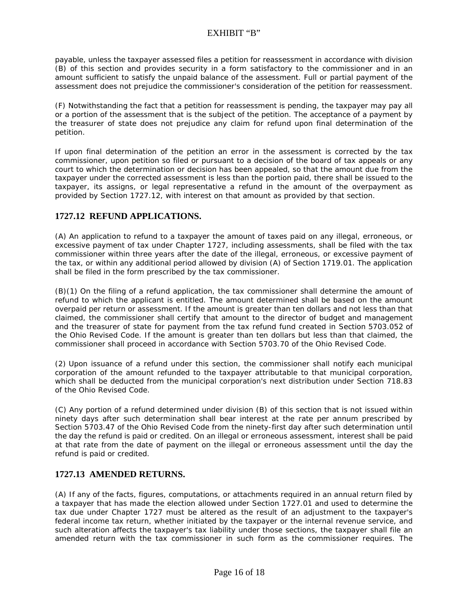# EXHIBIT "B"

payable, unless the taxpayer assessed files a petition for reassessment in accordance with division (B) of this section and provides security in a form satisfactory to the commissioner and in an amount sufficient to satisfy the unpaid balance of the assessment. Full or partial payment of the assessment does not prejudice the commissioner's consideration of the petition for reassessment.

(F) Notwithstanding the fact that a petition for reassessment is pending, the taxpayer may pay all or a portion of the assessment that is the subject of the petition. The acceptance of a payment by the treasurer of state does not prejudice any claim for refund upon final determination of the petition.

If upon final determination of the petition an error in the assessment is corrected by the tax commissioner, upon petition so filed or pursuant to a decision of the board of tax appeals or any court to which the determination or decision has been appealed, so that the amount due from the taxpayer under the corrected assessment is less than the portion paid, there shall be issued to the taxpayer, its assigns, or legal representative a refund in the amount of the overpayment as provided by Section 1727.12, with interest on that amount as provided by that section.

## **1727.12 REFUND APPLICATIONS.**

(A) An application to refund to a taxpayer the amount of taxes paid on any illegal, erroneous, or excessive payment of tax under Chapter 1727, including assessments, shall be filed with the tax commissioner within three years after the date of the illegal, erroneous, or excessive payment of the tax, or within any additional period allowed by division (A) of Section 1719.01. The application shall be filed in the form prescribed by the tax commissioner.

(B)(1) On the filing of a refund application, the tax commissioner shall determine the amount of refund to which the applicant is entitled. The amount determined shall be based on the amount overpaid per return or assessment. If the amount is greater than ten dollars and not less than that claimed, the commissioner shall certify that amount to the director of budget and management and the treasurer of state for payment from the tax refund fund created in Section 5703.052 of the Ohio Revised Code. If the amount is greater than ten dollars but less than that claimed, the commissioner shall proceed in accordance with Section 5703.70 of the Ohio Revised Code.

(2) Upon issuance of a refund under this section, the commissioner shall notify each municipal corporation of the amount refunded to the taxpayer attributable to that municipal corporation, which shall be deducted from the municipal corporation's next distribution under Section 718.83 of the Ohio Revised Code.

(C) Any portion of a refund determined under division (B) of this section that is not issued within ninety days after such determination shall bear interest at the rate per annum prescribed by Section 5703.47 of the Ohio Revised Code from the ninety-first day after such determination until the day the refund is paid or credited. On an illegal or erroneous assessment, interest shall be paid at that rate from the date of payment on the illegal or erroneous assessment until the day the refund is paid or credited.

#### **1727.13 AMENDED RETURNS.**

(A) If any of the facts, figures, computations, or attachments required in an annual return filed by a taxpayer that has made the election allowed under Section 1727.01 and used to determine the tax due under Chapter 1727 must be altered as the result of an adjustment to the taxpayer's federal income tax return, whether initiated by the taxpayer or the internal revenue service, and such alteration affects the taxpayer's tax liability under those sections, the taxpayer shall file an amended return with the tax commissioner in such form as the commissioner requires. The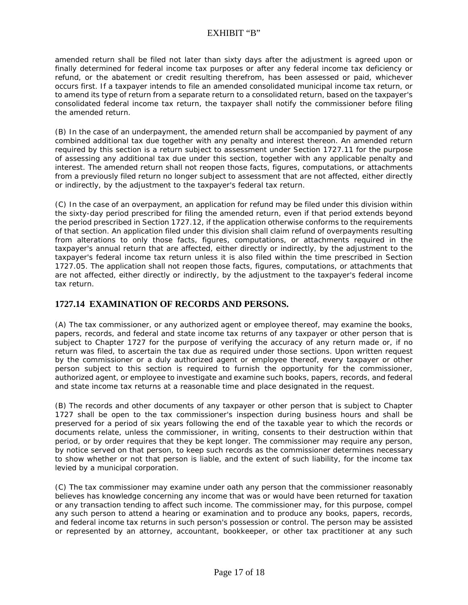# EXHIBIT "B"

amended return shall be filed not later than sixty days after the adjustment is agreed upon or finally determined for federal income tax purposes or after any federal income tax deficiency or refund, or the abatement or credit resulting therefrom, has been assessed or paid, whichever occurs first. If a taxpayer intends to file an amended consolidated municipal income tax return, or to amend its type of return from a separate return to a consolidated return, based on the taxpayer's consolidated federal income tax return, the taxpayer shall notify the commissioner before filing the amended return.

(B) In the case of an underpayment, the amended return shall be accompanied by payment of any combined additional tax due together with any penalty and interest thereon. An amended return required by this section is a return subject to assessment under Section 1727.11 for the purpose of assessing any additional tax due under this section, together with any applicable penalty and interest. The amended return shall not reopen those facts, figures, computations, or attachments from a previously filed return no longer subject to assessment that are not affected, either directly or indirectly, by the adjustment to the taxpayer's federal tax return.

(C) In the case of an overpayment, an application for refund may be filed under this division within the sixty-day period prescribed for filing the amended return, even if that period extends beyond the period prescribed in Section 1727.12, if the application otherwise conforms to the requirements of that section. An application filed under this division shall claim refund of overpayments resulting from alterations to only those facts, figures, computations, or attachments required in the taxpayer's annual return that are affected, either directly or indirectly, by the adjustment to the taxpayer's federal income tax return unless it is also filed within the time prescribed in Section 1727.05. The application shall not reopen those facts, figures, computations, or attachments that are not affected, either directly or indirectly, by the adjustment to the taxpayer's federal income tax return.

### **1727.14 EXAMINATION OF RECORDS AND PERSONS.**

(A) The tax commissioner, or any authorized agent or employee thereof, may examine the books, papers, records, and federal and state income tax returns of any taxpayer or other person that is subject to Chapter 1727 for the purpose of verifying the accuracy of any return made or, if no return was filed, to ascertain the tax due as required under those sections. Upon written request by the commissioner or a duly authorized agent or employee thereof, every taxpayer or other person subject to this section is required to furnish the opportunity for the commissioner, authorized agent, or employee to investigate and examine such books, papers, records, and federal and state income tax returns at a reasonable time and place designated in the request.

(B) The records and other documents of any taxpayer or other person that is subject to Chapter 1727 shall be open to the tax commissioner's inspection during business hours and shall be preserved for a period of six years following the end of the taxable year to which the records or documents relate, unless the commissioner, in writing, consents to their destruction within that period, or by order requires that they be kept longer. The commissioner may require any person, by notice served on that person, to keep such records as the commissioner determines necessary to show whether or not that person is liable, and the extent of such liability, for the income tax levied by a municipal corporation.

(C) The tax commissioner may examine under oath any person that the commissioner reasonably believes has knowledge concerning any income that was or would have been returned for taxation or any transaction tending to affect such income. The commissioner may, for this purpose, compel any such person to attend a hearing or examination and to produce any books, papers, records, and federal income tax returns in such person's possession or control. The person may be assisted or represented by an attorney, accountant, bookkeeper, or other tax practitioner at any such